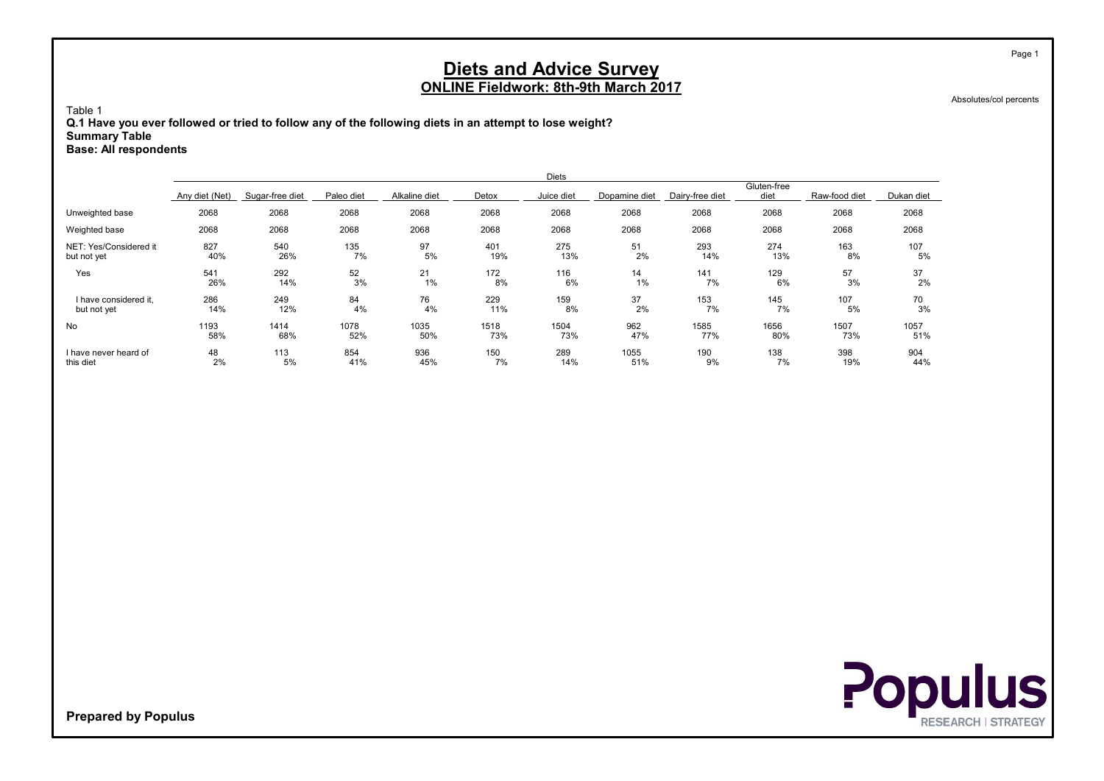Absolutes/col percents

Table 1 Q.1 Have you ever followed or tried to follow any of the following diets in an attempt to lose weight? Summary Table Base: All respondents

|                        |                |                 |            |               |       | Diets      |               |                 |                     |               |            |
|------------------------|----------------|-----------------|------------|---------------|-------|------------|---------------|-----------------|---------------------|---------------|------------|
|                        | Any diet (Net) | Sugar-free diet | Paleo diet | Alkaline diet | Detox | Juice diet | Dopamine diet | Dairy-free diet | Gluten-free<br>diet | Raw-food diet | Dukan diet |
| Unweighted base        | 2068           | 2068            | 2068       | 2068          | 2068  | 2068       | 2068          | 2068            | 2068                | 2068          | 2068       |
| Weighted base          | 2068           | 2068            | 2068       | 2068          | 2068  | 2068       | 2068          | 2068            | 2068                | 2068          | 2068       |
| NET: Yes/Considered it | 827            | 540             | 135        | 97            | 401   | 275        | 51            | 293             | 274                 | 163           | 107        |
| but not yet            | 40%            | 26%             | 7%         | 5%            | 19%   | 13%        | 2%            | 14%             | 13%                 | 8%            | 5%         |
| Yes                    | 541            | 292             | 52         | 21            | 172   | 116        | 14            | 141             | 129                 | 57            | 37         |
|                        | 26%            | 14%             | 3%         | 1%            | 8%    | 6%         | 1%            | 7%              | 6%                  | 3%            | 2%         |
| I have considered it.  | 286            | 249             | 84         | 76            | 229   | 159        | 37            | 153             | 145                 | 107           | 70         |
| but not yet            | 14%            | 12%             | 4%         | 4%            | 11%   | 8%         | 2%            | 7%              | 7%                  | 5%            | 3%         |
| <b>No</b>              | 1193           | 1414            | 1078       | 1035          | 1518  | 1504       | 962           | 1585            | 1656                | 1507          | 1057       |
|                        | 58%            | 68%             | 52%        | 50%           | 73%   | 73%        | 47%           | 77%             | 80%                 | 73%           | 51%        |
| I have never heard of  | 48             | 113             | 854        | 936           | 150   | 289        | 1055          | 190             | 138                 | 398           | 904        |
| this diet              | 2%             | 5%              | 41%        | 45%           | 7%    | 14%        | 51%           | 9%              | 7%                  | 19%           | 44%        |

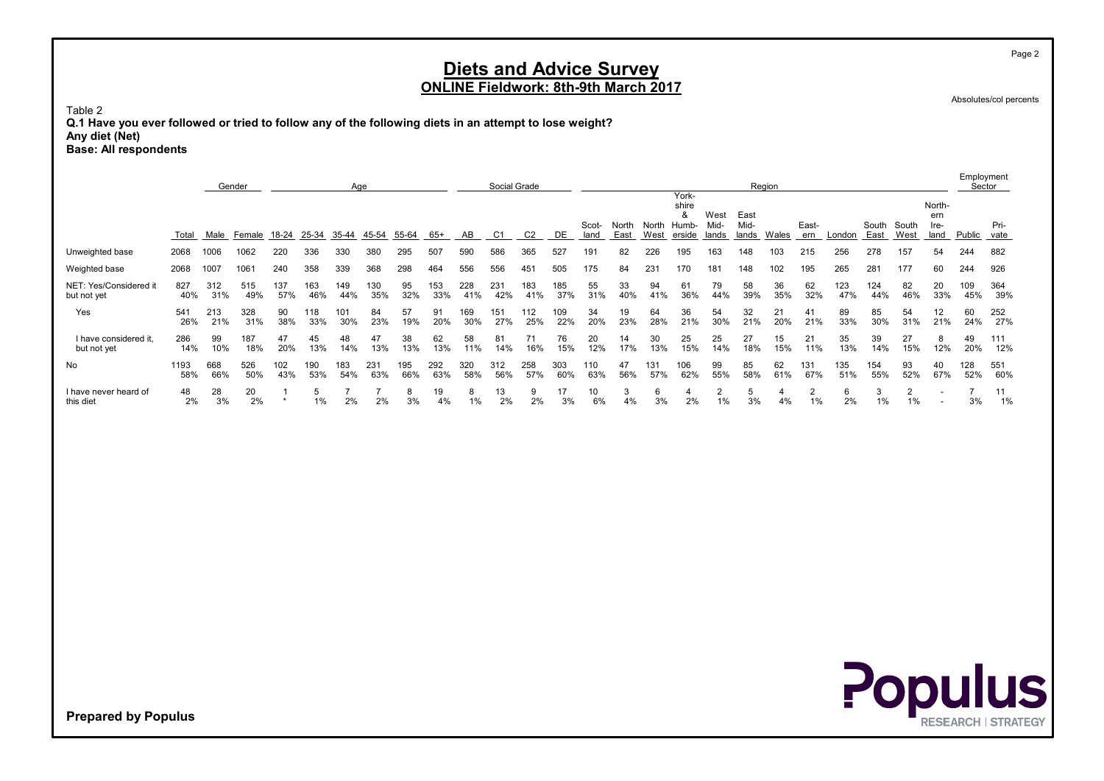Table 2 Q.1 Have you ever followed or tried to follow any of the following diets in an attempt to lose weight? Any diet (Net) Base: All respondents

|                                       |             |            | Gender     |            |            |            | Age        |            |            |            | Social Grade |                |            |                       |               |               |                                   |                         |                       | Region    |                         |            |               |                      |                               | Employment<br>Sector |              |
|---------------------------------------|-------------|------------|------------|------------|------------|------------|------------|------------|------------|------------|--------------|----------------|------------|-----------------------|---------------|---------------|-----------------------------------|-------------------------|-----------------------|-----------|-------------------------|------------|---------------|----------------------|-------------------------------|----------------------|--------------|
|                                       | Total       | Male       | Female     | 18-24      | 25-34      | 35-44      | 45-54      | 55-64      | 65+        | AB         | C1           | C <sub>2</sub> | DE         | Scot-<br>land         | North<br>East | North<br>West | York-<br>shire<br>Humb-<br>erside | West<br>Mid-<br>lands   | East<br>Mid-<br>lands | Wales     | East-<br>ern            | London     | South<br>East | South<br>West        | North-<br>ern<br>lre-<br>land | Public               | Pri-<br>vate |
| Unweighted base                       | 2068        | 1006       | 1062       | 220        | 336        | 330        | 380        | 295        | 507        | 590        | 586          | 365            | 527        | 191                   | 82            | 226           | 195                               | 163                     | 148                   | 103       | 215                     | 256        | 278           | 157                  | 54                            | 244                  | 882          |
| Weighted base                         | 2068        | 1007       | 1061       | 240        | 358        | 339        | 368        | 298        | 464        | 556        | 556          | 451            | 505        | 175                   | 84            | 231           | 170                               | 181                     | 148                   | 102       | 195                     | 265        | 281           | 177                  | 60                            | 244                  | 926          |
| NET: Yes/Considered it<br>but not yet | 827<br>40%  | 312<br>31% | 515<br>49% | 137<br>57% | 163<br>46% | 149<br>44% | 130<br>35% | 95<br>32%  | 153<br>33% | 228<br>41% | 231<br>42%   | 183<br>41%     | 185<br>37% | 55<br>31%             | 33<br>40%     | 94<br>41%     | 61<br>36%                         | 79<br>44%               | 58<br>39%             | 36<br>35% | 62<br>32%               | 123<br>47% | 124<br>44%    | 82<br>46%            | 20<br>33%                     | 109<br>45%           | 364<br>39%   |
| Yes                                   | 541<br>26%  | 213<br>21% | 328<br>31% | 90<br>38%  | 118<br>33% | 101<br>30% | 84<br>23%  | 57<br>19%  | 91<br>20%  | 169<br>30% | 151<br>27%   | 112<br>25%     | 109<br>22% | 34<br>20%             | 19<br>23%     | 64<br>28%     | 36<br>21%                         | 54<br>30%               | 32<br>21%             | 21<br>20% | 41<br>21%               | 89<br>33%  | 85<br>30%     | 54<br>31%            | 12<br>21%                     | 60<br>24%            | 252<br>27%   |
| I have considered it.<br>but not yet  | 286<br>14%  | 99<br>10%  | 187<br>18% | 47<br>20%  | 45<br>13%  | 48<br>14%  | 47<br>13%  | 38<br>13%  | 62<br>13%  | 58<br>11%  | 81<br>14%    | 16%            | 76<br>15%  | 20<br>12%             | 14<br>17%     | 30<br>13%     | 25<br>15%                         | 25<br>14%               | 27<br>18%             | 15<br>15% | 21<br>11%               | 35<br>13%  | 39<br>14%     | 27<br>15%            | 12%                           | 49<br>20%            | 111<br>12%   |
| No                                    | 1193<br>58% | 668<br>66% | 526<br>50% | 102<br>43% | 190<br>53% | 183<br>54% | 231<br>63% | 195<br>66% | 292<br>63% | 320<br>58% | 312<br>56%   | 258<br>57%     | 303<br>60% | 110<br>63%            | 47<br>56%     | 131<br>57%    | 106<br>62%                        | 99<br>55%               | 85<br>58%             | 62<br>61% | 131<br>67%              | 135<br>51% | 154<br>55%    | 93<br>52%            | 40<br>67%                     | 128<br>52%           | 551<br>60%   |
| I have never heard of<br>this diet    | 48<br>2%    | 28<br>3%   | 20<br>2%   |            | 5<br>$1\%$ | 2%         | 2%         | 8<br>3%    | 19<br>4%   | 8<br>1%    | 13<br>2%     | 9<br>2%        | 17<br>3%   | 10 <sup>°</sup><br>6% | 3<br>4%       | 6<br>3%       | 2%                                | $\overline{2}$<br>$1\%$ | 5<br>3%               | 4%        | $\overline{2}$<br>$1\%$ | 6<br>2%    | 3<br>1%       | $\overline{2}$<br>1% |                               | 3%                   | 11<br>1%     |

**Populus** 

Prepared by Populus

Page 2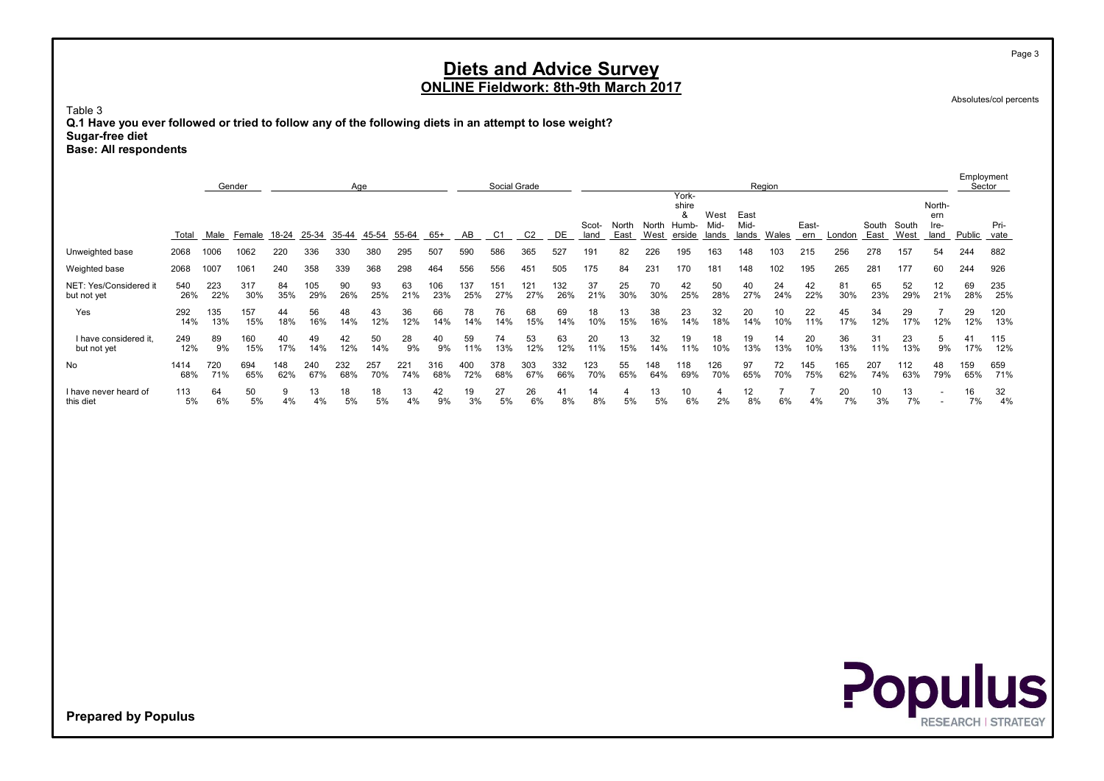Absolutes/col percents

Page 3

Table 3 Q.1 Have you ever followed or tried to follow any of the following diets in an attempt to lose weight? Sugar-free diet

Base: All respondents

|                        |       |      | Gender                               |     |     | Age |     |     |     |     | Social Grade |                |     |               |                     |      |                                        |                       |                       | Region |                |        |                     |      |                               | Employment<br>Sector |              |
|------------------------|-------|------|--------------------------------------|-----|-----|-----|-----|-----|-----|-----|--------------|----------------|-----|---------------|---------------------|------|----------------------------------------|-----------------------|-----------------------|--------|----------------|--------|---------------------|------|-------------------------------|----------------------|--------------|
|                        | Total | Male | Female 18-24 25-34 35-44 45-54 55-64 |     |     |     |     |     | 65+ | AB  | C1           | C <sub>2</sub> | DE  | Scot-<br>land | North North<br>East | West | York-<br>shire<br>&<br>Humb-<br>erside | West<br>Mid-<br>lands | East<br>Mid-<br>lands | Wales  | East-<br>ern   | London | South South<br>East | West | North-<br>ern<br>Ire-<br>land | Public               | Pri-<br>vate |
| Unweighted base        | 2068  | 1006 | 1062                                 | 220 | 336 | 330 | 380 | 295 | 507 | 590 | 586          | 365            | 527 | 191           | 82                  | 226  | 195                                    | 163                   | 148                   | 103    | 215            | 256    | 278                 | 157  | 54                            | 244                  | 882          |
| Weighted base          | 2068  | 1007 | 1061                                 | 240 | 358 | 339 | 368 | 298 | 464 | 556 | 556          | 451            | 505 | 175           | 84                  | 231  | 170                                    | 181                   | 148                   | 102    | 195            | 265    | 281                 | 177  | 60                            | 244                  | 926          |
| NET: Yes/Considered it | 540   | 223  | 317                                  | 84  | 105 | 90  | 93  | 63  | 106 | 137 | 151          | 121            | 132 | 37            | 25                  | 70   | 42                                     | 50                    | 40                    | 24     | 42             | 81     | 65                  | 52   | 12                            | 69                   | 235          |
| but not yet            | 26%   | 22%  | 30%                                  | 35% | 29% | 26% | 25% | 21% | 23% | 25% | 27%          | 27%            | 26% | 21%           | 30%                 | 30%  | 25%                                    | 28%                   | 27%                   | 24%    | 22%            | 30%    | 23%                 | 29%  | 21%                           | 28%                  | 25%          |
| Yes                    | 292   | 135  | 157                                  | 44  | 56  | 48  | 43  | 36  | 66  | 78  | 76           | 68             | 69  | 18            | 13                  | 38   | 23                                     | 32                    | 20                    | 10     | 22             | 45     | 34                  | 29   | $\overline{7}$                | 29                   | 120          |
|                        | 14%   | 13%  | 15%                                  | 18% | 16% | 14% | 12% | 12% | 14% | 14% | 14%          | 15%            | 14% | 10%           | 15%                 | 16%  | 14%                                    | 18%                   | 14%                   | 10%    | 11%            | 17%    | 12%                 | 17%  | 12%                           | 12%                  | 13%          |
| I have considered it,  | 249   | 89   | 160                                  | 40  | 49  | 42  | 50  | 28  | 40  | 59  | 74           | 53             | 63  | 20            | 13                  | 32   | 19                                     | 18                    | 19                    | 14     | 20             | 36     | 31                  | 23   | 5                             | 41                   | 115          |
| but not yet            | 12%   | 9%   | 15%                                  | 17% | 14% | 12% | 14% | 9%  | 9%  | 11% | 13%          | 12%            | 12% | 11%           | 15%                 | 14%  | 11%                                    | 10%                   | 13%                   | 13%    | 10%            | 13%    | 11%                 | 13%  | 9%                            | 17%                  | 12%          |
| No                     | 1414  | 720  | 694                                  | 148 | 240 | 232 | 257 | 221 | 316 | 400 | 378          | 303            | 332 | 123           | 55                  | 148  | 118                                    | 126                   | 97                    | 72     | 145            | 165    | 207                 | 112  | 48                            | 159                  | 659          |
|                        | 68%   | 71%  | 65%                                  | 62% | 67% | 68% | 70% | 74% | 68% | 72% | 68%          | 67%            | 66% | 70%           | 65%                 | 64%  | 69%                                    | 70%                   | 65%                   | 70%    | 75%            | 62%    | 74%                 | 63%  | 79%                           | 65%                  | 71%          |
| I have never heard of  | 113   | 64   | 50                                   | 9   | 13  | 18  | 18  | 13  | 42  | 19  | 27           | 26             | 41  | 14            | 4                   | 13   | 10                                     | 4                     | 12                    | 7      | $\overline{7}$ | 20     | 10                  | 13   |                               | 16                   | 32           |
| this diet              | 5%    | 6%   | 5%                                   | 4%  | 4%  | 5%  | 5%  | 4%  | 9%  | 3%  | 5%           | 6%             | 8%  | 8%            | 5%                  | 5%   | 6%                                     | 2%                    | 8%                    | 6%     | 4%             | 7%     | 3%                  | 7%   |                               | 7%                   | 4%           |
|                        |       |      |                                      |     |     |     |     |     |     |     |              |                |     |               |                     |      |                                        |                       |                       |        |                |        |                     |      |                               |                      |              |

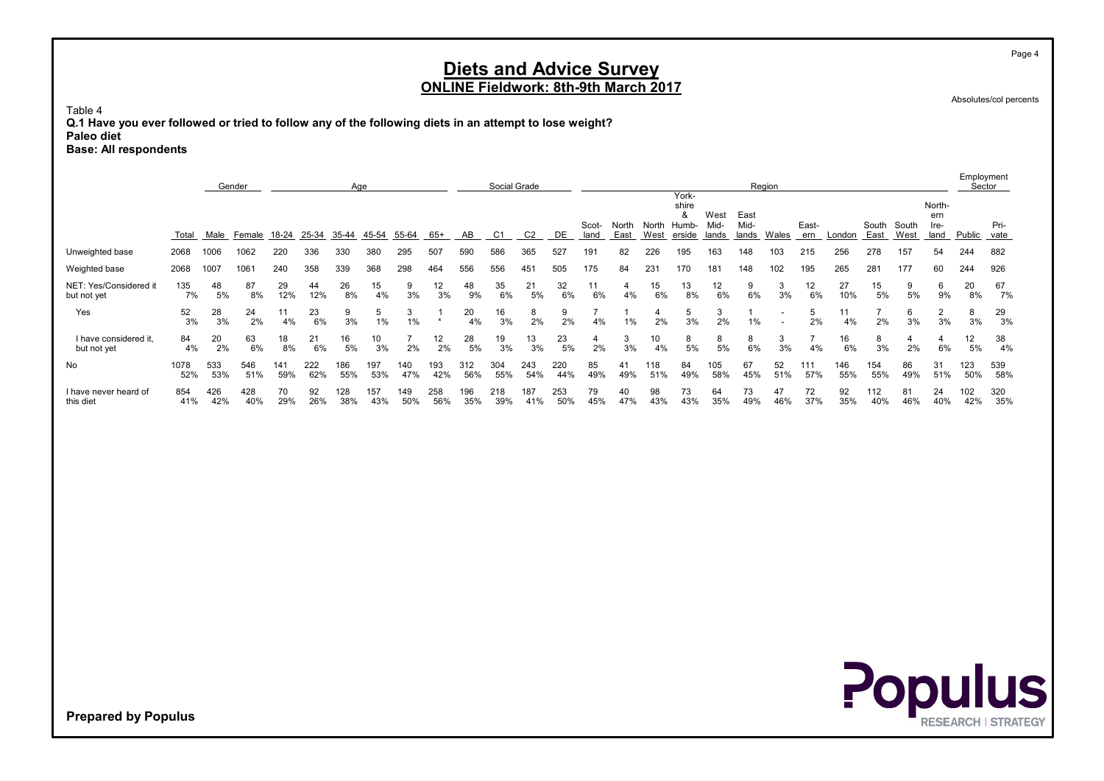Absolutes/col percents

Page 4

Table 4 Q.1 Have you ever followed or tried to follow any of the following diets in an attempt to lose weight? Paleo diet

Base: All respondents

|                                       |             |            | Gender     |            |            | Age        |            |            |            |            | Social Grade |                |            |               |               |               |                                        |                       |                       | Region    |                    |            |               |               |                               | Employment | Sector       |
|---------------------------------------|-------------|------------|------------|------------|------------|------------|------------|------------|------------|------------|--------------|----------------|------------|---------------|---------------|---------------|----------------------------------------|-----------------------|-----------------------|-----------|--------------------|------------|---------------|---------------|-------------------------------|------------|--------------|
|                                       | Total       | Male       | Female     | 18-24      | 25-34      | 35-44      | 45-54      | 55-64      | $65+$      | AB         | C1           | C <sub>2</sub> | DE         | Scot-<br>land | North<br>East | North<br>West | York-<br>shire<br>ă<br>Humb-<br>erside | West<br>Mid-<br>lands | East<br>Mid-<br>lands | Wales     | East-<br>ern       | London     | South<br>East | South<br>West | North-<br>ern<br>Ire-<br>land | Public     | Pri-<br>vate |
| Unweighted base                       | 2068        | 1006       | 1062       | 220        | 336        | 330        | 380        | 295        | 507        | 590        | 586          | 365            | 527        | 191           | 82            | 226           | 195                                    | 163                   | 148                   | 103       | 215                | 256        | 278           | 157           | 54                            | 244        | 882          |
| Weighted base                         | 2068        | 1007       | 1061       | 240        | 358        | 339        | 368        | 298        | 464        | 556        | 556          | 451            | 505        | 175           | 84            | 231           | 170                                    | 181                   | 148                   | 102       | 195                | 265        | 281           | 177           | 60                            | 244        | 926          |
| NET: Yes/Considered it<br>but not yet | 135<br>7%   | 48<br>5%   | 87<br>8%   | 29<br>12%  | 44<br>12%  | 26<br>8%   | 15<br>4%   | 9<br>3%    | 12<br>3%   | 48<br>9%   | 35<br>6%     | 21<br>5%       | 32<br>6%   | 11<br>6%      | 4<br>4%       | 15<br>6%      | 13<br>8%                               | 12<br>6%              | 9<br>6%               | 3<br>3%   | 12<br>6%           | 27<br>10%  | 15<br>5%      | 9<br>5%       | 6<br>9%                       | 20<br>8%   | 67<br>7%     |
| Yes                                   | 52<br>3%    | 28<br>3%   | 24<br>2%   | 11<br>4%   | 23<br>6%   | 9<br>3%    | 1%         | 3<br>1%    | $\star$    | 20<br>4%   | 16<br>3%     | 8<br>2%        | 9<br>2%    | 4%            | 1%            | 2%            | 5<br>3%                                | 3<br>2%               | $1\%$                 |           | <sub>5</sub><br>2% | 11<br>4%   | 2%            | 6<br>3%       | 2<br>3%                       | 8<br>3%    | 29<br>3%     |
| I have considered it,<br>but not yet  | 84<br>4%    | 20<br>2%   | 63<br>6%   | 18<br>8%   | 21<br>6%   | 16<br>5%   | 10<br>3%   | 2%         | 12<br>2%   | 28<br>5%   | 19<br>3%     | 13<br>3%       | 23<br>5%   | 2%            | 3<br>3%       | 10<br>4%      | 8<br>5%                                | 8<br>5%               | 8<br>6%               | 3<br>3%   | 4%                 | 16<br>6%   | 8<br>3%       | 2%            | 6%                            | 12<br>5%   | 38<br>4%     |
| No.                                   | 1078<br>52% | 533<br>53% | 546<br>51% | 141<br>59% | 222<br>62% | 186<br>55% | 197<br>53% | 140<br>47% | 193<br>42% | 312<br>56% | 304<br>55%   | 243<br>54%     | 220<br>44% | 85<br>49%     | 41<br>49%     | 118<br>51%    | 84<br>49%                              | 105<br>58%            | 67<br>45%             | 52<br>51% | 111<br>57%         | 146<br>55% | 154<br>55%    | 86<br>49%     | 31<br>51%                     | 123<br>50% | 539<br>58%   |
| I have never heard of<br>this diet    | 854<br>41%  | 426<br>42% | 428<br>40% | 70<br>29%  | 92<br>26%  | 128<br>38% | 157<br>43% | 149<br>50% | 258<br>56% | 196<br>35% | 218<br>39%   | 187<br>41%     | 253<br>50% | 79<br>45%     | 40<br>47%     | 98<br>43%     | 73<br>43%                              | 64<br>35%             | 73<br>49%             | 47<br>46% | 72<br>37%          | 92<br>35%  | 112<br>40%    | 81<br>46%     | 24<br>40%                     | 102<br>42% | 320<br>35%   |

**Populus**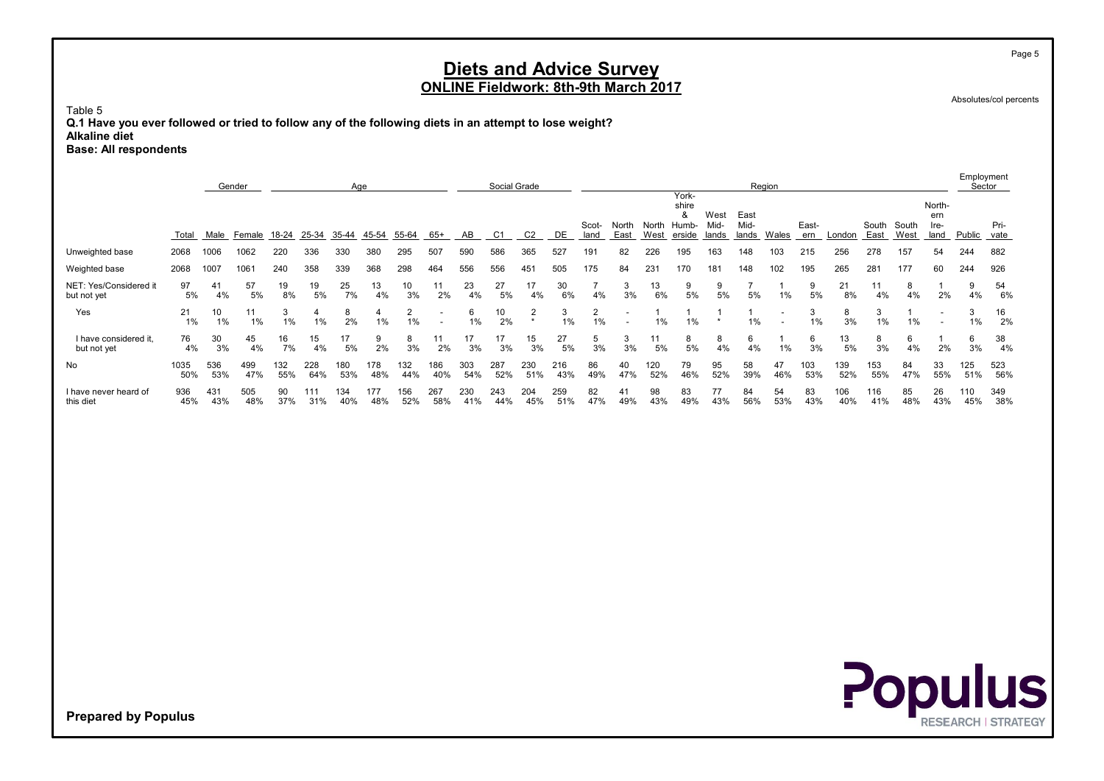Absolutes/col percents

Table 5 Q.1 Have you ever followed or tried to follow any of the following diets in an attempt to lose weight? Alkaline diet

Base: All respondents

|                                       |             |            | Gender     |            |            |            | Age        |            |            |            | Social Grade |                |            |               |                                                      |               |                                   |                       |                       | Region                   |              |            |               |               |                               | Employment | Sector       |
|---------------------------------------|-------------|------------|------------|------------|------------|------------|------------|------------|------------|------------|--------------|----------------|------------|---------------|------------------------------------------------------|---------------|-----------------------------------|-----------------------|-----------------------|--------------------------|--------------|------------|---------------|---------------|-------------------------------|------------|--------------|
|                                       | Total       | Male       | Female     | 18-24      | 25-34      | 35-44      | 45-54      | 55-64      | 65+        | AB         | C1           | C <sub>2</sub> | DE         | Scot-<br>land | North<br>East                                        | North<br>West | York-<br>shire<br>Humb-<br>erside | West<br>Mid-<br>lands | East<br>Mid-<br>lands | Wales                    | East-<br>ern | London     | South<br>East | South<br>West | North-<br>ern<br>Ire-<br>land | Public     | Pri-<br>vate |
| Unweighted base                       | 2068        | 1006       | 1062       | 220        | 336        | 330        | 380        | 295        | 507        | 590        | 586          | 365            | 527        | 191           | 82                                                   | 226           | 195                               | 163                   | 148                   | 103                      | 215          | 256        | 278           | 157           | 54                            | 244        | 882          |
| Weighted base                         | 2068        | 1007       | 1061       | 240        | 358        | 339        | 368        | 298        | 464        | 556        | 556          | 451            | 505        | 175           | 84                                                   | 231           | 170                               | 181                   | 148                   | 102                      | 195          | 265        | 281           | 177           | 60                            | 244        | 926          |
| NET: Yes/Considered it<br>but not yet | 97<br>5%    | 41<br>4%   | 57<br>5%   | 19<br>8%   | 19<br>5%   | 25<br>7%   | 13<br>4%   | 10<br>3%   | 11<br>2%   | 23<br>4%   | 27<br>5%     | 17<br>4%       | 30<br>6%   | 4%            | 3<br>3%                                              | 13<br>6%      | 9<br>5%                           | 9.<br>5%              | 5%                    | $1\%$                    | 9<br>5%      | 21<br>8%   | 4%            | 8<br>4%       | 2%                            | 9<br>4%    | 54<br>6%     |
| Yes                                   | 21<br>1%    | 10<br>1%   | 11<br>1%   | 3<br>1%    | 4<br>1%    | 8<br>2%    | 1%         | 1%         |            | 6<br>1%    | 10<br>2%     | 2<br>$\star$   | 3<br>1%    | 2<br>1%       | $\overline{\phantom{a}}$<br>$\overline{\phantom{a}}$ | 1%            | 1%                                |                       | 1%                    | $\overline{\phantom{a}}$ | 3<br>1%      | 8<br>3%    | 3<br>1%       | 1%            | $\overline{\phantom{0}}$      | 1%         | 16<br>2%     |
| I have considered it.<br>but not yet  | 76<br>4%    | 30<br>3%   | 45<br>4%   | 16<br>7%   | 15<br>4%   | 17<br>5%   | 2%         | 8<br>3%    | 11<br>2%   | 17<br>3%   | 17<br>3%     | 15<br>3%       | 27<br>5%   | 3%            | 3<br>3%                                              | 11<br>5%      | 8<br>5%                           | 8<br>4%               | 6<br>4%               | $1\%$                    | 6<br>3%      | 13<br>5%   | 8<br>3%       | 6<br>4%       | 2%                            | 6<br>3%    | 38<br>4%     |
| No                                    | 1035<br>50% | 536<br>53% | 499<br>47% | 132<br>55% | 228<br>64% | 180<br>53% | 178<br>48% | 132<br>44% | 186<br>40% | 303<br>54% | 287<br>52%   | 230<br>51%     | 216<br>43% | 86<br>49%     | 40<br>47%                                            | 120<br>52%    | 79<br>46%                         | 95<br>52%             | 58<br>39%             | 47<br>46%                | 103<br>53%   | 139<br>52% | 153<br>55%    | 84<br>47%     | 33<br>55%                     | 125<br>51% | 523<br>56%   |
| I have never heard of<br>this diet    | 936<br>45%  | 431<br>43% | 505<br>48% | 90<br>37%  | 111<br>31% | 134<br>40% | 177<br>48% | 156<br>52% | 267<br>58% | 230<br>41% | 243<br>44%   | 204<br>45%     | 259<br>51% | 82<br>47%     | 41<br>49%                                            | 98<br>43%     | 83<br>49%                         | 77<br>43%             | 84<br>56%             | 54<br>53%                | 83<br>43%    | 106<br>40% | 16<br>41%     | 85<br>48%     | 26<br>43%                     | 110<br>45% | 349<br>38%   |



Prepared by Populus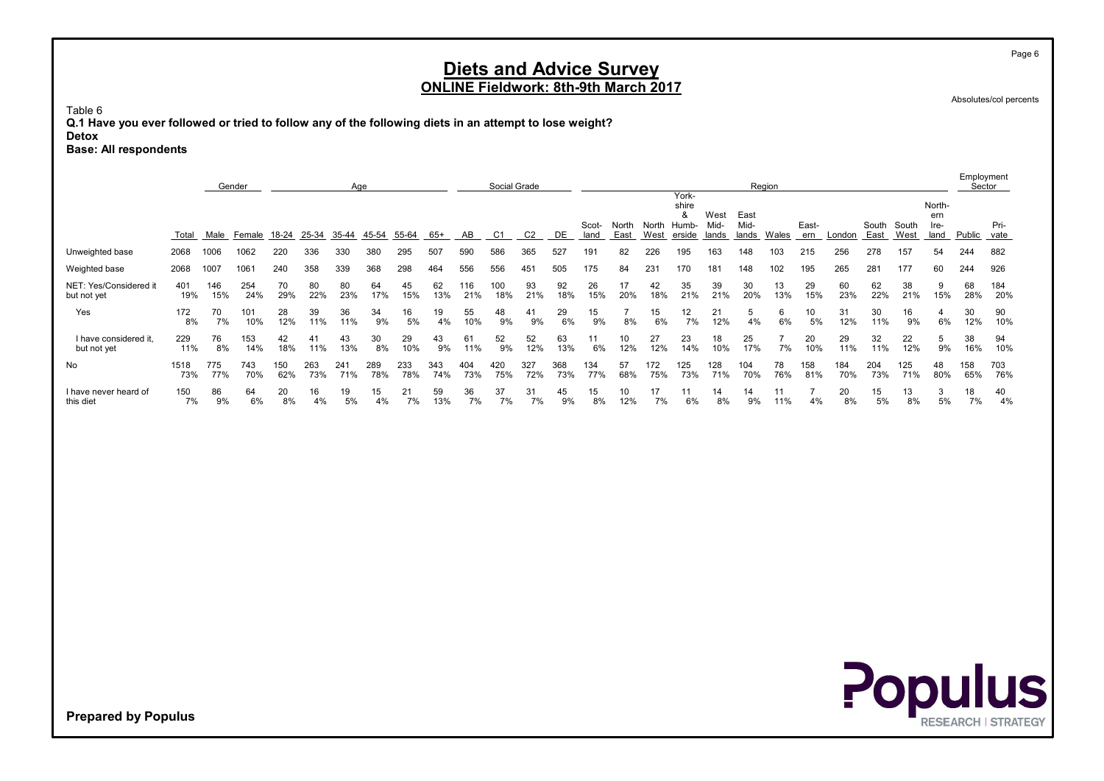Absolutes/col percents

**RESEARCH | STRATEGY** 

Table 6 Q.1 Have you ever followed or tried to follow any of the following diets in an attempt to lose weight?

Detox

Base: All respondents

|                                       |             |            | Gender     |             |            | Age        |            |            |            |            | Social Grade   |                |            |               |                      |            |                                              |                       |              | Region               |                      |            |               |               |                               | Employment | Sector        |
|---------------------------------------|-------------|------------|------------|-------------|------------|------------|------------|------------|------------|------------|----------------|----------------|------------|---------------|----------------------|------------|----------------------------------------------|-----------------------|--------------|----------------------|----------------------|------------|---------------|---------------|-------------------------------|------------|---------------|
|                                       | Total       | Male       | Female     | 18-24 25-34 |            | 35-44      | 45-54      | 55-64      | $65+$      | AB         | C <sub>1</sub> | C <sub>2</sub> | DE         | Scot-<br>land | North<br>East        | West       | York-<br>shire<br>&<br>North Humb-<br>erside | West<br>Mid-<br>lands | East<br>Mid- | lands Wales          | East-<br>ern         | London     | South<br>East | South<br>West | North-<br>ern<br>Ire-<br>land | Public     | Pri-<br>vate  |
| Unweighted base                       | 2068        | 1006       | 1062       | 220         | 336        | 330        | 380        | 295        | 507        | 590        | 586            | 365            | 527        | 191           | 82                   | 226        | 195                                          | 163                   | 148          | 103                  | 215                  | 256        | 278           | 157           | 54                            | 244        | 882           |
| Weighted base                         | 2068        | 1007       | 1061       | 240         | 358        | 339        | 368        | 298        | 464        | 556        | 556            | 451            | 505        | 175           | 84                   | 231        | 170                                          | 181                   | 148          | 102                  | 195                  | 265        | 281           | 177           | 60                            | 244        | 926           |
| NET: Yes/Considered it<br>but not yet | 401<br>19%  | 146<br>15% | 254<br>24% | 70<br>29%   | 80<br>22%  | 80<br>23%  | 64<br>17%  | 45<br>15%  | 62<br>13%  | 116<br>21% | 100<br>18%     | 93<br>21%      | 92<br>18%  | 26<br>15%     | 17<br>20%            | 42<br>18%  | 35<br>21%                                    | 39<br>21%             | 30<br>20%    | 13<br>13%            | 29<br>15%            | 60<br>23%  | 62<br>22%     | 38<br>21%     | 9<br>15%                      | 68<br>28%  | 184<br>20%    |
| Yes                                   | 172<br>8%   | 70<br>7%   | 101<br>10% | 28<br>12%   | 39<br>11%  | 36<br>11%  | 34<br>9%   | 16<br>5%   | 19<br>4%   | 55<br>10%  | 48<br>9%       | 41<br>9%       | 29<br>6%   | 15<br>9%      | $\overline{7}$<br>8% | 15<br>6%   | 12<br>7%                                     | 21<br>12%             | 5<br>4%      | 6<br>6%              | 10<br>5%             | 31<br>12%  | 30<br>11%     | 16<br>9%      | 4<br>6%                       | 30<br>12%  | 90<br>10%     |
| I have considered it,<br>but not yet  | 229<br>11%  | 76<br>8%   | 153<br>14% | 42<br>18%   | 41<br>11%  | 43<br>13%  | 30<br>8%   | 29<br>10%  | 43<br>9%   | 61<br>11%  | 52<br>9%       | 52<br>12%      | 63<br>13%  | 11<br>6%      | 10<br>12%            | 27<br>12%  | 23<br>14%                                    | 18<br>10%             | 25<br>17%    | $\overline{7}$<br>7% | 20<br>10%            | 29<br>11%  | 32<br>11%     | 22<br>12%     | 5<br>9%                       | 38<br>16%  | 94<br>10%     |
| No                                    | 1518<br>73% | 775<br>77% | 743<br>70% | 150<br>62%  | 263<br>73% | 241<br>71% | 289<br>78% | 233<br>78% | 343<br>74% | 404<br>73% | 420<br>75%     | 327<br>72%     | 368<br>73% | 134<br>77%    | 57<br>68%            | 172<br>75% | 125<br>73%                                   | 128<br>71%            | 104<br>70%   | 78<br>76%            | 158<br>81%           | 184<br>70% | 204<br>73%    | 125<br>71%    | 48<br>80%                     | 158<br>65% | 703<br>76%    |
| I have never heard of<br>this diet    | 150<br>7%   | 86<br>9%   | 64<br>6%   | 20<br>8%    | 16<br>4%   | 19<br>5%   | 15<br>4%   | 21<br>7%   | 59<br>13%  | 36<br>7%   | 37<br>7%       | 31<br>7%       | 45<br>9%   | 15<br>8%      | 10<br>12%            | 17<br>7%   | 11<br>6%                                     | 14<br>8%              | 14<br>9%     | 11<br>11%            | $\overline{7}$<br>4% | 20<br>8%   | 15<br>5%      | 13<br>8%      | 3<br>5%                       | 18<br>7%   | 40<br>4%      |
|                                       |             |            |            |             |            |            |            |            |            |            |                |                |            |               |                      |            |                                              |                       |              |                      |                      |            |               |               |                               |            |               |
|                                       |             |            |            |             |            |            |            |            |            |            |                |                |            |               |                      |            |                                              |                       |              |                      |                      |            |               |               |                               |            | <b>Populu</b> |

Prepared by Populus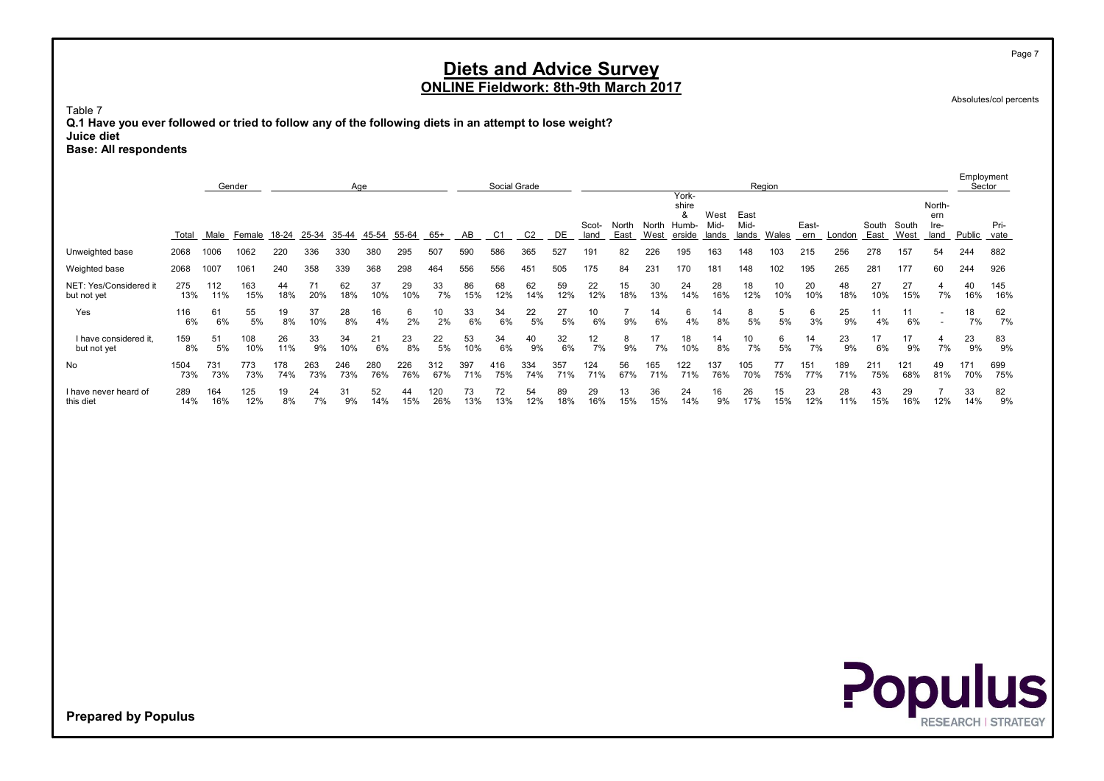Q.1 Have you ever followed or tried to follow any of the following diets in an attempt to lose weight?

Base: All respondents

Table 7

Juice diet

|                                                        |              |              | Gender       |            |            | Age        |            |            |            |            | Social Grade   |                |            |            |                      |             |                     |              | Region       |            |            |            |             |            |                          | Employment<br>Sector |                            |
|--------------------------------------------------------|--------------|--------------|--------------|------------|------------|------------|------------|------------|------------|------------|----------------|----------------|------------|------------|----------------------|-------------|---------------------|--------------|--------------|------------|------------|------------|-------------|------------|--------------------------|----------------------|----------------------------|
|                                                        |              |              |              |            |            |            |            |            |            |            |                |                |            | Scot-      | North                | North Humb- | York-<br>shire<br>& | West<br>Mid- | East<br>Mid- |            | East-      |            | South South |            | North-<br>ern<br>Ire-    |                      | Pri-                       |
|                                                        | Total        | Male         | Female       | 18-24      | 25-34      | 35-44      | 45-54      | 55-64      | $65+$      | AB         | C <sub>1</sub> | C <sub>2</sub> | DE         | land       | East                 | West        | erside              | lands        | lands Wales  |            | ern        | London     | East        | West       | land                     | Public               | vate                       |
| Unweighted base                                        | 2068<br>2068 | 1006<br>1007 | 1062<br>1061 | 220<br>240 | 336<br>358 | 330<br>339 | 380<br>368 | 295<br>298 | 507<br>464 | 590<br>556 | 586<br>556     | 365<br>451     | 527<br>505 | 191<br>175 | 82<br>84             | 226<br>231  | 195<br>170          | 163<br>181   | 148<br>148   | 103<br>102 | 215<br>195 | 256<br>265 | 278<br>281  | 157<br>177 | 54<br>60                 | 244<br>244           | 882<br>926                 |
| Weighted base<br>NET: Yes/Considered it<br>but not yet | 275<br>13%   | 112<br>11%   | 163<br>15%   | 44<br>18%  | 71<br>20%  | 62<br>18%  | 37<br>10%  | 29<br>10%  | 33<br>7%   | 86<br>15%  | 68<br>12%      | 62<br>14%      | 59<br>12%  | 22<br>12%  | 15<br>18%            | 30<br>13%   | 24<br>14%           | 28<br>16%    | 18<br>12%    | 10<br>10%  | 20<br>10%  | 48<br>18%  | 27<br>10%   | 27<br>15%  | 4<br>7%                  | 40<br>16%            | 145<br>16%                 |
| Yes                                                    | 116<br>6%    | 61<br>6%     | 55<br>5%     | 19<br>8%   | 37<br>10%  | 28<br>8%   | 16<br>4%   | 6<br>2%    | 10<br>2%   | 33<br>6%   | 34<br>6%       | 22<br>5%       | 27<br>5%   | 10<br>6%   | $\overline{7}$<br>9% | 14<br>6%    | 6<br>4%             | 14<br>8%     | 8<br>5%      | 5<br>5%    | 6<br>3%    | 25<br>9%   | 11<br>4%    | 11<br>6%   | $\overline{\phantom{a}}$ | 18<br>7%             | 62<br>7%                   |
| I have considered it,<br>but not yet                   | 159<br>8%    | 51<br>5%     | 108<br>10%   | 26<br>11%  | 33<br>9%   | 34<br>10%  | 21<br>6%   | 23<br>8%   | 22<br>5%   | 53<br>10%  | 34<br>6%       | 40<br>9%       | 32<br>6%   | 12<br>7%   | 8<br>9%              | 17<br>7%    | 18<br>10%           | 14<br>8%     | 10<br>7%     | 6<br>5%    | 14<br>7%   | 23<br>9%   | 17<br>6%    | 17<br>9%   | $\overline{4}$<br>7%     | 23<br>9%             | 83<br>9%                   |
| No                                                     | 1504<br>73%  | 731<br>73%   | 773<br>73%   | 178<br>74% | 263<br>73% | 246<br>73% | 280<br>76% | 226<br>76% | 312<br>67% | 397<br>71% | 416<br>75%     | 334<br>74%     | 357<br>71% | 124<br>71% | 56<br>67%            | 165<br>71%  | 122<br>71%          | 137<br>76%   | 105<br>70%   | 77<br>75%  | 151<br>77% | 189<br>71% | 211<br>75%  | 121<br>68% | 49<br>81%                | 171<br>70%           | 699<br>75%                 |
| I have never heard of<br>this diet                     | 289<br>14%   | 164<br>16%   | 125<br>12%   | 19<br>8%   | 24<br>7%   | 31<br>9%   | 52<br>14%  | 44<br>15%  | 120<br>26% | 73<br>13%  | 72<br>13%      | 54<br>12%      | 89<br>18%  | 29<br>16%  | 13<br>15%            | 36<br>15%   | 24<br>14%           | 16<br>9%     | 26<br>17%    | 15<br>15%  | 23<br>12%  | 28<br>11%  | 43<br>15%   | 29<br>16%  | $\overline{7}$<br>12%    | 33<br>14%            | 82<br>9%                   |
|                                                        |              |              |              |            |            |            |            |            |            |            |                |                |            |            |                      |             |                     |              |              |            |            |            |             |            |                          |                      |                            |
|                                                        |              |              |              |            |            |            |            |            |            |            |                |                |            |            |                      |             |                     |              |              |            |            |            |             |            |                          |                      |                            |
|                                                        |              |              |              |            |            |            |            |            |            |            |                |                |            |            |                      |             |                     |              |              |            |            |            |             |            |                          |                      |                            |
|                                                        |              |              |              |            |            |            |            |            |            |            |                |                |            |            |                      |             |                     |              |              |            |            |            |             |            |                          |                      |                            |
|                                                        |              |              |              |            |            |            |            |            |            |            |                |                |            |            |                      |             |                     |              |              |            |            |            |             |            |                          |                      |                            |
|                                                        |              |              |              |            |            |            |            |            |            |            |                |                |            |            |                      |             |                     |              |              |            |            |            |             |            |                          |                      |                            |
|                                                        |              |              |              |            |            |            |            |            |            |            |                |                |            |            |                      |             |                     |              |              |            |            |            |             |            |                          |                      |                            |
|                                                        |              |              |              |            |            |            |            |            |            |            |                |                |            |            |                      |             |                     |              |              |            |            |            |             |            |                          |                      |                            |
|                                                        |              |              |              |            |            |            |            |            |            |            |                |                |            |            |                      |             |                     |              |              |            |            |            |             |            |                          |                      |                            |
|                                                        |              |              |              |            |            |            |            |            |            |            |                |                |            |            |                      |             |                     |              |              |            |            |            |             |            |                          |                      | Populus                    |
| <b>Prepared by Populus</b>                             |              |              |              |            |            |            |            |            |            |            |                |                |            |            |                      |             |                     |              |              |            |            |            |             |            |                          |                      | <b>RESEARCH   STRATEGY</b> |

Absolutes/col percents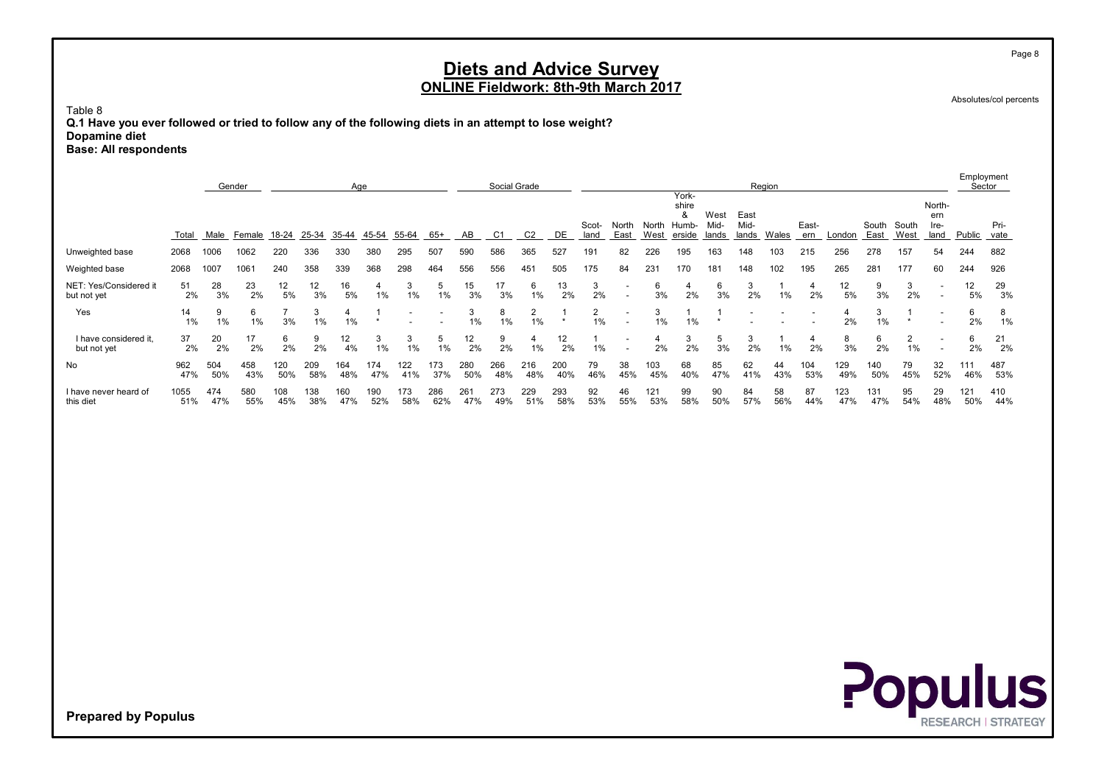Table 8 Q.1 Have you ever followed or tried to follow any of the following diets in an attempt to lose weight? Dopamine diet

Base: All respondents

|                                       |             |            | Gender     |            |            |            | Age        |                          |            |            | Social Grade |                |            |               |                                                      |               |                                         |                       |                       | Region    |              |            |               |               |                               | Employment | Sector       |
|---------------------------------------|-------------|------------|------------|------------|------------|------------|------------|--------------------------|------------|------------|--------------|----------------|------------|---------------|------------------------------------------------------|---------------|-----------------------------------------|-----------------------|-----------------------|-----------|--------------|------------|---------------|---------------|-------------------------------|------------|--------------|
|                                       | Total       | Male       | Female     | 18-24      | 25-34      | 35-44      | 45-54      | 55-64                    | 65+        | AB         | C1           | C <sub>2</sub> | DE         | Scot-<br>land | North<br>East                                        | North<br>West | York-<br>shire<br>୍ୟ<br>Humb-<br>erside | West<br>Mid-<br>lands | East<br>Mid-<br>lands | Wales     | East-<br>ern | London     | South<br>East | South<br>West | North-<br>ern<br>Ire-<br>land | Public     | Pri-<br>vate |
| Unweighted base                       | 2068        | 1006       | 1062       | 220        | 336        | 330        | 380        | 295                      | 507        | 590        | 586          | 365            | 527        | 191           | 82                                                   | 226           | 195                                     | 163                   | 148                   | 103       | 215          | 256        | 278           | 157           | 54                            | 244        | 882          |
| Weighted base                         | 2068        | 1007       | 1061       | 240        | 358        | 339        | 368        | 298                      | 464        | 556        | 556          | 451            | 505        | 175           | 84                                                   | 231           | 170                                     | 181                   | 148                   | 102       | 195          | 265        | 281           | 177           | 60                            | 244        | 926          |
| NET: Yes/Considered it<br>but not yet | 51<br>2%    | 28<br>3%   | 23<br>2%   | 12<br>5%   | 12<br>3%   | 16<br>5%   | 1%         | 1%                       | 1%         | 15<br>3%   | 17<br>3%     | 6<br>1%        | 13<br>2%   | 3<br>2%       | $\overline{\phantom{a}}$<br>$\overline{\phantom{a}}$ | 6<br>3%       | 2%                                      | 6<br>3%               | 3<br>2%               | $1\%$     | 2%           | 12<br>5%   | 9<br>3%       | 3<br>2%       | $\overline{\phantom{a}}$      | 12<br>5%   | 29<br>3%     |
| Yes                                   | 14<br>1%    | 9<br>1%    | 6<br>1%    | 3%         | 3<br>$1\%$ | 1%         |            | $\overline{\phantom{a}}$ |            | 3<br>1%    | 8<br>1%      | 2<br>1%        | $\star$    | 2<br>1%       | $\overline{\phantom{a}}$<br>$\overline{\phantom{a}}$ | 3<br>$1\%$    | $1\%$                                   |                       |                       |           |              | 2%         | 3<br>1%       | $\star$       | $\overline{\phantom{a}}$      | 6<br>2%    | 8<br>1%      |
| I have considered it,<br>but not yet  | 37<br>2%    | 20<br>2%   | 17<br>2%   | 6<br>2%    | 9<br>2%    | 12<br>4%   | 3<br>$1\%$ | 3<br>1%                  | b.<br>1%   | 12<br>2%   | 9<br>2%      | 1%             | 12<br>2%   | 1%            |                                                      | 2%            | 3<br>2%                                 | 5<br>3%               | 3<br>2%               | $1\%$     | 4<br>2%      | 8<br>3%    | 6<br>2%       | 2<br>1%       |                               | 6<br>2%    | 21<br>2%     |
| No                                    | 962<br>47%  | 504<br>50% | 458<br>43% | 120<br>50% | 209<br>58% | 164<br>48% | 174<br>47% | 122<br>41%               | 173<br>37% | 280<br>50% | 266<br>48%   | 216<br>48%     | 200<br>40% | 79<br>46%     | 38<br>45%                                            | 103<br>45%    | 68<br>40%                               | 85<br>47%             | 62<br>41%             | 44<br>43% | 104<br>53%   | 129<br>49% | 140<br>50%    | 79<br>45%     | 32<br>52%                     | 111<br>46% | 487<br>53%   |
| I have never heard of<br>this diet    | 1055<br>51% | 474<br>47% | 580<br>55% | 108<br>45% | 138<br>38% | 160<br>47% | 190<br>52% | 173<br>58%               | 286<br>62% | 261<br>47% | 273<br>49%   | 229<br>51%     | 293<br>58% | 92<br>53%     | 46<br>55%                                            | 121<br>53%    | 99<br>58%                               | 90<br>50%             | 84<br>57%             | 58<br>56% | 87<br>44%    | 123<br>47% | 131<br>47%    | 95<br>54%     | 29<br>48%                     | 121<br>50% | 410<br>44%   |

Prepared by Populus



Page 8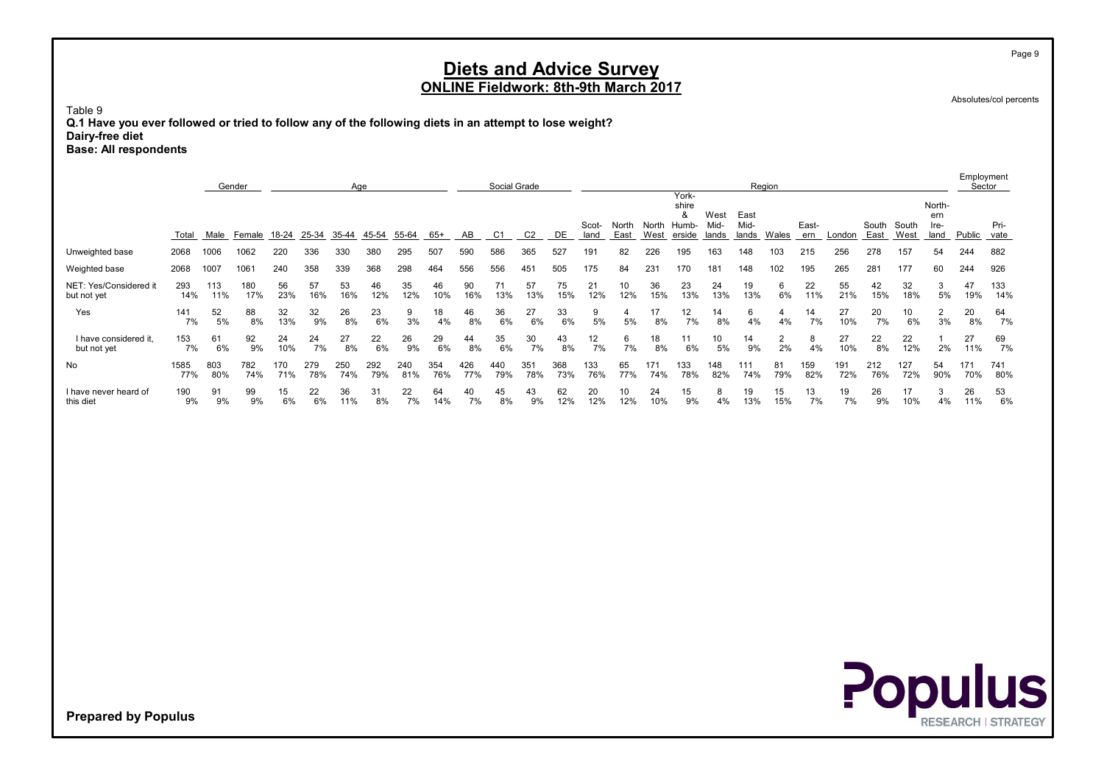Absolutes/col percents

Page 9

Table 9 Q.1 Have you ever followed or tried to follow any of the following diets in an attempt to lose weight? Dairy-free diet Base: All respondents

|                        |       |      | Gender       |     |     | Age         |       |       |       |     | Social Grade   |                |     |               |      |      |                                                          |              |                       | Region         |              |        |                     |      |                               | Employment<br>Sector |              |
|------------------------|-------|------|--------------|-----|-----|-------------|-------|-------|-------|-----|----------------|----------------|-----|---------------|------|------|----------------------------------------------------------|--------------|-----------------------|----------------|--------------|--------|---------------------|------|-------------------------------|----------------------|--------------|
|                        | Total | Male | Female 18-24 |     |     | 25-34 35-44 | 45-54 | 55-64 | $65+$ | AB  | C <sub>1</sub> | C <sub>2</sub> | DE  | Scot-<br>land | East | West | York-<br>shire<br>&<br>North North Humb-<br>erside lands | West<br>Mid- | East<br>Mid-<br>lands | Wales          | East-<br>ern | London | South South<br>East | West | North-<br>ern<br>Ire-<br>land | Public               | Pri-<br>vate |
| Unweighted base        | 2068  | 1006 | 1062         | 220 | 336 | 330         | 380   | 295   | 507   | 590 | 586            | 365            | 527 | 191           | 82   | 226  | 195                                                      | 163          | 148                   | 103            | 215          | 256    | 278                 | 157  | 54                            | 244                  | 882          |
| Weighted base          | 2068  | 1007 | 1061         | 240 | 358 | 339         | 368   | 298   | 464   | 556 | 556            | 451            | 505 | 175           | 84   | 231  | 170                                                      | 181          | 148                   | 102            | 195          | 265    | 281                 | 177  | 60                            | 244                  | 926          |
| NET: Yes/Considered it | 293   | 113  | 180          | 56  | 57  | 53          | 46    | 35    | 46    | 90  | 71             | 57             | 75  | 21            | 10   | 36   | 23                                                       | 24           | 19                    | 6              | 22           | 55     | 42                  | 32   | 3                             | 47                   | 133          |
| but not yet            | 14%   | 11%  | 17%          | 23% | 16% | 16%         | 12%   | 12%   | 10%   | 16% | 13%            | 13%            | 15% | 12%           | 12%  | 15%  | 13%                                                      | 13%          | 13%                   | 6%             | 11%          | 21%    | 15%                 | 18%  | 5%                            | 19%                  | 14%          |
| Yes                    | 141   | 52   | 88           | 32  | 32  | 26          | 23    | 9     | 18    | 46  | 36             | 27             | 33  | 9             | 4    | 17   | 12                                                       | 14           | 6                     | $\overline{4}$ | 14           | 27     | 20                  | 10   | 2                             | 20                   | 64           |
|                        | 7%    | 5%   | 8%           | 13% | 9%  | 8%          | 6%    | 3%    | 4%    | 8%  | 6%             | 6%             | 6%  | 5%            | 5%   | 8%   | 7%                                                       | 8%           | 4%                    | 4%             | 7%           | 10%    | 7%                  | 6%   | 3%                            | 8%                   | 7%           |
| I have considered it,  | 153   | 61   | 92           | 24  | 24  | 27          | 22    | 26    | 29    | 44  | 35             | 30             | 43  | 12            | 6    | 18   | 11                                                       | 10           | 14                    | $\overline{2}$ | 8            | 27     | 22                  | 22   | 2%                            | 27                   | 69           |
| but not yet            | 7%    | 6%   | 9%           | 10% | 7%  | 8%          | 6%    | 9%    | 6%    | 8%  | 6%             | 7%             | 8%  | 7%            | 7%   | 8%   | 6%                                                       | 5%           | 9%                    | 2%             | 4%           | 10%    | 8%                  | 12%  |                               | 11%                  | 7%           |
| No                     | 1585  | 803  | 782          | 170 | 279 | 250         | 292   | 240   | 354   | 426 | 440            | 351            | 368 | 133           | 65   | 171  | 133                                                      | 148          | 111                   | 81             | 159          | 191    | 212                 | 127  | 54                            | 171                  | 741          |
|                        | 77%   | 80%  | 74%          | 71% | 78% | 74%         | 79%   | 81%   | 76%   | 77% | 79%            | 78%            | 73% | 76%           | 77%  | 74%  | 78%                                                      | 82%          | 74%                   | 79%            | 82%          | 72%    | 76%                 | 72%  | 90%                           | 70%                  | 80%          |
| I have never heard of  | 190   | 91   | 99           | 15  | 22  | 36          | 31    | 22    | 64    | 40  | 45             | 43             | 62  | 20            | 10   | 24   | 15                                                       | 8            | 19                    | 15             | 13           | 19     | 26                  | 17   | 3                             | 26                   | 53           |
| this diet              | 9%    | 9%   | 9%           | 6%  | 6%  | 11%         | 8%    | 7%    | 14%   | 7%  | 8%             | 9%             | 12% | 12%           | 12%  | 10%  | 9%                                                       | 4%           | 13%                   | 15%            | 7%           | 7%     | 9%                  | 10%  | 4%                            | 11%                  | 6%           |
|                        |       |      |              |     |     |             |       |       |       |     |                |                |     |               |      |      |                                                          |              |                       |                |              |        |                     |      |                               |                      |              |

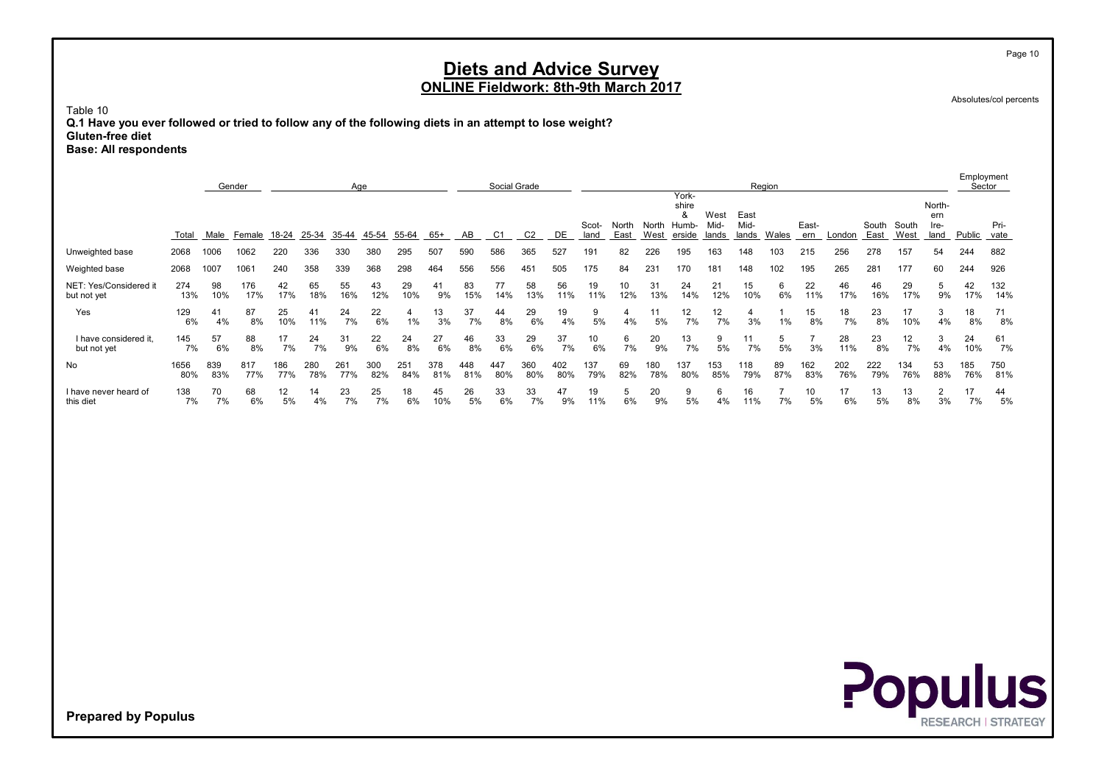Q.1 Have you ever followed or tried to follow any of the following diets in an attempt to lose weight? Gluten-free diet Base: All respondents

Employment Gender <sub>Age</sub> Age Sector Social Grade <u>Communication Social Grade Communications of the Sector Sector Sector Sector</u> York-<br>shire shire **North-**& West East ern Scot- North North Humb- Mid-<br>
1991 - Land East West erside lands lands Wales ern London East West land Public vate Total Male Female 18-24 25-34 35-44 45-54 55-64 65+ AB C1 C2 DE Unweighted base 2068 1006 1062 220 336 330 380 295 507 590 586 365 527 191 82 226 195 163 148 103 215 256 278 157 54 244 882 Weighted base 2068 1007 1061 240 358 339 368 298 464 556 451 505 175 84 231 170 181 148 102 195 265 281 177 60 244 926 NET: Yes/Considered it 274 98 176 42 65 55 43 29 41 83 77 58 56 19 10 31 24 21 15 6 22 46 46 29 5 42 132 but not yet 13% 10% 17% 17% 18% 16% 12% 10% 9% 15% 14% 13% 11% 11% 12% 13% 14% 12% 10% 6% 11% 17% 16% 17% 9% 17% 14% Yes 129 41 87 25 41 24 22 4 13 37 44 29 19 9 4 11 12 12 4 1 15 18 23 17 3 18 71 6% 4% 8% 10% 11% 7% 6% 1% 3% 7% 8% 6% 4% 5% 4% 5% 7% 7% 3% 1% 8% 7% 8% 10% 4% 8% 8% I have considered it, 145 57 88 17 24 31 22 24 27 46 33 29 37 10 6 20 13 9 11 5 7 28 23 12 3 24 61 but not yet 7% 6% 8% 7% 7% 9% 6% 8% 6% 8% 6% 6% 7% 6% 7% 9% 7% 5% 7% 5% 3% 11% 8% 7% 4% 10% 7% No 1656 839 817 186 280 261 300 251 378 448 447 360 402 137 69 180 137 153 118 89 162 202 222 134 53 185 750 80% 83% 77% 77% 78% 77% 82% 84% 81% 81% 80% 80% 80% 79% 82% 78% 80% 85% 79% 87% 83% 76% 79% 76% 88% 76% 81% I have never heard of 138 70 68 12 14 23 25 18 45 26 33 33 47 19 5 20 9 6 16 7 10 17 13 13 2 17 44 this diet 7% 7% 6% 5% 4% 7% 7% 6% 10% 5% 6% 7% 9% 11% 6% 9% 5% 4% 11% 7% 5% 6% 5% 8% 3% 7% 5%

Table 10

Prepared by Populus



Page 10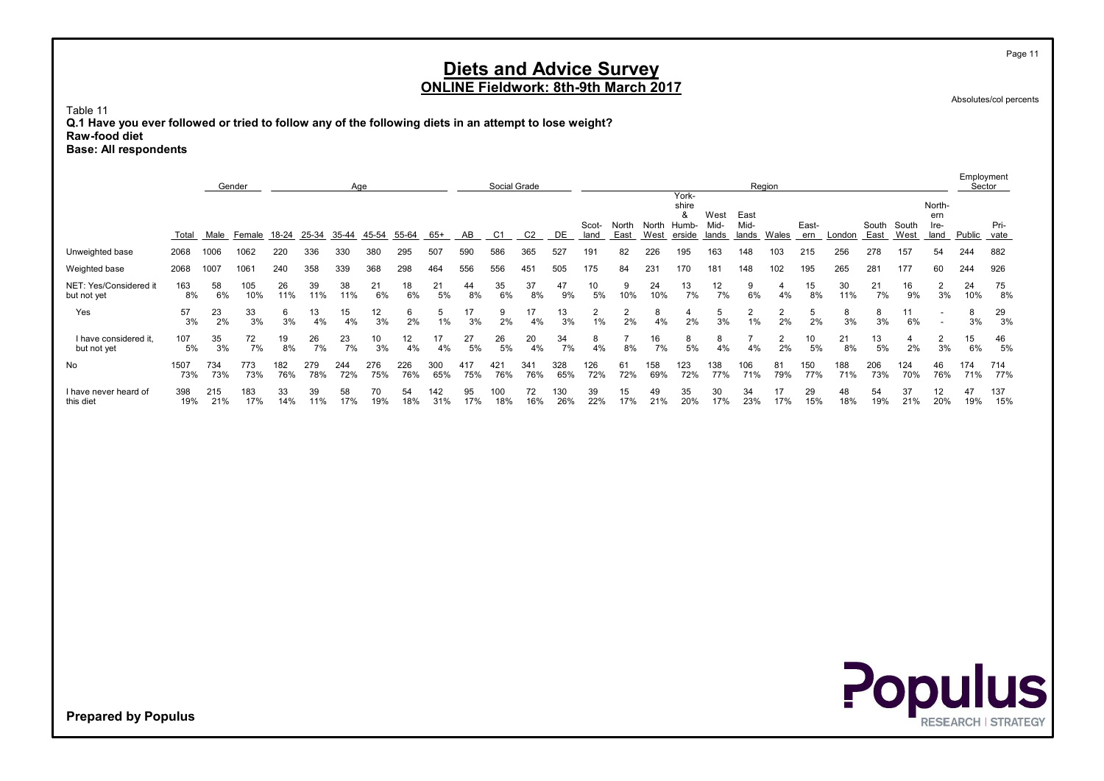Absolutes/col percents

Page 11

Table 11 Q.1 Have you ever followed or tried to follow any of the following diets in an attempt to lose weight? Raw-food diet

Base: All respondents

|                                       |             |            | Gender     |            |            | Age        |             |            |            |            | Social Grade |                |            |            |                      |            |                              |              |                      | Region    |            |            |             |            |                       | Employment | Sector     |
|---------------------------------------|-------------|------------|------------|------------|------------|------------|-------------|------------|------------|------------|--------------|----------------|------------|------------|----------------------|------------|------------------------------|--------------|----------------------|-----------|------------|------------|-------------|------------|-----------------------|------------|------------|
|                                       |             |            |            |            |            |            |             |            |            |            |              |                |            | Scot-      | North                | North      | York-<br>shire<br>&<br>Humb- | West<br>Mid- | East<br>Mid-         |           | East-      |            | South South |            | North-<br>ern<br>Ire- |            | Pri-       |
|                                       | Total       | Male       | Female     | 18-24      | 25-34      | 35-44      | 45-54 55-64 |            | 65+        | AB         | C1           | C <sub>2</sub> | DE         | land       | East                 | West       | erside                       | lands        | lands                | Wales     | ern        | London     | East        | West       | land                  | Public     | vate       |
| Unweighted base                       | 2068        | 1006       | 1062       | 220        | 336        | 330        | 380         | 295        | 507        | 590        | 586          | 365            | 527        | 191        | 82                   | 226        | 195                          | 163          | 148                  | 103       | 215        | 256        | 278         | 157        | 54                    | 244        | 882        |
| Weighted base                         | 2068        | 1007       | 1061       | 240        | 358        | 339        | 368         | 298        | 464        | 556        | 556          | 451            | 505        | 175        | 84                   | 231        | 170                          | 181          | 148                  | 102       | 195        | 265        | 281         | 177        | 60                    | 244        | 926        |
| NET: Yes/Considered it<br>but not yet | 163<br>8%   | 58<br>6%   | 105<br>10% | 26<br>11%  | 39<br>11%  | 38<br>11%  | 21<br>6%    | 18<br>6%   | 21<br>5%   | 44<br>8%   | 35<br>6%     | 37<br>8%       | 47<br>9%   | 10<br>5%   | 9<br>10%             | 24<br>10%  | 13<br>7%                     | 12<br>7%     | 9<br>6%              | 4<br>4%   | 15<br>8%   | 30<br>11%  | 21<br>7%    | 16<br>9%   | 2<br>3%               | 24<br>10%  | 75<br>8%   |
| Yes                                   | 57<br>3%    | 23<br>2%   | 33<br>3%   | 6<br>3%    | 13<br>4%   | 15<br>4%   | 12<br>3%    | 6<br>2%    | 5<br>1%    | 17<br>3%   | 9<br>2%      | 17<br>4%       | 13<br>3%   | 2<br>1%    | $\overline{2}$<br>2% | 8<br>4%    | 4<br>2%                      | 5<br>3%      | $\overline{2}$<br>1% | 2<br>2%   | 5<br>2%    | 8<br>3%    | 8<br>3%     | 11<br>6%   |                       | 8<br>3%    | 29<br>3%   |
| I have considered it.<br>but not yet  | 107<br>5%   | 35<br>3%   | 72<br>7%   | 19<br>8%   | 26<br>7%   | 23<br>7%   | 10<br>3%    | 12<br>4%   | 17<br>4%   | 27<br>5%   | 26<br>5%     | 20<br>4%       | 34<br>7%   | 8<br>4%    | 8%                   | 16<br>7%   | 8<br>5%                      | 8<br>4%      | 4%                   | 2<br>2%   | 10<br>5%   | 21<br>8%   | 13<br>5%    | 4<br>2%    | 2<br>3%               | 15<br>6%   | 46<br>5%   |
| No                                    | 1507<br>73% | 734<br>73% | 773<br>73% | 182<br>76% | 279<br>78% | 244<br>72% | 276<br>75%  | 226<br>76% | 300<br>65% | 417<br>75% | 421<br>76%   | 341<br>76%     | 328<br>65% | 126<br>72% | 61<br>72%            | 158<br>69% | 123<br>72%                   | 138<br>77%   | 106<br>71%           | 81<br>79% | 150<br>77% | 188<br>71% | 206<br>73%  | 124<br>70% | 46<br>76%             | 174<br>71% | 714<br>77% |
| I have never heard of<br>this diet    | 398<br>19%  | 215<br>21% | 183<br>17% | 33<br>14%  | 39<br>11%  | 58<br>17%  | 70<br>19%   | 54<br>18%  | 142<br>31% | 95<br>17%  | 100<br>18%   | 72<br>16%      | 130<br>26% | 39<br>22%  | 15<br>17%            | 49<br>21%  | 35<br>20%                    | 30<br>17%    | 34<br>23%            | 17<br>17% | 29<br>15%  | 48<br>18%  | 54<br>19%   | 37<br>21%  | 12<br>20%             | 47<br>19%  | 137<br>15% |
|                                       |             |            |            |            |            |            |             |            |            |            |              |                |            |            |                      |            |                              |              |                      |           |            |            |             |            |                       |            |            |
|                                       |             |            |            |            |            |            |             |            |            |            |              |                |            |            |                      |            |                              |              |                      |           |            |            |             |            |                       |            |            |
|                                       |             |            |            |            |            |            |             |            |            |            |              |                |            |            |                      |            |                              |              |                      |           |            |            |             |            |                       |            |            |
|                                       |             |            |            |            |            |            |             |            |            |            |              |                |            |            |                      |            |                              |              |                      |           |            |            |             |            |                       |            |            |

**Populus**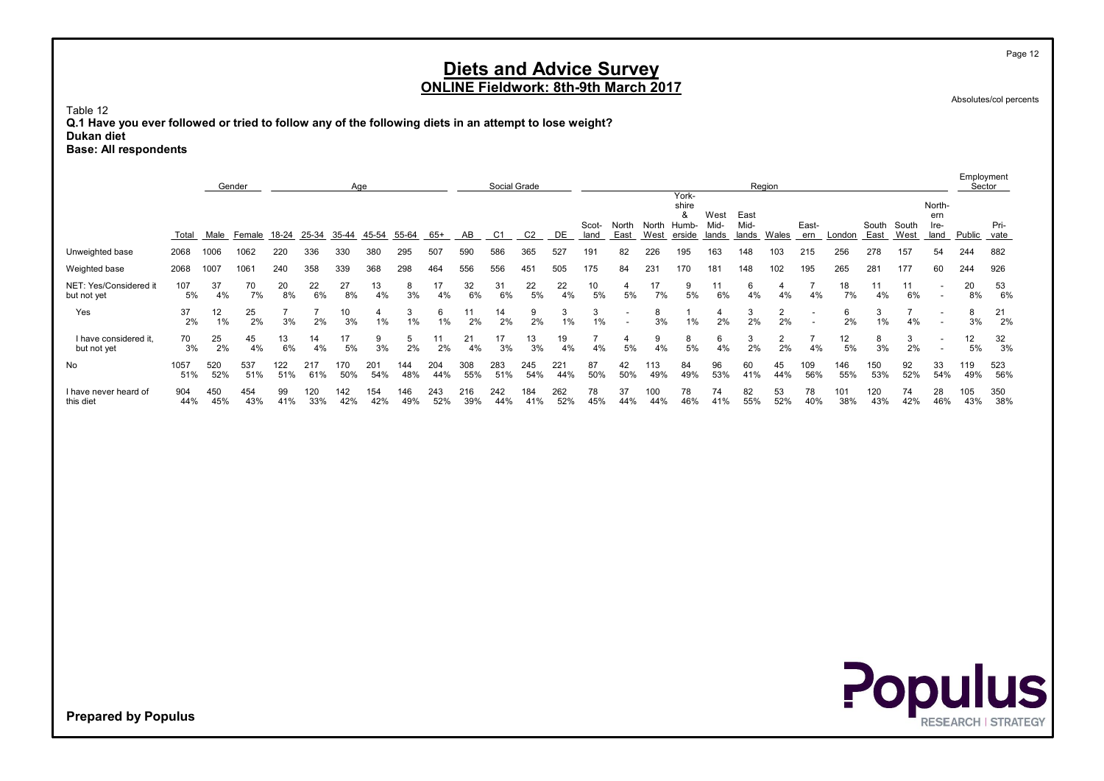Table 12 Q.1 Have you ever followed or tried to follow any of the following diets in an attempt to lose weight? Dukan diet

Base: All respondents

|                                       |             |            | Gender     |            |            |            | Age        |            |            |            | Social Grade |            |            |               |               |               |                                        |                       |                       | Region    |              |            |               |               |                               | Employment | Sector       |
|---------------------------------------|-------------|------------|------------|------------|------------|------------|------------|------------|------------|------------|--------------|------------|------------|---------------|---------------|---------------|----------------------------------------|-----------------------|-----------------------|-----------|--------------|------------|---------------|---------------|-------------------------------|------------|--------------|
|                                       | Total       | Male       | Female     | 18-24      | 25-34      | 35-44      | 45-54      | 55-64      | $65+$      | AB         | C1           | C2         | DE         | Scot-<br>land | North<br>East | North<br>West | York-<br>shire<br>ă<br>Humb-<br>erside | West<br>Mid-<br>lands | East<br>Mid-<br>lands | Wales     | East-<br>ern | London     | South<br>East | South<br>West | North-<br>ern<br>Ire-<br>land | Public     | Pri-<br>vate |
| Unweighted base                       | 2068        | 1006       | 1062       | 220        | 336        | 330        | 380        | 295        | 507        | 590        | 586          | 365        | 527        | 191           | 82            | 226           | 195                                    | 163                   | 148                   | 103       | 215          | 256        | 278           | 157           | 54                            | 244        | 882          |
| Weighted base                         | 2068        | 1007       | 1061       | 240        | 358        | 339        | 368        | 298        | 464        | 556        | 556          | 451        | 505        | 175           | 84            | 231           | 170                                    | 181                   | 148                   | 102       | 195          | 265        | 281           | 177           | 60                            | 244        | 926          |
| NET: Yes/Considered it<br>but not yet | 107<br>5%   | 37<br>4%   | 70<br>7%   | 20<br>8%   | 22<br>6%   | 27<br>8%   | 13<br>4%   | 8<br>3%    | 17<br>4%   | 32<br>6%   | 31<br>6%     | 22<br>5%   | 22<br>4%   | 10<br>5%      | 4<br>5%       | 17<br>7%      | 9<br>5%                                | 11<br>6%              | 6<br>4%               | 4<br>4%   | 4%           | 18<br>7%   | 11<br>4%      | 11<br>6%      |                               | 20<br>8%   | 53<br>6%     |
| Yes                                   | 37<br>2%    | 12<br>1%   | 25<br>2%   | 3%         | 2%         | 10<br>3%   | 1%         | 3<br>1%    | 6<br>$1\%$ | 11<br>2%   | 14<br>2%     | 9<br>2%    | 3<br>$1\%$ | 3<br>1%       |               | 8<br>3%       | 1%                                     | 2%                    | 3<br>2%               | 2<br>2%   |              | 6<br>2%    | 3<br>1%       | 4%            |                               | 8<br>3%    | 21<br>2%     |
| I have considered it,<br>but not yet  | 70<br>3%    | 25<br>2%   | 45<br>4%   | 13<br>6%   | 14<br>4%   | 17<br>5%   | 3%         | 5<br>2%    | 2%         | 21<br>4%   | 17<br>3%     | 13<br>3%   | 19<br>4%   | 4%            | 5%            | 9<br>4%       | 8<br>5%                                | 6<br>4%               | 3<br>2%               | 2<br>2%   | 4%           | 12<br>5%   | 8<br>3%       | 3<br>2%       | $\overline{\phantom{a}}$      | 12<br>5%   | 32<br>3%     |
| No                                    | 1057<br>51% | 520<br>52% | 537<br>51% | 122<br>51% | 217<br>61% | 170<br>50% | 201<br>54% | 144<br>48% | 204<br>44% | 308<br>55% | 283<br>51%   | 245<br>54% | 221<br>44% | 87<br>50%     | 42<br>50%     | 113<br>49%    | 84<br>49%                              | 96<br>53%             | 60<br>41%             | 45<br>44% | 109<br>56%   | 146<br>55% | 150<br>53%    | 92<br>52%     | 33<br>54%                     | 119<br>49% | 523<br>56%   |
| I have never heard of<br>this diet    | 904<br>44%  | 450<br>45% | 454<br>43% | 99<br>41%  | 120<br>33% | 142<br>42% | 154<br>42% | 146<br>49% | 243<br>52% | 216<br>39% | 242<br>44%   | 184<br>41% | 262<br>52% | 78<br>45%     | 37<br>44%     | 100<br>44%    | 78<br>46%                              | 74<br>41%             | 82<br>55%             | 53<br>52% | 78<br>40%    | 101<br>38% | 120<br>43%    | 74<br>42%     | 28<br>46%                     | 105<br>43% | 350<br>38%   |

Absolutes/col percents



Prepared by Populus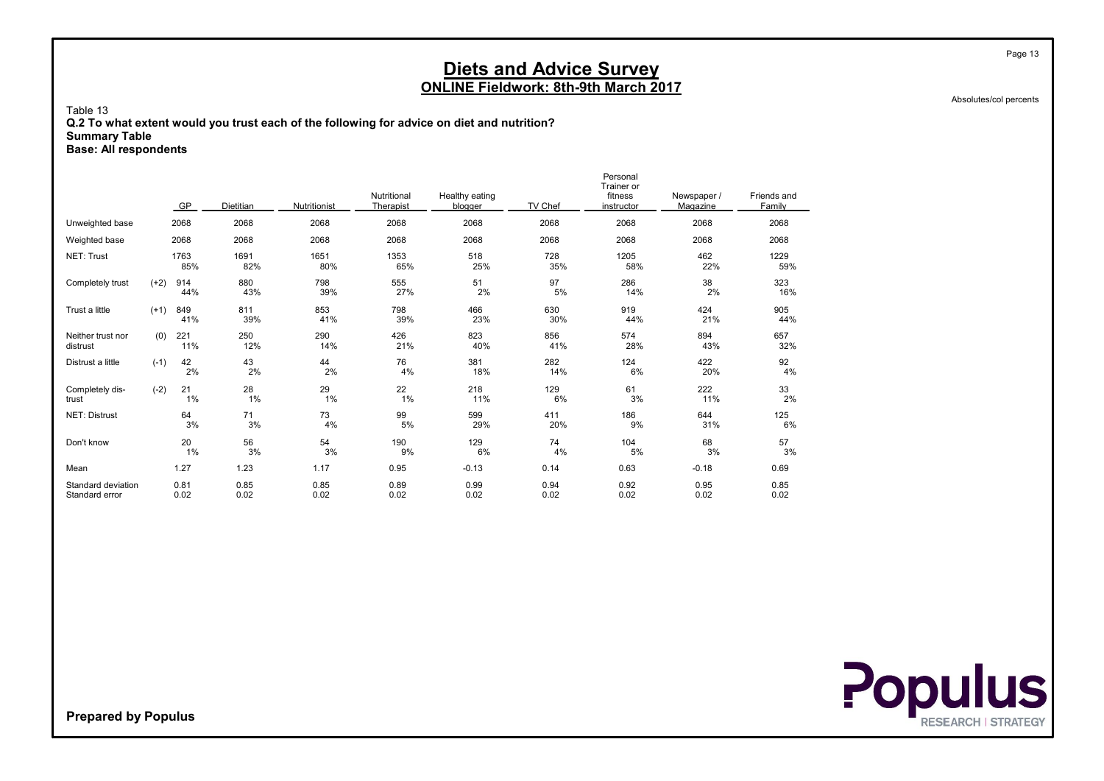Absolutes/col percents

Page 13

Table 13 Q.2 To what extent would you trust each of the following for advice on diet and nutrition? Summary Table

Base: All respondents

|                                      |        | GP           | Dietitian    | Nutritionist | Nutritional<br>Therapist | Healthy eating<br>blogger | TV Chef      | Personal<br>Trainer or<br>fitness<br>instructor | Newspaper /<br>Magazine | Friends and<br>Family |
|--------------------------------------|--------|--------------|--------------|--------------|--------------------------|---------------------------|--------------|-------------------------------------------------|-------------------------|-----------------------|
| Unweighted base                      |        | 2068         | 2068         | 2068         | 2068                     | 2068                      | 2068         | 2068                                            | 2068                    | 2068                  |
| Weighted base                        |        | 2068         | 2068         | 2068         | 2068                     | 2068                      | 2068         | 2068                                            | 2068                    | 2068                  |
| <b>NET: Trust</b>                    |        | 1763<br>85%  | 1691<br>82%  | 1651<br>80%  | 1353<br>65%              | 518<br>25%                | 728<br>35%   | 1205<br>58%                                     | 462<br>22%              | 1229<br>59%           |
| Completely trust                     | $(+2)$ | 914<br>44%   | 880<br>43%   | 798<br>39%   | 555<br>27%               | 51<br>2%                  | 97<br>5%     | 286<br>14%                                      | 38<br>2%                | 323<br>16%            |
| Trust a little                       | $(+1)$ | 849<br>41%   | 811<br>39%   | 853<br>41%   | 798<br>39%               | 466<br>23%                | 630<br>30%   | 919<br>44%                                      | 424<br>21%              | 905<br>44%            |
| Neither trust nor<br>distrust        | (0)    | 221<br>11%   | 250<br>12%   | 290<br>14%   | 426<br>21%               | 823<br>40%                | 856<br>41%   | 574<br>28%                                      | 894<br>43%              | 657<br>32%            |
| Distrust a little                    | $(-1)$ | 42<br>2%     | 43<br>2%     | 44<br>2%     | 76<br>4%                 | 381<br>18%                | 282<br>14%   | 124<br>6%                                       | 422<br>20%              | 92<br>4%              |
| Completely dis-<br>trust             | $(-2)$ | 21<br>1%     | 28<br>1%     | 29<br>1%     | 22<br>1%                 | 218<br>11%                | 129<br>6%    | 61<br>3%                                        | 222<br>11%              | 33<br>2%              |
| NET: Distrust                        |        | 64<br>3%     | 71<br>3%     | 73<br>4%     | 99<br>5%                 | 599<br>29%                | 411<br>20%   | 186<br>9%                                       | 644<br>31%              | 125<br>6%             |
| Don't know                           |        | 20<br>1%     | 56<br>3%     | 54<br>3%     | 190<br>9%                | 129<br>6%                 | 74<br>4%     | 104<br>5%                                       | 68<br>3%                | 57<br>3%              |
| Mean                                 |        | 1.27         | 1.23         | 1.17         | 0.95                     | $-0.13$                   | 0.14         | 0.63                                            | $-0.18$                 | 0.69                  |
| Standard deviation<br>Standard error |        | 0.81<br>0.02 | 0.85<br>0.02 | 0.85<br>0.02 | 0.89<br>0.02             | 0.99<br>0.02              | 0.94<br>0.02 | 0.92<br>0.02                                    | 0.95<br>0.02            | 0.85<br>0.02          |

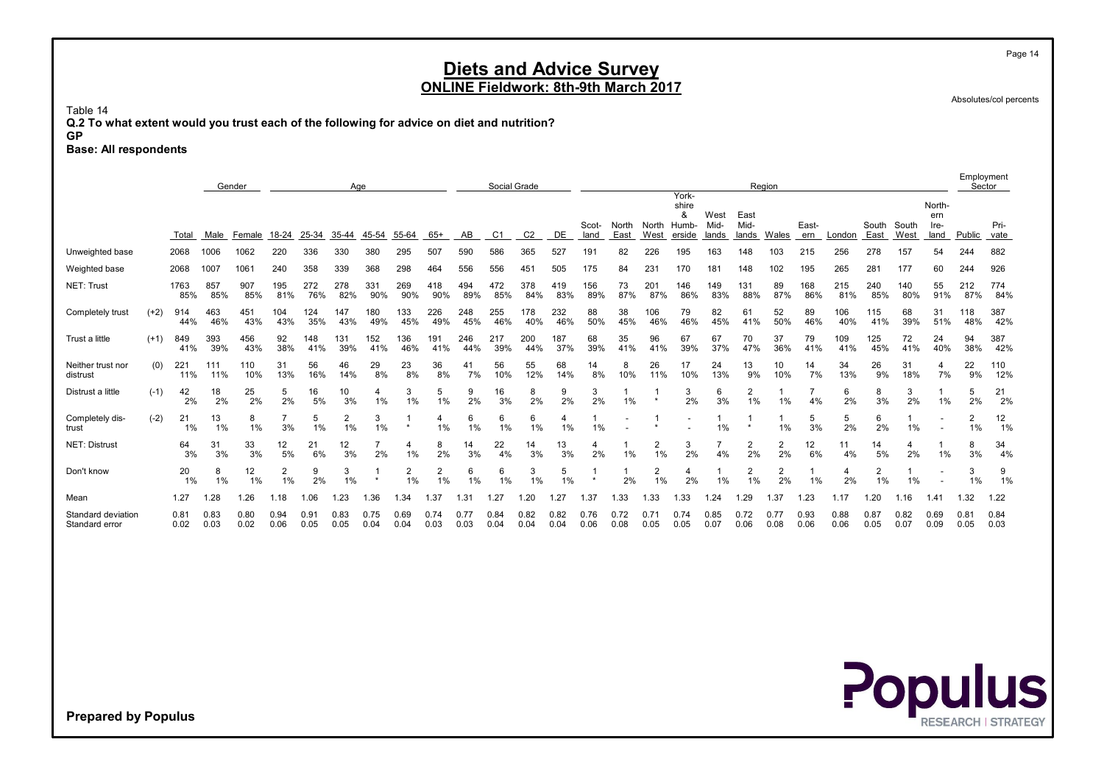Absolutes/col percents

Page 14

Table 14

Q.2 To what extent would you trust each of the following for advice on diet and nutrition?

GP

Base: All respondents

|                                      |        |              |              | Gender       |              |             | Age                  |              |                      |                      |              | Social Grade |                |              |               |               |                      |                                        |                       |                       | Region               |              |              |               |               |                               | Employment<br>Sector |              |
|--------------------------------------|--------|--------------|--------------|--------------|--------------|-------------|----------------------|--------------|----------------------|----------------------|--------------|--------------|----------------|--------------|---------------|---------------|----------------------|----------------------------------------|-----------------------|-----------------------|----------------------|--------------|--------------|---------------|---------------|-------------------------------|----------------------|--------------|
|                                      |        | Total        | Male         | Female       | 18-24        | 25-34       | 35-44                | 45-54        | 55-64                | 65+                  | AB           | C1           | C <sub>2</sub> | DE.          | Scot-<br>land | North<br>East | North<br>West        | York-<br>shire<br>&<br>Humb-<br>erside | West<br>Mid-<br>lands | East<br>Mid-<br>lands | Wales                | East-<br>ern | London       | South<br>East | South<br>West | North-<br>ern<br>Ire-<br>land | Public               | Pri-<br>vate |
| Unweighted base                      |        | 2068         | 1006         | 1062         | 220          | 336         | 330                  | 380          | 295                  | 507                  | 590          | 586          | 365            | 527          | 191           | 82            | 226                  | 195                                    | 163                   | 148                   | 103                  | 215          | 256          | 278           | 157           | 54                            | 244                  | 882          |
| Weighted base                        |        | 2068         | 1007         | 1061         | 240          | 358         | 339                  | 368          | 298                  | 464                  | 556          | 556          | 451            | 505          | 175           | 84            | 231                  | 170                                    | 181                   | 148                   | 102                  | 195          | 265          | 281           | 177           | 60                            | 244                  | 926          |
| <b>NET: Trust</b>                    |        | 1763<br>85%  | 857<br>85%   | 907<br>85%   | 195<br>81%   | 272<br>76%  | 278<br>82%           | 331<br>90%   | 269<br>90%           | 418<br>90%           | 494<br>89%   | 472<br>85%   | 378<br>84%     | 419<br>83%   | 156<br>89%    | 73<br>87%     | 201<br>87%           | 146<br>86%                             | 149<br>83%            | 131<br>88%            | 89<br>87%            | 168<br>86%   | 215<br>81%   | 240<br>85%    | 140<br>80%    | 55<br>91%                     | 212<br>87%           | 774<br>84%   |
| Completely trust                     | $(+2)$ | 914<br>44%   | 463<br>46%   | 451<br>43%   | 104<br>43%   | 124<br>35%  | 147<br>43%           | 180<br>49%   | 133<br>45%           | 226<br>49%           | 248<br>45%   | 255<br>46%   | 178<br>40%     | 232<br>46%   | 88<br>50%     | 38<br>45%     | 106<br>46%           | 79<br>46%                              | 82<br>45%             | 61<br>41%             | 52<br>50%            | 89<br>46%    | 106<br>40%   | 115<br>41%    | 68<br>39%     | 31<br>51%                     | 118<br>48%           | 387<br>42%   |
| Trust a little                       | $(+1)$ | 849<br>41%   | 393<br>39%   | 456<br>43%   | 92<br>38%    | 148<br>41%  | 131<br>39%           | 152<br>41%   | 136<br>46%           | 191<br>41%           | 246<br>44%   | 217<br>39%   | 200<br>44%     | 187<br>37%   | 68<br>39%     | 35<br>41%     | 96<br>41%            | 67<br>39%                              | 67<br>37%             | 70<br>47%             | 37<br>36%            | 79<br>41%    | 109<br>41%   | 125<br>45%    | 72<br>41%     | 24<br>40%                     | 94<br>38%            | 387<br>42%   |
| Neither trust nor<br>distrust        | (0)    | 221<br>11%   | 111<br>11%   | 110<br>10%   | 31<br>13%    | 56<br>16%   | 46<br>14%            | 29<br>8%     | 23<br>8%             | 36<br>8%             | 41<br>7%     | 56<br>10%    | 55<br>12%      | 68<br>14%    | 14<br>8%      | 8<br>10%      | 26<br>11%            | 17<br>10%                              | 24<br>13%             | 13<br>9%              | 10<br>10%            | 14<br>7%     | 34<br>13%    | 26<br>9%      | 31<br>18%     | 7%                            | 22<br>9%             | 110<br>12%   |
| Distrust a little                    | $(-1)$ | 42<br>2%     | 18<br>2%     | 25<br>2%     | 5<br>2%      | 16<br>5%    | 10<br>3%             | 1%           | 3<br>1%              | 5<br>1%              | 9<br>2%      | 16<br>3%     | 8<br>2%        | 9<br>2%      | 3<br>2%       | 1%            |                      | 3<br>2%                                | 6<br>3%               | 2<br>1%               | 1%                   | 4%           | 6<br>2%      | 8<br>3%       | 3<br>2%       | 1%                            | 5<br>2%              | 21<br>2%     |
| Completely dis-<br>trust             | $(-2)$ | 21<br>1%     | 13<br>1%     | 8<br>1%      | 3%           | 1%          | $\overline{2}$<br>1% | 3<br>1%      |                      | 4<br>1%              | 6<br>1%      | 6<br>1%      | 6<br>1%        | 4<br>1%      | $1\%$         |               |                      |                                        | 1%                    | $\star$               | 1%                   | 5<br>3%      | 5<br>2%      | 6<br>2%       | 1%            |                               | $\overline{2}$<br>1% | 12<br>1%     |
| <b>NET: Distrust</b>                 |        | 64<br>3%     | 31<br>3%     | 33<br>3%     | 12<br>5%     | 21<br>6%    | 12<br>3%             | 2%           | 4<br>1%              | 8<br>2%              | 14<br>3%     | 22<br>4%     | 14<br>3%       | 13<br>3%     | 2%            | 1%            | $\overline{2}$<br>1% | 3<br>2%                                | 4%                    | 2<br>2%               | $\overline{2}$<br>2% | 12<br>6%     | 11<br>4%     | 14<br>5%      | 2%            | 1%                            | 8<br>3%              | 34<br>4%     |
| Don't know                           |        | 20<br>1%     | 8<br>1%      | 12<br>1%     | 2<br>1%      | 9<br>2%     | 3<br>1%              | $\star$      | $\overline{2}$<br>1% | $\overline{2}$<br>1% | 6<br>1%      | 6<br>$1\%$   | 3<br>1%        | 5<br>1%      | $\star$       | 2%            | $\overline{2}$<br>1% | 4<br>2%                                | 1%                    | 2<br>1%               | $\overline{2}$<br>2% | $1\%$        | 2%           | 2<br>1%       | 1%            |                               | 3<br>1%              | 9<br>1%      |
| Mean                                 |        | 1.27         | .28          | 1.26         | 1.18         | 1.06        | 1.23                 | 1.36         | 1.34                 | 1.37                 | .31          | 1.27         | 1.20           | 1.27         | .37           | 1.33          | 1.33                 | .33                                    | 1.24                  | 1.29                  | 1.37                 | 1.23         | 1.17         | 1.20          | 1.16          | 1.41                          | 1.32                 | 1.22         |
| Standard deviation<br>Standard error |        | 0.81<br>0.02 | 0.83<br>0.03 | 0.80<br>0.02 | 0.94<br>0.06 | 0.9<br>0.05 | 0.83<br>0.05         | 0.75<br>0.04 | 0.69<br>0.04         | 0.74<br>0.03         | 0.77<br>0.03 | 0.84<br>0.04 | 0.82<br>0.04   | 0.82<br>0.04 | 0.76<br>0.06  | 0.72<br>0.08  | 0.71<br>0.05         | 0.74<br>0.05                           | 0.85<br>0.07          | 0.72<br>0.06          | 0.77<br>0.08         | 0.93<br>0.06 | 0.88<br>0.06 | 0.87<br>0.05  | 0.82<br>0.07  | 0.69<br>0.09                  | 0.81<br>0.05         | 0.84<br>0.03 |

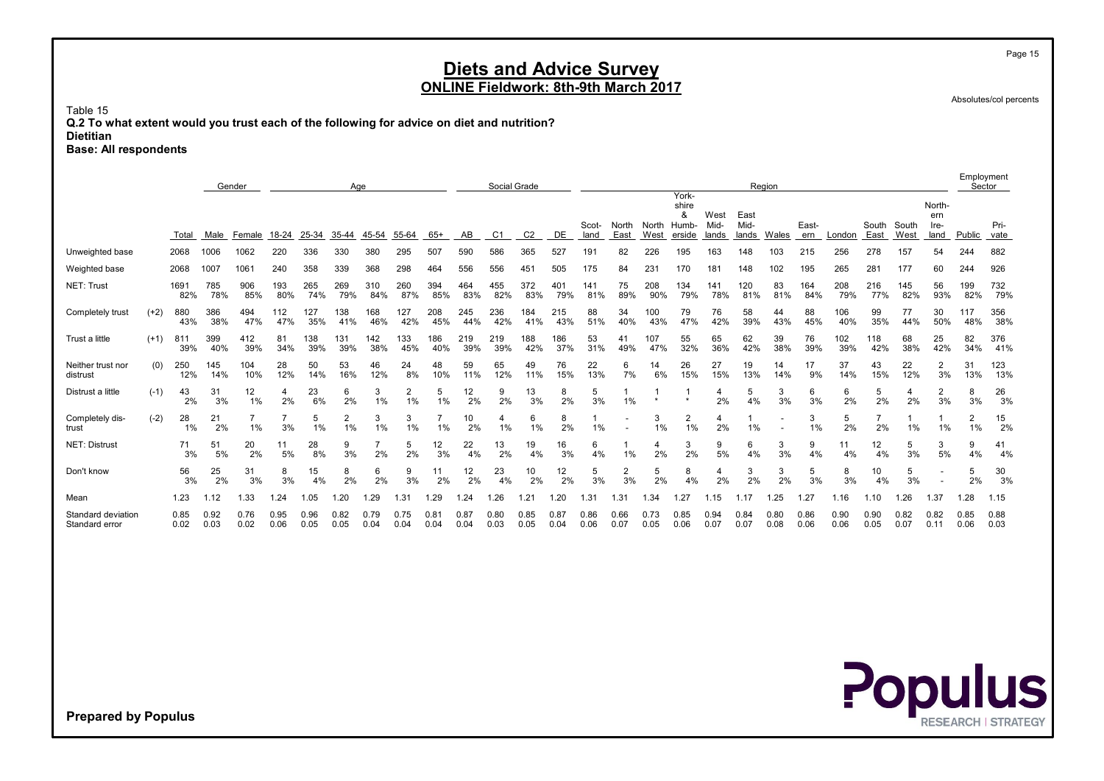Absolutes/col percents

Page 15

Table 15

Q.2 To what extent would you trust each of the following for advice on diet and nutrition? Dietitian

Base: All respondents

|                                      |        |              | Gender       |              |              |              | Age                  |              |                      |              |              | Social Grade |                |              |               |                      |               |                                        |                       |                       | Region       |              |              |               |               |                               | Employment<br>Sector |              |
|--------------------------------------|--------|--------------|--------------|--------------|--------------|--------------|----------------------|--------------|----------------------|--------------|--------------|--------------|----------------|--------------|---------------|----------------------|---------------|----------------------------------------|-----------------------|-----------------------|--------------|--------------|--------------|---------------|---------------|-------------------------------|----------------------|--------------|
|                                      |        | Total        | Male         | Female       | 18-24        | 25-34        | 35-44                | 45-54        | 55-64                | $65+$        | AB           | C1           | C <sub>2</sub> | DE           | Scot-<br>land | North<br>East        | North<br>West | York-<br>shire<br>&<br>Humb-<br>erside | West<br>Mid-<br>lands | East<br>Mid-<br>lands | Wales        | East-<br>ern | London       | South<br>East | South<br>West | North-<br>ern<br>Ire-<br>land | Public               | Pri-<br>vate |
| Unweighted base                      |        | 2068         | 1006         | 1062         | 220          | 336          | 330                  | 380          | 295                  | 507          | 590          | 586          | 365            | 527          | 191           | 82                   | 226           | 195                                    | 163                   | 148                   | 103          | 215          | 256          | 278           | 157           | 54                            | 244                  | 882          |
| Weighted base                        |        | 2068         | 1007         | 1061         | 240          | 358          | 339                  | 368          | 298                  | 464          | 556          | 556          | 451            | 505          | 175           | 84                   | 231           | 170                                    | 181                   | 148                   | 102          | 195          | 265          | 281           | 177           | 60                            | 244                  | 926          |
| NET: Trust                           |        | 1691<br>82%  | 785<br>78%   | 906<br>85%   | 193<br>80%   | 265<br>74%   | 269<br>79%           | 310<br>84%   | 260<br>87%           | 394<br>85%   | 464<br>83%   | 455<br>82%   | 372<br>83%     | 401<br>79%   | 141<br>81%    | 75<br>89%            | 208<br>90%    | 134<br>79%                             | 141<br>78%            | 120<br>81%            | 83<br>81%    | 164<br>84%   | 208<br>79%   | 216<br>77%    | 145<br>82%    | 56<br>93%                     | 199<br>82%           | 732<br>79%   |
| Completely trust                     | $(+2)$ | 880<br>43%   | 386<br>38%   | 494<br>47%   | 112<br>47%   | 127<br>35%   | 138<br>41%           | 168<br>46%   | 127<br>42%           | 208<br>45%   | 245<br>44%   | 236<br>42%   | 184<br>41%     | 215<br>43%   | 88<br>51%     | 34<br>40%            | 100<br>43%    | 79<br>47%                              | 76<br>42%             | 58<br>39%             | 44<br>43%    | 88<br>45%    | 106<br>40%   | 99<br>35%     | 77<br>44%     | 30<br>50%                     | 117<br>48%           | 356<br>38%   |
| Trust a little                       | $(+1)$ | 811<br>39%   | 399<br>40%   | 412<br>39%   | 81<br>34%    | 138<br>39%   | 131<br>39%           | 142<br>38%   | 133<br>45%           | 186<br>40%   | 219<br>39%   | 219<br>39%   | 188<br>42%     | 186<br>37%   | 53<br>31%     | 41<br>49%            | 107<br>47%    | 55<br>32%                              | 65<br>36%             | 62<br>42%             | 39<br>38%    | 76<br>39%    | 102<br>39%   | 118<br>42%    | 68<br>38%     | 25<br>42%                     | 82<br>34%            | 376<br>41%   |
| Neither trust nor<br>distrust        | (0)    | 250<br>12%   | 145<br>14%   | 104<br>10%   | 28<br>12%    | 50<br>14%    | 53<br>16%            | 46<br>12%    | 24<br>8%             | 48<br>10%    | 59<br>11%    | 65<br>12%    | 49<br>11%      | 76<br>15%    | 22<br>13%     | 6<br>7%              | 14<br>6%      | 26<br>15%                              | 27<br>15%             | 19<br>13%             | 14<br>14%    | 17<br>9%     | 37<br>14%    | 43<br>15%     | 22<br>12%     | 2<br>3%                       | 31<br>13%            | 123<br>13%   |
| Distrust a little                    | $(-1)$ | 43<br>2%     | 31<br>3%     | 12<br>1%     | 2%           | 23<br>6%     | 6<br>2%              | 3<br>1%      | $\overline{2}$<br>1% | 5<br>1%      | 12<br>2%     | 9<br>2%      | 13<br>3%       | 8<br>2%      | 5<br>3%       | 1%                   |               |                                        | 4<br>2%               | 5<br>4%               | 3<br>3%      | 6<br>3%      | 6<br>2%      | 5<br>2%       | 4<br>2%       | 2<br>3%                       | 8<br>3%              | 26<br>3%     |
| Completely dis-<br>trust             | $(-2)$ | 28<br>1%     | 21<br>2%     | 1%           | 3%           | 5<br>1%      | $\overline{2}$<br>1% | 3<br>1%      | 3<br>1%              | 1%           | 10<br>2%     | $1\%$        | 6<br>1%        | 8<br>2%      | 1%            |                      | 3<br>1%       | $\overline{2}$<br>1%                   | 4<br>2%               | 1%                    |              | 3<br>1%      | 5<br>2%      | 2%            | 1%            | 1%                            | $\overline{2}$<br>1% | 15<br>2%     |
| <b>NET: Distrust</b>                 |        | 71<br>3%     | 51<br>5%     | 20<br>2%     | 11<br>5%     | 28<br>8%     | 9<br>3%              | 2%           | 5<br>2%              | 12<br>3%     | 22<br>4%     | 13<br>2%     | 19<br>4%       | 16<br>3%     | 6<br>4%       | 1%                   | 4<br>2%       | 3<br>2%                                | 9<br>5%               | 6<br>4%               | 3<br>3%      | 9<br>4%      | 11<br>4%     | 12<br>4%      | 5<br>3%       | 3<br>5%                       | 9<br>4%              | 41<br>4%     |
| Don't know                           |        | 56<br>3%     | 25<br>2%     | 31<br>3%     | 8<br>3%      | 15<br>4%     | 8<br>2%              | 6<br>2%      | 9<br>3%              | 11<br>2%     | 12<br>2%     | 23<br>4%     | 10<br>2%       | 12<br>2%     | 5<br>3%       | $\overline{2}$<br>3% | 5<br>2%       | 8<br>4%                                | 4<br>2%               | 3<br>2%               | 3<br>2%      | 5<br>3%      | 8<br>3%      | 10<br>4%      | 5<br>3%       |                               | 5<br>2%              | 30<br>3%     |
| Mean                                 |        | 1.23         | 1.12         | 1.33         | 1.24         | .05          | .20                  | .29          | 1.31                 | .29          | 1.24         | 1.26         | 1.21           | 1.20         | .31           | 1.31                 | 1.34          | .27                                    | .15                   | 1.17                  | 1.25         | 1.27         | 1.16         | 1.10          | .26           | 1.37                          | 1.28                 | 1.15         |
| Standard deviation<br>Standard error |        | 0.85<br>0.02 | 0.92<br>0.03 | 0.76<br>0.02 | 0.95<br>0.06 | 0.96<br>0.05 | 0.82<br>0.05         | 0.79<br>0.04 | 0.75<br>0.04         | 0.81<br>0.04 | 0.87<br>0.04 | 0.80<br>0.03 | 0.85<br>0.05   | 0.87<br>0.04 | 0.86<br>0.06  | 0.66<br>0.07         | 0.73<br>0.05  | 0.85<br>0.06                           | 0.94<br>0.07          | 0.84<br>0.07          | 0.80<br>0.08 | 0.86<br>0.06 | 0.90<br>0.06 | 0.90<br>0.05  | 0.82<br>0.07  | 0.82<br>0.11                  | 0.85<br>0.06         | 0.88<br>0.03 |

**Populus**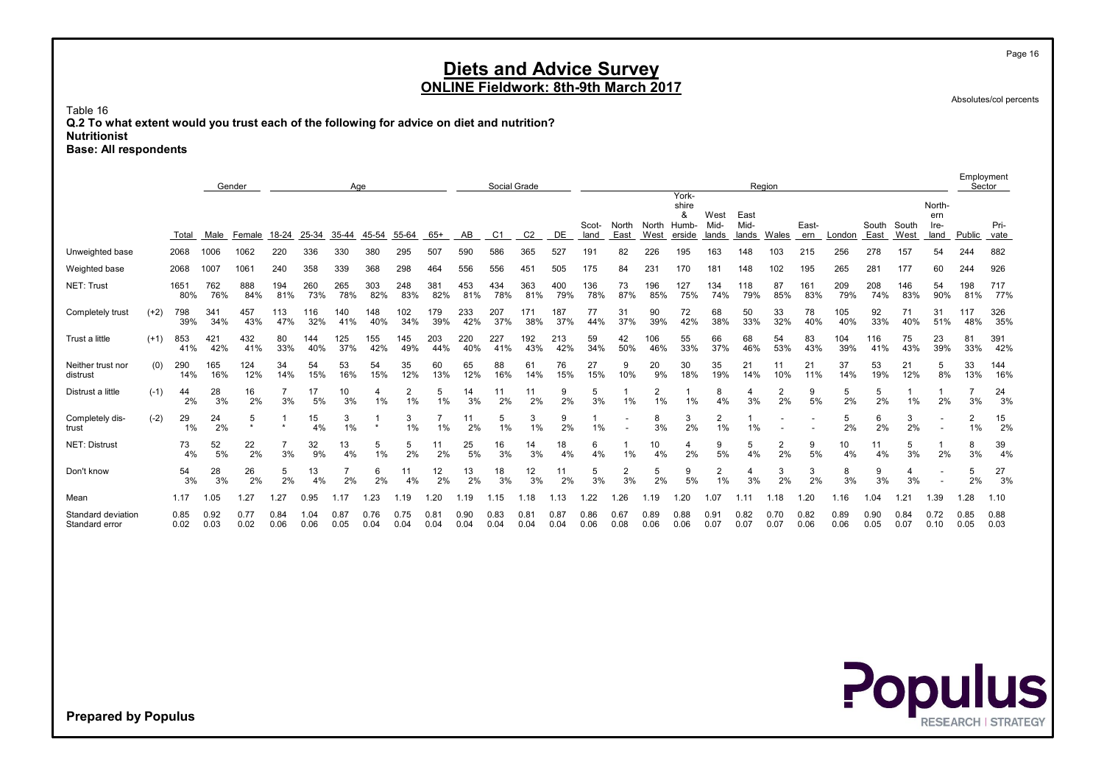Absolutes/col percents

Page 16

Table 16 Q.2 To what extent would you trust each of the following for advice on diet and nutrition? Nutritionist

Base: All respondents

|                                      |        |               |              | Gender         |              |              | Age          |              |              |              |              | Social Grade          |                       |              |              |               |               |                                        |              |              | Region       |              |               |               |               |                       | Employment<br>Sector |              |
|--------------------------------------|--------|---------------|--------------|----------------|--------------|--------------|--------------|--------------|--------------|--------------|--------------|-----------------------|-----------------------|--------------|--------------|---------------|---------------|----------------------------------------|--------------|--------------|--------------|--------------|---------------|---------------|---------------|-----------------------|----------------------|--------------|
|                                      |        |               |              |                |              |              |              | 45-54        | 55-64        |              | AB           |                       |                       |              | Scot-        | North<br>East | North<br>West | York-<br>shire<br>&<br>Humb-<br>erside | West<br>Mid- | East<br>Mid- |              | East-        |               | South<br>East | South<br>West | North-<br>ern<br>Ire- | Public               | Pri-         |
| Unweighted base                      |        | Total<br>2068 | Male<br>1006 | Female<br>1062 | 18-24<br>220 | 25-34<br>336 | 35-44<br>330 | 380          | 295          | 65+<br>507   | 590          | C <sub>1</sub><br>586 | C2<br>365             | DE<br>527    | land<br>191  | 82            | 226           | 195                                    | lands<br>163 | lands<br>148 | Wales<br>103 | ern<br>215   | London<br>256 | 278           | 157           | land<br>54            | 244                  | vate<br>882  |
| Weighted base                        |        | 2068          | 1007         | 1061           | 240          | 358          | 339          | 368          | 298          | 464          | 556          | 556                   | 451                   | 505          | 175          | 84            | 231           | 170                                    | 181          | 148          | 102          | 195          | 265           | 281           | 177           | 60                    | 244                  | 926          |
| NET: Trust                           |        | 1651          | 762          | 888            | 194          | 260          | 265          | 303          | 248          | 381          | 453          | 434                   | 363                   | 400          | 136          | 73            | 196           | 127                                    | 134          |              | 87           | 161          | 209           | 208           | 146           |                       | 198                  | 717          |
|                                      |        | 80%           | 76%          | 84%            | 81%          | 73%          | 78%          | 82%          | 83%          | 82%          | 81%          | 78%                   | 81%                   | 79%          | 78%          | 87%           | 85%           | 75%                                    | 74%          | 118<br>79%   | 85%          | 83%          | 79%           | 74%           | 83%           | 54<br>90%             | 81%                  | 77%          |
| Completely trust                     | $(+2)$ | 798<br>39%    | 341<br>34%   | 457<br>43%     | 113<br>47%   | 116<br>32%   | 140<br>41%   | 148<br>40%   | 102<br>34%   | 179<br>39%   | 233<br>42%   | 207<br>37%            | 171<br>38%            | 187<br>37%   | 77<br>44%    | 31<br>37%     | 90<br>39%     | 72<br>42%                              | 68<br>38%    | 50<br>33%    | 33<br>32%    | 78<br>40%    | 105<br>40%    | 92<br>33%     | 71<br>40%     | 31<br>51%             | 117<br>48%           | 326<br>35%   |
| Trust a little                       | $(+1)$ | 853<br>41%    | 421<br>42%   | 432<br>41%     | 80<br>33%    | 144<br>40%   | 125<br>37%   | 155<br>42%   | 145<br>49%   | 203<br>44%   | 220<br>40%   | 227<br>41%            | 192<br>43%            | 213<br>42%   | 59<br>34%    | 42<br>50%     | 106<br>46%    | 55<br>33%                              | 66<br>37%    | 68<br>46%    | 54<br>53%    | 83<br>43%    | 104<br>39%    | 116<br>41%    | 75<br>43%     | 23<br>39%             | 81<br>33%            | 391<br>42%   |
| Neither trust nor<br>distrust        | (0)    | 290<br>14%    | 165<br>16%   | 124<br>12%     | 34<br>14%    | 54<br>15%    | 53<br>16%    | 54<br>15%    | 35<br>12%    | 60<br>13%    | 65<br>12%    | 88<br>16%             | 61<br>14%             | 76<br>15%    | 27<br>15%    | 9<br>10%      | 20<br>9%      | 30<br>18%                              | 35<br>19%    | 21<br>14%    | 11<br>10%    | 21<br>11%    | 37<br>14%     | 53<br>19%     | 21<br>12%     | 5<br>8%               | 33<br>13%            | 144<br>16%   |
| Distrust a little                    | $(-1)$ | 44<br>2%      | 28<br>3%     | 16<br>2%       | 3%           | 17<br>5%     | 10<br>3%     | 1%           | 2<br>1%      | 5<br>1%      | 14<br>3%     | 11<br>2%              | 11<br>2%              | 9<br>2%      | 5<br>3%      | 1%            | 2<br>1%       | 1%                                     | 8<br>4%      | 4<br>3%      | 2<br>2%      | 9<br>5%      | 5<br>2%       | 5<br>2%       | $1\%$         | 2%                    | 3%                   | 24<br>3%     |
| Completely dis-<br>trust             | $(-2)$ | 29<br>1%      | 24<br>2%     | 5              |              | 15<br>4%     | 3<br>1%      | $\star$      | 3<br>1%      | 1%           | 11<br>2%     | 5<br>1%               | 3<br>1%               | 9<br>2%      | 1%           |               | 8<br>3%       | 3<br>2%                                | 2<br>1%      | 1%           |              |              | 5<br>2%       | 6<br>2%       | 3<br>2%       |                       | $\overline{2}$<br>1% | 15<br>2%     |
| <b>NET: Distrust</b>                 |        | 73<br>4%      | 52<br>5%     | 22<br>2%       | 3%           | 32<br>9%     | 13<br>4%     | 5<br>1%      | 5<br>2%      | 11<br>2%     | 25<br>5%     | 16<br>3%              | 14<br>3%              | 18<br>4%     | 6<br>4%      | 1%            | 10<br>4%      | 4<br>2%                                | 9<br>5%      | 5<br>4%      | 2<br>2%      | 9<br>5%      | 10<br>4%      | 11<br>4%      | 5<br>3%       | 2%                    | 8<br>3%              | 39<br>4%     |
| Don't know                           |        | 54<br>3%      | 28<br>3%     | 26<br>2%       | 5<br>2%      | 13<br>4%     | 2%           | 6<br>2%      | 11<br>4%     | 12<br>2%     | 13<br>2%     | 18<br>3%              | 12<br>3%              | 11<br>2%     | 5<br>3%      | 2<br>3%       | 5<br>2%       | 9<br>5%                                | 2<br>1%      | 4<br>3%      | 3<br>2%      | 3<br>2%      | 8<br>3%       | 9<br>3%       | 4<br>3%       |                       | 5<br>2%              | 27<br>3%     |
| Mean                                 |        | 1.17          | 1.05         | 1.27           | 1.27         | 0.95         | 1.17         | 1.23         | 1.19         | 1.20         | 1.19         | 1.15                  | .18                   | 1.13         | .22          | .26           | .19           | .20                                    | .07          | 1.11         | 1.18         | 1.20         | 1.16          | .04           | 1.21          | 1.39                  | 1.28                 | 1.10         |
| Standard deviation<br>Standard error |        | 0.85<br>0.02  | 0.92<br>0.03 | 0.77<br>0.02   | 0.84<br>0.06 | 1.04<br>0.06 | 0.87<br>0.05 | 0.76<br>0.04 | 0.75<br>0.04 | 0.81<br>0.04 | 0.90<br>0.04 | 0.83<br>0.04          | $0.8^{\circ}$<br>0.04 | 0.87<br>0.04 | 0.86<br>0.06 | 0.67<br>0.08  | 0.89<br>0.06  | 0.88<br>0.06                           | 0.91<br>0.07 | 0.82<br>0.07 | 0.70<br>0.07 | 0.82<br>0.06 | 0.89<br>0.06  | 0.90<br>0.05  | 0.84<br>0.07  | 0.72<br>0.10          | 0.85<br>0.05         | 0.88<br>0.03 |

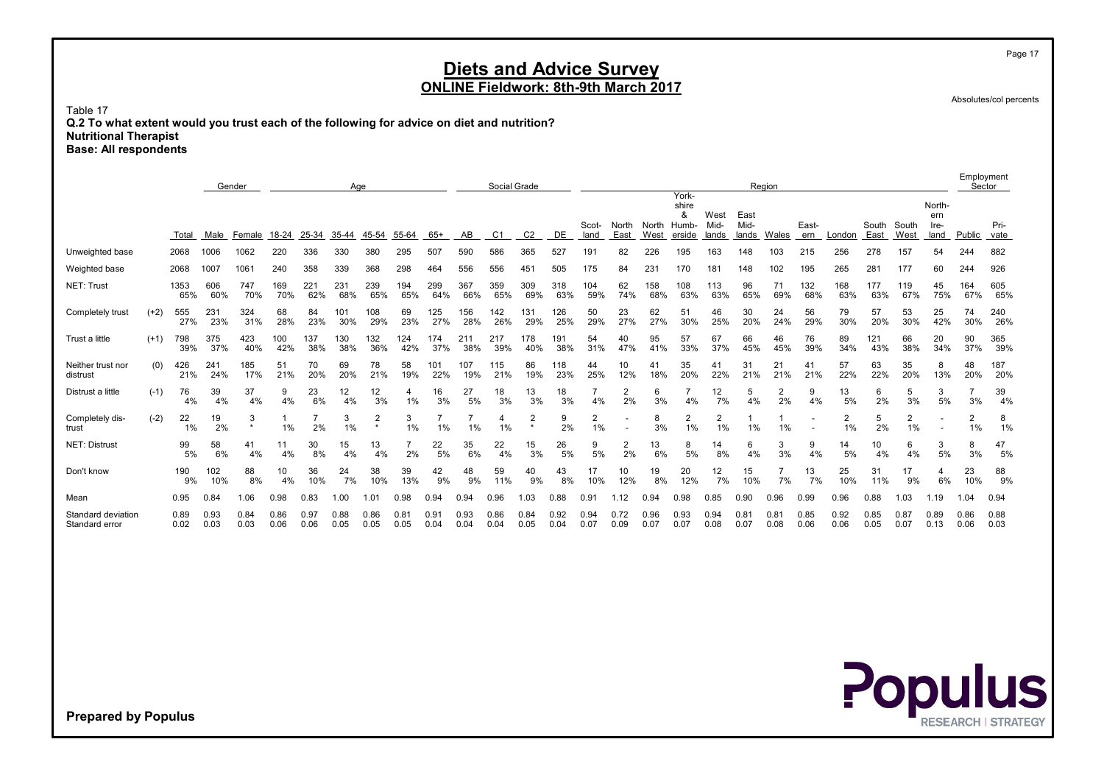Absolutes/col percents

Page 17

Table 17 Q.2 To what extent would you trust each of the following for advice on diet and nutrition? Nutritional Therapist Base: All respondents

Employment Gender <sub>Age</sub> Manual Age Social Grade <u>Communication Social Grade Sector Segion Sector Sector Sector Sector Sector</u> York-<br>shire shire **North-**& West East ern Scot- North North Humb- Mid- Mid- East- South South Ire- Pri-Total Male Female 18-24 25-34 35-44 45-54 55-64 65+ AB C1 C2 DE Unweighted base 2068 1006 1062 220 336 330 380 295 507 590 586 365 527 191 82 226 195 163 148 103 215 256 278 157 54 244 882 Weighted base 2068 1007 1061 240 358 339 368 298 464 556 556 451 505 175 84 231 170 181 148 102 195 265 281 177 60 244 926 NET: Trust 1353 606 747 169 221 231 239 194 299 367 359 309 318 104 62 158 108 113 96 71 132 168 177 119 45 164 605 65% 60% 70% 70% 62% 68% 65% 65% 64% 66% 65% 69% 63% 59% 74% 68% 63% 63% 65% 69% 68% 63% 63% 67% 75% 67% 65% Completely trust (+2) 555 231 324 68 84 101 108 69 125 156 142 131 126 50 23 62 51 46 30 24 56 79 57 53 25 74 240 27% 23% 31% 28% 23% 30% 29% 23% 27% 28% 26% 29% 25% 29% 27% 27% 30% 25% 20% 24% 29% 30% 20% 30% 42% 30% 26% Trust a little (+1) 798 375 423 100 137 130 132 124 174 211 217 178 191 54 40 95 57 67 66 46 76 89 121 66 20 90 365 39% 37% 40% 42% 38% 38% 36% 42% 37% 38% 39% 40% 38% 31% 47% 41% 33% 37% 45% 45% 39% 34% 43% 38% 34% 37% 39% Neither trust nor (0) 426 241 185 51 70 69 78 58 101 107 115 86 118 44 10 41 35 41 31 21 41 57 63 35 8 48 187 distrust 21% 24% 17% 21% 20% 20% 21% 19% 22% 19% 21% 19% 23% 25% 12% 18% 20% 22% 21% 21% 21% 22% 22% 20% 13% 20% 20% Distrust a little (-1) 76 39 37 9 23 12 12 4 16 27 18 13 18 7 2 6 7 12 5 2 9 13 6 5 3 7 39 4% 4% 4% 4% 6% 4% 3% 1% 3% 5% 3% 3% 3% 4% 2% 3% 4% 7% 4% 2% 4% 5% 2% 3% 5% 3% 4% Completely dis- (-2) 22 19 3 1 7 3 2 3 7 7 4 2 9 2 - 8 2 2 1 1 - 2 5 2 - 2 8 trust 1% 2% \* 1% 2% 1% \* 1% 1% 1% 1% \* 2% 1% - 3% 1% 1% 1% 1% - 1% 2% 1% - 1% 1% NET: Distrust 99 58 41 11 30 15 13 7 22 35 22 15 26 9 2 13 8 14 6 3 9 14 10 6 3 8 47 5% 6% 4% 4% 8% 4% 4% 2% 5% 6% 4% 3% 5% 5% 2% 6% 5% 8% 4% 3% 4% 5% 4% 4% 5% 3% 5% Don't know 190 102 88 10 36 24 38 39 42 48 59 40 43 17 10 19 20 12 15 7 13 25 31 17 4 23 88 9% 10% 8% 4% 10% 7% 10% 13% 9% 9% 11% 9% 8% 10% 12% 8% 12% 7% 10% 7% 7% 10% 11% 9% 6% 10% 9% Mean 0.95 0.84 1.06 0.98 0.83 1.00 1.01 0.98 0.94 0.94 0.96 1.03 0.88 0.91 1.12 0.94 0.98 0.85 0.90 0.96 0.99 0.96 0.88 1.03 1.19 1.04 0.94 Standard deviation 0.89 0.93 0.84 0.86 0.97 0.88 0.86 0.81 0.91 0.93 0.86 0.84 0.92 0.94 0.72 0.96 0.93 0.94 0.81 0.81 0.85 0.92 0.85 0.87 0.89 0.86 0.88 Standard error 0.02 0.03 0.03 0.06 0.06 0.05 0.05 0.04 0.04 0.04 0.05 0.04 0.07 0.09 0.07 0.07 0.08 0.07 0.08 0.06 0.06 0.06 0.07 0.13 0.06 0.03

> Populus **RESEARCH | STRATEGY**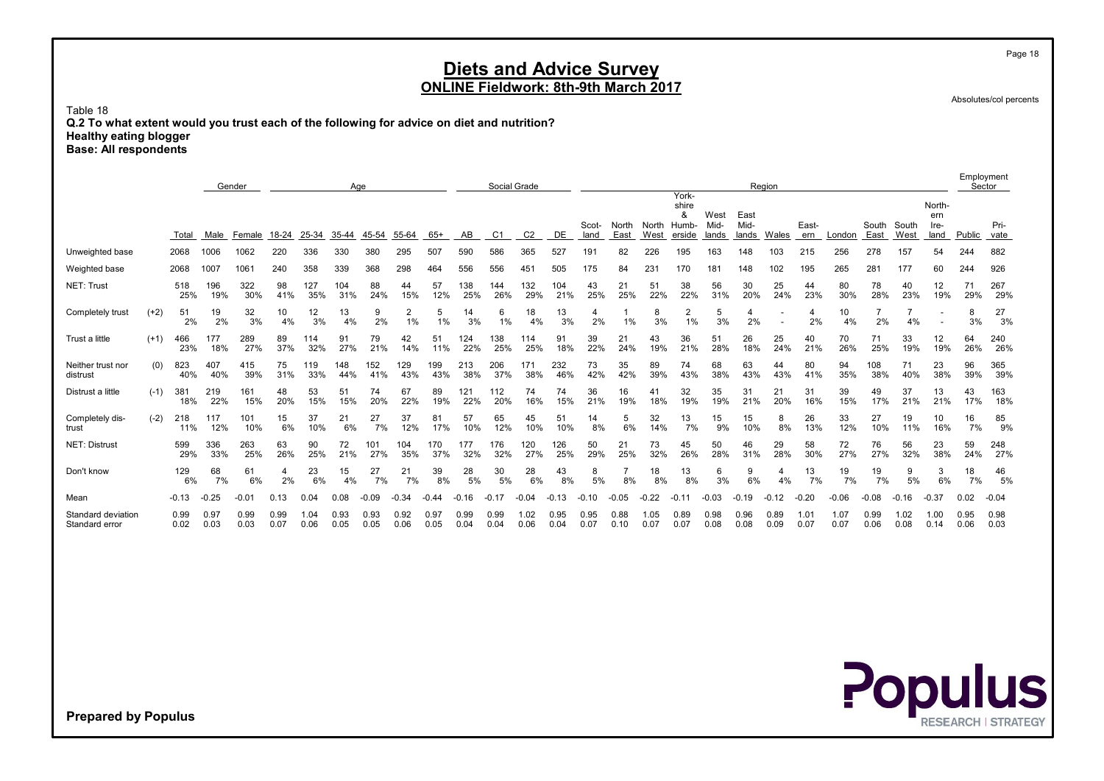Absolutes/col percents

Page 18

Table 18 Q.2 To what extent would you trust each of the following for advice on diet and nutrition? Healthy eating blogger Base: All respondents

Employment Gender <sub>Age</sub> Manual Age Social Grade <u>Communication Social Grade Sector Segion Sector Sector Sector Sector Sector</u> York-<br>shire shire **North-**& West East ern Scot- North North Humb- Mid- Mid- East- South South Ire- Pri-Total Male Female 18-24 25-34 35-44 45-54 55-64 65+ AB C1 C2 DE Unweighted base 2068 1006 1062 220 336 330 380 295 507 590 586 365 527 191 82 226 195 163 148 103 215 256 278 157 54 244 882 Weighted base 2068 1007 1061 240 358 339 368 298 464 556 556 451 505 175 84 231 170 181 148 102 195 265 281 177 60 244 926 NET: Trust 518 196 322 98 127 104 88 44 57 138 144 132 104 43 21 51 38 56 30 25 44 80 78 40 12 71 267 25% 19% 30% 41% 35% 31% 24% 15% 12% 25% 26% 29% 21% 25% 25% 22% 22% 31% 20% 24% 23% 30% 28% 23% 19% 29% 29% Completely trust (+2) 51 19 32 10 12 13 9 2 5 14 6 18 13 4 1 8 2 5 4 - 4 10 7 7 - 8 27 2% 2% 3% 4% 3% 4% 2% 1% 1% 3% 1% 4% 3% 2% 1% 3% 1% 3% 2% - 2% 4% 2% 4% - 3% 3% Trust a little (+1) 466 177 289 89 114 91 79 42 51 124 138 114 91 39 21 43 36 51 26 25 40 70 71 33 12 64 240 23% 18% 27% 37% 32% 27% 21% 14% 11% 22% 25% 25% 18% 22% 24% 19% 21% 28% 18% 24% 21% 26% 25% 19% 19% 26% 26% Neither trust nor (0) 823 407 415 75 119 148 152 129 199 213 206 171 232 73 35 89 74 68 63 44 80 94 108 71 23 96 365 distrust 40% 40% 39% 31% 33% 44% 41% 43% 43% 38% 37% 38% 46% 42% 42% 39% 43% 38% 43% 43% 41% 35% 38% 40% 38% 39% 39% Distrust a little (-1) 381 219 161 48 53 51 74 67 89 121 112 74 74 36 16 41 32 35 31 21 31 39 49 37 13 43 163 18% 22% 15% 20% 15% 15% 20% 22% 19% 22% 20% 16% 15% 21% 19% 18% 19% 19% 21% 20% 16% 15% 17% 21% 21% 17% 18% Completely dis- (-2) 218 117 101 15 37 21 27 37 81 57 65 45 51 14 5 32 13 15 15 8 26 33 27 19 10 16 85 trust 11% 12% 10% 6% 10% 6% 7% 12% 17% 10% 12% 10% 10% 8% 6% 14% 7% 9% 10% 8% 13% 12% 10% 11% 16% 7% 9% NET: Distrust 599 336 263 63 90 72 101 104 170 177 176 120 126 50 21 73 45 50 46 29 58 72 76 56 23 59 248 29% 33% 25% 26% 25% 21% 27% 35% 37% 32% 32% 27% 25% 29% 25% 32% 26% 28% 31% 28% 30% 27% 27% 32% 38% 24% 27% Don't know 129 68 61 4 23 15 27 21 39 28 30 28 43 8 7 18 13 6 9 4 13 19 19 9 3 18 46 6% 7% 6% 2% 6% 4% 7% 7% 8% 5% 5% 6% 8% 5% 8% 8% 8% 3% 6% 4% 7% 7% 7% 5% 6% 7% 5% Mean -0.13 -0.25 -0.01 0.13 0.04 0.08 -0.09 -0.34 -0.44 -0.16 -0.17 -0.04 -0.13 -0.10 -0.05 -0.22 -0.11 -0.03 -0.19 -0.12 -0.20 -0.06 -0.08 -0.16 -0.37 0.02 -0.04 Standard deviation 0.99 0.97 0.99 0.99 1.04 0.93 0.93 0.92 0.97 0.99 0.99 1.02 0.95 0.95 0.88 1.05 0.89 0.98 0.96 0.89 1.01 1.07 0.99 1.02 1.00 0.95 0.98 Standard error 0.02 0.03 0.03 0.07 0.06 0.05 0.06 0.04 0.04 0.06 0.04 0.07 0.07 0.07 0.08 0.09 0.07 0.00 0.08 0.08 0.08 0.08 0.08 0.08 0.08

> Populus **RESEARCH | STRATEGY**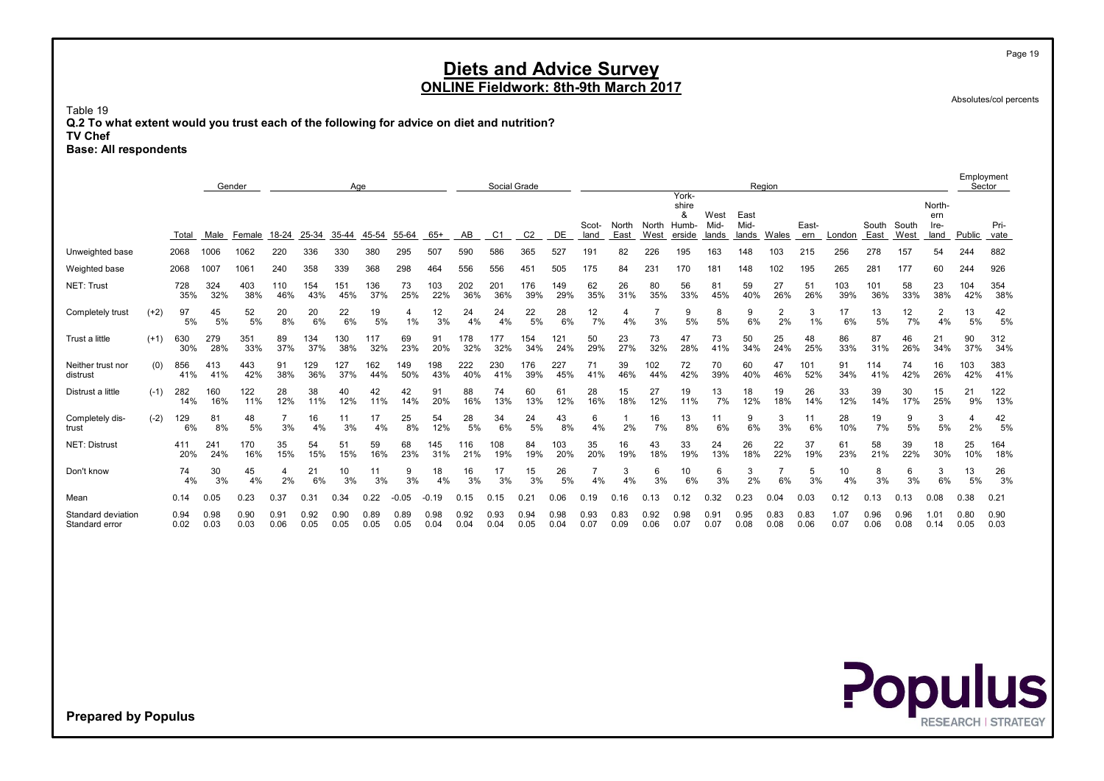Absolutes/col percents

Page 19

Table 19 Q.2 To what extent would you trust each of the following for advice on diet and nutrition? TV Chef

Base: All respondents

|                                      |        |              |              | Gender       |              |              | Age          |              |              |              |              | Social Grade   |                |              |              |              |              |                              |              |              | Region       |              |              |              |              |                       | Employment<br>Sector |              |
|--------------------------------------|--------|--------------|--------------|--------------|--------------|--------------|--------------|--------------|--------------|--------------|--------------|----------------|----------------|--------------|--------------|--------------|--------------|------------------------------|--------------|--------------|--------------|--------------|--------------|--------------|--------------|-----------------------|----------------------|--------------|
|                                      |        |              |              |              |              |              |              |              |              |              |              |                |                |              | Scot-        | North        | North        | York-<br>shire<br>&<br>Humb- | West<br>Mid- | East<br>Mid- |              | East-        |              | South        | South        | North-<br>ern<br>Ire- |                      | Pri-         |
|                                      |        | Total        | Male         | Female       | 18-24        | 25-34        | 35-44        | 45-54        | 55-64        | $65+$        | AB           | C <sub>1</sub> | C <sub>2</sub> | DE           | land         | East         | West         | erside                       | lands        | lands        | Wales        | ern          | London       | East         | West         | land                  | Public               | vate         |
| Unweighted base                      |        | 2068         | 1006         | 1062         | 220          | 336          | 330          | 380          | 295          | 507          | 590          | 586            | 365            | 527          | 191          | 82           | 226          | 195                          | 163          | 148          | 103          | 215          | 256          | 278          | 157          | 54                    | 244                  | 882          |
| Weighted base                        |        | 2068         | 1007         | 1061         | 240          | 358          | 339          | 368          | 298          | 464          | 556          | 556            | 451            | 505          | 175          | 84           | 231          | 170                          | 181          | 148          | 102          | 195          | 265          | 281          | 177          | 60                    | 244                  | 926          |
| NET: Trust                           |        | 728<br>35%   | 324<br>32%   | 403<br>38%   | 110<br>46%   | 154<br>43%   | 151<br>45%   | 136<br>37%   | 73<br>25%    | 103<br>22%   | 202<br>36%   | 201<br>36%     | 176<br>39%     | 149<br>29%   | 62<br>35%    | 26<br>31%    | 80<br>35%    | 56<br>33%                    | 81<br>45%    | 59<br>40%    | 27<br>26%    | 51<br>26%    | 103<br>39%   | 101<br>36%   | 58<br>33%    | 23<br>38%             | 104<br>42%           | 354<br>38%   |
| Completely trust                     | $(+2)$ | 97<br>5%     | 45<br>5%     | 52<br>5%     | 20<br>8%     | 20<br>6%     | 22<br>6%     | 19<br>5%     | 4<br>1%      | 12<br>3%     | 24<br>4%     | 24<br>4%       | 22<br>5%       | 28<br>6%     | 12<br>7%     | 4<br>4%      | 3%           | 9<br>5%                      | 8<br>5%      | 9<br>6%      | 2<br>2%      | 1%           | 17<br>6%     | 13<br>5%     | 12<br>7%     | 2<br>4%               | 13<br>5%             | 42<br>5%     |
| Trust a little                       | $(+1)$ | 630<br>30%   | 279<br>28%   | 351<br>33%   | 89<br>37%    | 134<br>37%   | 130<br>38%   | 117<br>32%   | 69<br>23%    | 91<br>20%    | 178<br>32%   | 177<br>32%     | 154<br>34%     | 121<br>24%   | 50<br>29%    | 23<br>27%    | 73<br>32%    | 47<br>28%                    | 73<br>41%    | 50<br>34%    | 25<br>24%    | 48<br>25%    | 86<br>33%    | 87<br>31%    | 46<br>26%    | 21<br>34%             | 90<br>37%            | 312<br>34%   |
| Neither trust nor<br>distrust        | (0)    | 856<br>41%   | 413<br>41%   | 443<br>42%   | 91<br>38%    | 129<br>36%   | 127<br>37%   | 162<br>44%   | 149<br>50%   | 198<br>43%   | 222<br>40%   | 230<br>41%     | 176<br>39%     | 227<br>45%   | 71<br>41%    | 39<br>46%    | 102<br>44%   | 72<br>42%                    | 70<br>39%    | 60<br>40%    | 47<br>46%    | 101<br>52%   | 91<br>34%    | 114<br>41%   | 74<br>42%    | 16<br>26%             | 103<br>42%           | 383<br>41%   |
| Distrust a little                    | $(-1)$ | 282<br>14%   | 160<br>16%   | 122<br>11%   | 28<br>12%    | 38<br>11%    | 40<br>12%    | 42<br>11%    | 42<br>14%    | 91<br>20%    | 88<br>16%    | 74<br>13%      | 60<br>13%      | 61<br>12%    | 28<br>16%    | 15<br>18%    | 27<br>12%    | 19<br>11%                    | 13<br>7%     | 18<br>12%    | 19<br>18%    | 26<br>14%    | 33<br>12%    | 39<br>14%    | 30<br>17%    | 15<br>25%             | 21<br>9%             | 122<br>13%   |
| Completely dis-<br>trust             | $(-2)$ | 129<br>6%    | 81<br>8%     | 48<br>5%     | 3%           | 16<br>4%     | 11<br>3%     | 4%           | 25<br>8%     | 54<br>12%    | 28<br>5%     | 34<br>6%       | 24<br>5%       | 43<br>8%     | 6<br>4%      | 2%           | 16<br>7%     | 13<br>8%                     | 11<br>6%     | 9<br>6%      | 3<br>3%      | 11<br>6%     | 28<br>10%    | 19<br>7%     | 9<br>5%      | 3<br>5%               | 2%                   | 42<br>5%     |
| <b>NET: Distrust</b>                 |        | 411<br>20%   | 241<br>24%   | 170<br>16%   | 35<br>15%    | 54<br>15%    | 51<br>15%    | 59<br>16%    | 68<br>23%    | 145<br>31%   | 116<br>21%   | 108<br>19%     | 84<br>19%      | 103<br>20%   | 35<br>20%    | 16<br>19%    | 43<br>18%    | 33<br>19%                    | 24<br>13%    | 26<br>18%    | 22<br>22%    | 37<br>19%    | 61<br>23%    | 58<br>21%    | 39<br>22%    | 18<br>30%             | 25<br>10%            | 164<br>18%   |
| Don't know                           |        | 74<br>4%     | 30<br>3%     | 45<br>4%     | 4<br>2%      | 21<br>6%     | 10<br>3%     | 11<br>3%     | 9<br>3%      | 18<br>4%     | 16<br>3%     | 17<br>3%       | 15<br>3%       | 26<br>5%     |              | 3<br>4%      | 6<br>3%      | 10<br>6%                     | 6<br>3%      | 3<br>2%      | 6%           | 5<br>3%      | 10<br>4%     | 8<br>3%      | 6<br>3%      | 3<br>6%               | 13<br>5%             | 26<br>3%     |
| Mean                                 |        | 0.14         | 0.05         | 0.23         | 0.37         | 0.31         | 0.34         | 0.22         | $-0.05$      | $-0.19$      | 0.15         | 0.15           | 0.21           | 0.06         | 0.19         | 0.16         | 0.13         | 0.12                         | 0.32         | 0.23         | 0.04         | 0.03         | 0.12         | 0.13         | 0.13         | 0.08                  | 0.38                 | 0.21         |
| Standard deviation<br>Standard error |        | 0.94<br>0.02 | 0.98<br>0.03 | 0.90<br>0.03 | 0.91<br>0.06 | 0.92<br>0.05 | 0.90<br>0.05 | 0.89<br>0.05 | 0.89<br>0.05 | 0.98<br>0.04 | 0.92<br>0.04 | 0.93<br>0.04   | 0.94<br>0.05   | 0.98<br>0.04 | 0.93<br>0.07 | 0.83<br>0.09 | 0.92<br>0.06 | 0.98<br>0.07                 | 0.91<br>0.07 | 0.95<br>0.08 | 0.83<br>0.08 | 0.83<br>0.06 | 1.07<br>0.07 | 0.96<br>0.06 | 0.96<br>0.08 | 1.01<br>0.14          | 0.80<br>0.05         | 0.90<br>0.03 |

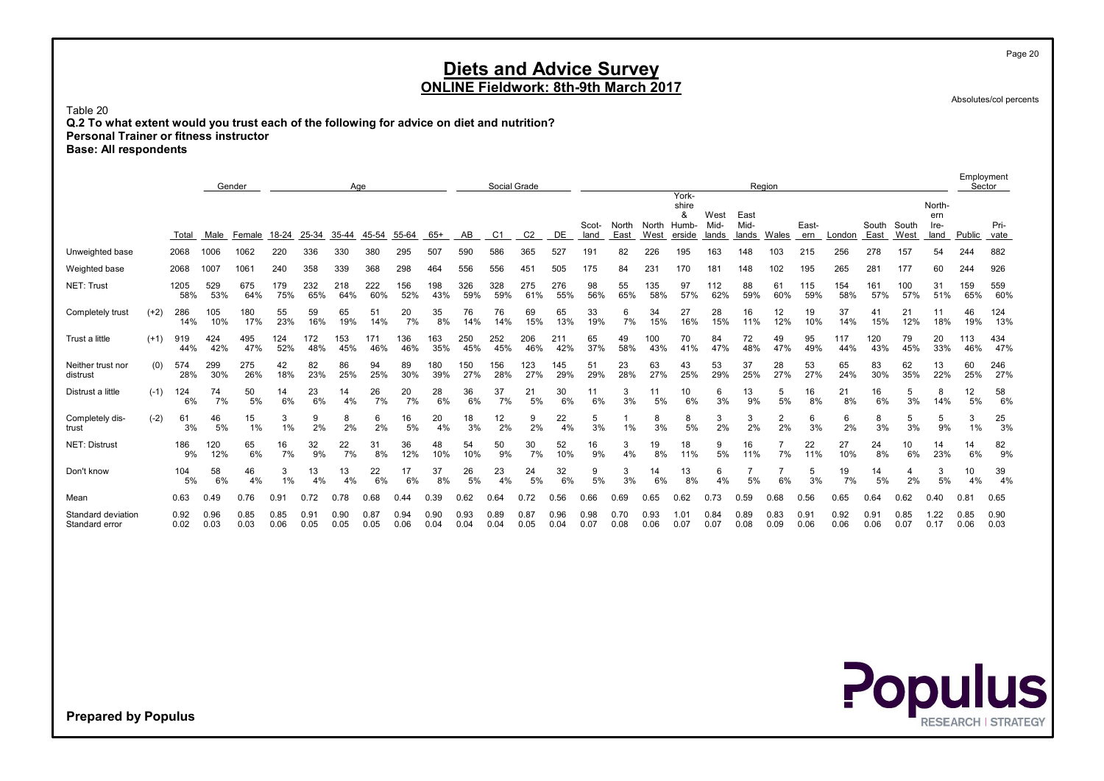Absolutes/col percents

Page 20

Table 20 Q.2 To what extent would you trust each of the following for advice on diet and nutrition? Personal Trainer or fitness instructor Base: All respondents

|                                      |        |              |              | Gender       |              |                       | Age          |              |              |              |              | Social Grade   |                |              |              |              |              |                              |                 |              | Region               |              |              |              |              |                       | Sector       | Employment   |
|--------------------------------------|--------|--------------|--------------|--------------|--------------|-----------------------|--------------|--------------|--------------|--------------|--------------|----------------|----------------|--------------|--------------|--------------|--------------|------------------------------|-----------------|--------------|----------------------|--------------|--------------|--------------|--------------|-----------------------|--------------|--------------|
|                                      |        |              |              |              |              |                       |              |              |              |              |              |                |                |              | Scot-        | North        | North        | York-<br>shire<br>&<br>Humb- | West<br>Mid-    | East<br>Mid- |                      | East-        |              | South        | South        | North-<br>ern<br>Ire- |              | Pri-         |
|                                      |        | Total        | Male         | Female       | 18-24        | 25-34                 | 35-44        | 45-54        | 55-64        | $65+$        | AB           | C <sub>1</sub> | C <sub>2</sub> | DE           | land         | East         | West         | erside                       | lands           | lands        | Wales                | ern          | London       | East         | West         | land                  | Public       | vate         |
| Unweighted base                      |        | 2068         | 1006         | 1062         | 220          | 336                   | 330          | 380          | 295          | 507          | 590          | 586            | 365            | 527          | 191          | 82           | 226          | 195                          | 163             | 148          | 103                  | 215          | 256          | 278          | 157          | 54                    | 244          | 882          |
| Weighted base                        |        | 2068         | 1007         | 1061         | 240          | 358                   | 339          | 368          | 298          | 464          | 556          | 556            | 451            | 505          | 175          | 84           | 231          | 170                          | 18 <sup>1</sup> | 148          | 102                  | 195          | 265          | 281          | 177          | 60                    | 244          | 926          |
| NET: Trust                           |        | 1205<br>58%  | 529<br>53%   | 675<br>64%   | 179<br>75%   | 232<br>65%            | 218<br>64%   | 222<br>60%   | 156<br>52%   | 198<br>43%   | 326<br>59%   | 328<br>59%     | 275<br>61%     | 276<br>55%   | 98<br>56%    | 55<br>65%    | 135<br>58%   | 97<br>57%                    | 112<br>62%      | 88<br>59%    | 61<br>60%            | 115<br>59%   | 154<br>58%   | 161<br>57%   | 100<br>57%   | 31<br>51%             | 159<br>65%   | 559<br>60%   |
| Completely trust                     | $(+2)$ | 286<br>14%   | 105<br>10%   | 180<br>17%   | 55<br>23%    | 59<br>16%             | 65<br>19%    | 51<br>14%    | 20<br>7%     | 35<br>8%     | 76<br>14%    | 76<br>14%      | 69<br>15%      | 65<br>13%    | 33<br>19%    | 6<br>7%      | 34<br>15%    | 27<br>16%                    | 28<br>15%       | 16<br>11%    | 12<br>12%            | 19<br>10%    | 37<br>14%    | 41<br>15%    | 21<br>12%    | 11<br>18%             | 46<br>19%    | 124<br>13%   |
| Trust a little                       | $(+1)$ | 919<br>44%   | 424<br>42%   | 495<br>47%   | 124<br>52%   | 172<br>48%            | 153<br>45%   | 171<br>46%   | 136<br>46%   | 163<br>35%   | 250<br>45%   | 252<br>45%     | 206<br>46%     | 211<br>42%   | 65<br>37%    | 49<br>58%    | 100<br>43%   | 70<br>41%                    | 84<br>47%       | 72<br>48%    | 49<br>47%            | 95<br>49%    | 117<br>44%   | 120<br>43%   | 79<br>45%    | 20<br>33%             | 113<br>46%   | 434<br>47%   |
| Neither trust nor<br>distrust        | (0)    | 574<br>28%   | 299<br>30%   | 275<br>26%   | 42<br>18%    | 82<br>23%             | 86<br>25%    | 94<br>25%    | 89<br>30%    | 180<br>39%   | 150<br>27%   | 156<br>28%     | 123<br>27%     | 145<br>29%   | 51<br>29%    | 23<br>28%    | 63<br>27%    | 43<br>25%                    | 53<br>29%       | 37<br>25%    | 28<br>27%            | 53<br>27%    | 65<br>24%    | 83<br>30%    | 62<br>35%    | 13<br>22%             | 60<br>25%    | 246<br>27%   |
| Distrust a little                    | $(-1)$ | 124<br>6%    | 74<br>7%     | 50<br>5%     | 14<br>6%     | 23<br>6%              | 14<br>4%     | 26<br>7%     | 20<br>7%     | 28<br>6%     | 36<br>6%     | 37<br>7%       | 21<br>5%       | 30<br>6%     | 11<br>6%     | 3<br>3%      | 11<br>5%     | 10<br>6%                     | 6<br>3%         | 13<br>9%     | 5<br>5%              | 16<br>8%     | 21<br>8%     | 16<br>6%     | 5<br>3%      | 8<br>14%              | 12<br>5%     | 58<br>6%     |
| Completely dis-<br>trust             | $(-2)$ | 61<br>3%     | 46<br>5%     | 15<br>1%     | 3<br>1%      | 2%                    | 8<br>2%      | 6<br>2%      | 16<br>5%     | 20<br>4%     | 18<br>3%     | 12<br>2%       | 2%             | 22<br>4%     | 5<br>3%      | 1%           | 8<br>3%      | 8<br>5%                      | 3<br>2%         | 3<br>2%      | $\overline{2}$<br>2% | 6<br>3%      | 6<br>2%      | 3%           | 5<br>3%      | 5<br>9%               | 3<br>1%      | 25<br>3%     |
| <b>NET: Distrust</b>                 |        | 186<br>9%    | 120<br>12%   | 65<br>6%     | 16<br>7%     | 32<br>9%              | 22<br>7%     | 31<br>8%     | 36<br>12%    | 48<br>10%    | 54<br>10%    | 50<br>9%       | 30<br>7%       | 52<br>10%    | 16<br>9%     | 3<br>4%      | 19<br>8%     | 18<br>11%                    | 9<br>5%         | 16<br>11%    | 7%                   | 22<br>11%    | 27<br>10%    | 24<br>8%     | 10<br>6%     | 14<br>23%             | 14<br>6%     | 82<br>9%     |
| Don't know                           |        | 104<br>5%    | 58<br>6%     | 46<br>4%     | 3<br>1%      | 13<br>4%              | 13<br>4%     | 22<br>6%     | 17<br>6%     | 37<br>8%     | 26<br>5%     | 23<br>4%       | 24<br>5%       | 32<br>6%     | 9<br>5%      | 3<br>3%      | 14<br>6%     | 13<br>8%                     | 6<br>4%         | 5%           | 6%                   | 5<br>3%      | 19<br>7%     | 14<br>5%     | 4<br>2%      | 3<br>5%               | 10<br>4%     | 39<br>4%     |
| Mean                                 |        | 0.63         | 0.49         | 0.76         | 0.91         | 0.72                  | 0.78         | 0.68         | 0.44         | 0.39         | 0.62         | 0.64           |                | 0.56         | .66          | 0.69         | 0.65         | 0.62                         | 0.73            | 0.59         | 0.68                 | 0.56         | 0.65         | 0.64         | 0.62         | 0.40                  | 0.81         | 0.65         |
| Standard deviation<br>Standard error |        | 0.92<br>0.02 | 0.96<br>0.03 | 0.85<br>0.03 | 0.85<br>0.06 | $0.9^{\circ}$<br>0.05 | 0.90<br>0.05 | 0.87<br>0.05 | 0.94<br>0.06 | 0.90<br>0.04 | 0.93<br>0.04 | 0.89<br>0.04   | 0.87<br>0.05   | 0.96<br>0.04 | 0.98<br>0.07 | 0.70<br>0.08 | 0.93<br>0.06 | 1.01<br>0.07                 | 0.84<br>0.07    | 0.89<br>0.08 | 0.83<br>0.09         | 0.91<br>0.06 | 0.92<br>0.06 | 0.91<br>0.06 | 0.85<br>0.07 | .22<br>0.17           | 0.85<br>0.06 | 0.90<br>0.03 |

**Populus**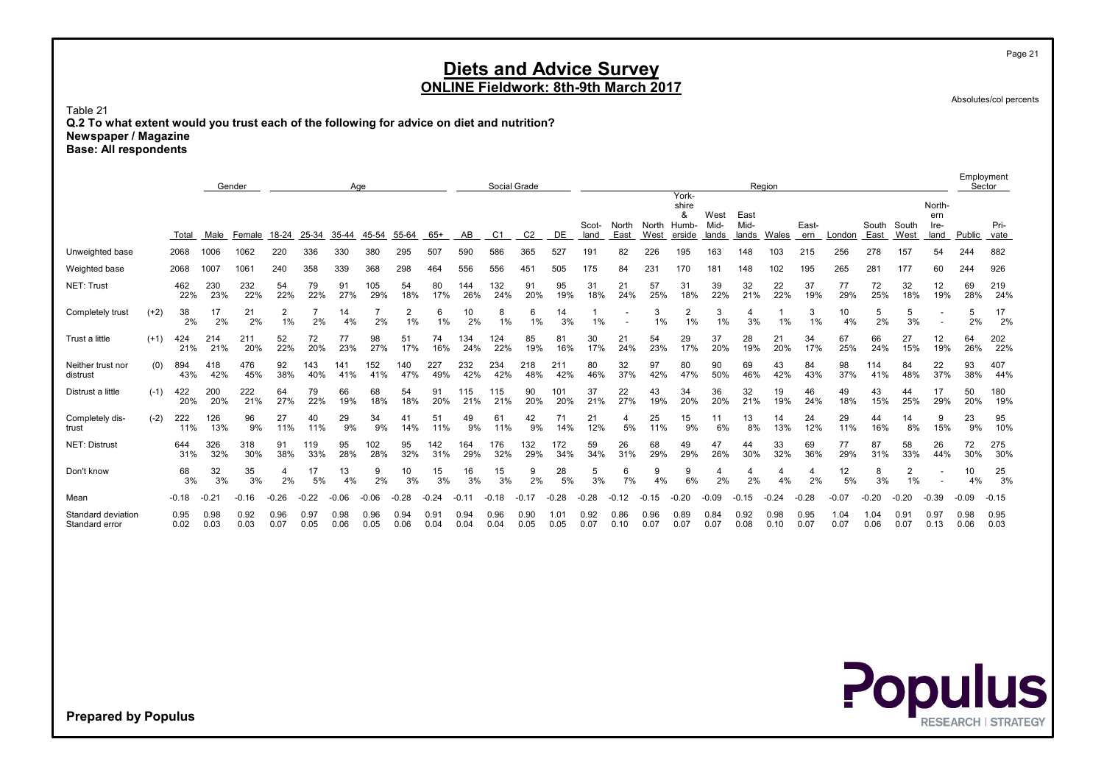Table 21 Q.2 To what extent would you trust each of the following for advice on diet and nutrition? Newspaper / Magazine Base: All respondents

|                                      | Gender<br>Age |              |              |              |              |              |              |              |                      |              |              |              | Social Grade   |              |               |               |               | York-                         |                       |                       | Region       |              |              |               |                      |                               |              | Employment<br>Sector |
|--------------------------------------|---------------|--------------|--------------|--------------|--------------|--------------|--------------|--------------|----------------------|--------------|--------------|--------------|----------------|--------------|---------------|---------------|---------------|-------------------------------|-----------------------|-----------------------|--------------|--------------|--------------|---------------|----------------------|-------------------------------|--------------|----------------------|
|                                      |               | Total        | Male         | Female       | 18-24        | 25-34        | 35-44        | 45-54        | 55-64                | 65+          | AB           | C1           | C <sub>2</sub> | DE           | Scot-<br>land | North<br>East | North<br>West | shire<br>&<br>Humb-<br>erside | West<br>Mid-<br>lands | East<br>Mid-<br>lands | Wales        | East-<br>ern | London       | South<br>East | South<br>West        | North-<br>ern<br>Ire-<br>land | Public       | Pri-<br>vate         |
| Unweighted base                      |               | 2068         | 1006         | 1062         | 220          | 336          | 330          | 380          | 295                  | 507          | 590          | 586          | 365            | 527          | 191           | 82            | 226           | 195                           | 163                   | 148                   | 103          | 215          | 256          | 278           | 157                  | 54                            | 244          | 882                  |
| Weighted base                        |               | 2068         | 1007         | 106'         | 240          | 358          | 339          | 368          | 298                  | 464          | 556          | 556          | 451            | 505          | 175           | 84            | 231           | 170                           | 181                   | 148                   | 102          | 195          | 265          | 281           | 177                  | 60                            | 244          | 926                  |
| NET: Trust                           |               | 462<br>22%   | 230<br>23%   | 232<br>22%   | 54<br>22%    | 79<br>22%    | 91<br>27%    | 105<br>29%   | 54<br>18%            | 80<br>17%    | 144<br>26%   | 132<br>24%   | 91<br>20%      | 95<br>19%    | 31<br>18%     | 21<br>24%     | 57<br>25%     | 31<br>18%                     | 39<br>22%             | 32<br>21%             | 22<br>22%    | 37<br>19%    | 77<br>29%    | 72<br>25%     | 32<br>18%            | 12<br>19%                     | 69<br>28%    | 219<br>24%           |
| Completely trust                     | $(+2)$        | 38<br>2%     | 17<br>2%     | 21<br>2%     | 2<br>1%      | 2%           | 14<br>4%     | 2%           | $\overline{2}$<br>1% | 6<br>1%      | 10<br>2%     | 8<br>1%      | 6<br>1%        | 14<br>3%     | 1%            |               | 3<br>1%       | 2<br>1%                       | 3<br>1%               | 3%                    | 1%           | 3<br>1%      | 10<br>4%     | 5<br>2%       | 5<br>3%              |                               | 5<br>2%      | 17<br>2%             |
| Trust a little                       | $(+1)$        | 424<br>21%   | 214<br>21%   | 211<br>20%   | 52<br>22%    | 72<br>20%    | 77<br>23%    | 98<br>27%    | 51<br>17%            | 74<br>16%    | 134<br>24%   | 124<br>22%   | 85<br>19%      | 81<br>16%    | 30<br>17%     | 21<br>24%     | 54<br>23%     | 29<br>17%                     | 37<br>20%             | 28<br>19%             | 21<br>20%    | 34<br>17%    | 67<br>25%    | 66<br>24%     | 27<br>15%            | 12<br>19%                     | 64<br>26%    | 202<br>22%           |
| Neither trust nor<br>distrust        | (0)           | 894<br>43%   | 418<br>42%   | 476<br>45%   | 92<br>38%    | 143<br>40%   | 141<br>41%   | 152<br>41%   | 40<br>47%            | 227<br>49%   | 232<br>42%   | 234<br>42%   | 218<br>48%     | 211<br>42%   | 80<br>46%     | 32<br>37%     | 97<br>42%     | 80<br>47%                     | 90<br>50%             | 69<br>46%             | 43<br>42%    | 84<br>43%    | 98<br>37%    | 114<br>41%    | 84<br>48%            | 22<br>37%                     | 93<br>38%    | 407<br>44%           |
| Distrust a little                    | $(-1)$        | 422<br>20%   | 200<br>20%   | 222<br>21%   | 64<br>27%    | 79<br>22%    | 66<br>19%    | 68<br>18%    | 54<br>18%            | 91<br>20%    | 115<br>21%   | 115<br>21%   | 90<br>20%      | 101<br>20%   | 37<br>21%     | 22<br>27%     | 43<br>19%     | 34<br>20%                     | 36<br>20%             | 32<br>21%             | 19<br>19%    | 46<br>24%    | 49<br>18%    | 43<br>15%     | 44<br>25%            | 17<br>29%                     | 50<br>20%    | 180<br>19%           |
| Completely dis-<br>trust             | $(-2)$        | 222<br>11%   | 126<br>13%   | 96<br>9%     | 27<br>11%    | 40<br>11%    | 29<br>9%     | 34<br>9%     | 41<br>14%            | 51<br>11%    | 49<br>9%     | 61<br>11%    | 42<br>9%       | 71<br>14%    | 21<br>12%     | 5%            | 25<br>11%     | 15<br>9%                      | 11<br>6%              | 13<br>8%              | 14<br>13%    | 24<br>12%    | 29<br>11%    | 44<br>16%     | 14<br>8%             | 9<br>15%                      | 23<br>9%     | 95<br>10%            |
| <b>NET: Distrust</b>                 |               | 644<br>31%   | 326<br>32%   | 318<br>30%   | 91<br>38%    | 119<br>33%   | 95<br>28%    | 102<br>28%   | 95<br>32%            | 142<br>31%   | 164<br>29%   | 176<br>32%   | 132<br>29%     | 172<br>34%   | 59<br>34%     | 26<br>31%     | 68<br>29%     | 49<br>29%                     | 47<br>26%             | 44<br>30%             | 33<br>32%    | 69<br>36%    | 77<br>29%    | 87<br>31%     | 58<br>33%            | 26<br>44%                     | 72<br>30%    | 275<br>30%           |
| Don't know                           |               | 68<br>3%     | 32<br>3%     | 35<br>3%     | 4<br>2%      | 17<br>5%     | 13<br>4%     | 9<br>2%      | 10<br>3%             | 15<br>3%     | 16<br>3%     | 15<br>3%     | 9<br>2%        | 28<br>5%     | 5<br>3%       | 6<br>7%       | 9<br>4%       | 6%                            | 4<br>2%               | 2%                    | 4<br>4%      | 2%           | 12<br>5%     | 8<br>3%       | $\overline{2}$<br>1% |                               | 10<br>4%     | 25<br>3%             |
| Mean                                 |               | $-0.18$      | $-0.21$      | $-0.16$      | $-0.26$      | $-0.22$      | $-0.06$      | .06          | .28                  | $-0.24$      |              | $-0.18$      |                | .28          | $-0.28$       | $-0.12$       | $-0.15$       | $-0.20$                       | $-0.09$               | $-0.15$               | $-0.24$      | $-0.28$      | $-0.07$      | $-0.20$       | $-0.20$              | $-0.39$                       | $-0.09$      | $-0.15$              |
| Standard deviation<br>Standard error |               | 0.95<br>0.02 | 0.98<br>0.03 | 0.92<br>0.03 | 0.96<br>0.07 | 0.97<br>0.05 | 0.98<br>0.06 | 0.96<br>0.05 | 0.94<br>0.06         | 0.91<br>0.04 | 0.94<br>0.04 | 0.96<br>0.04 | 0.90<br>0.05   | 1.01<br>0.05 | 0.92<br>0.07  | 0.86<br>0.10  | 0.96<br>0.07  | 0.89<br>0.07                  | 0.84<br>0.07          | 0.92<br>0.08          | 0.98<br>0.10 | 0.95<br>0.07 | 1.04<br>0.07 | 1.04<br>0.06  | 0.91<br>0.07         | 0.97<br>0.13                  | 0.98<br>0.06 | 0.95<br>0.03         |

Prepared by Populus



Absolutes/col percents

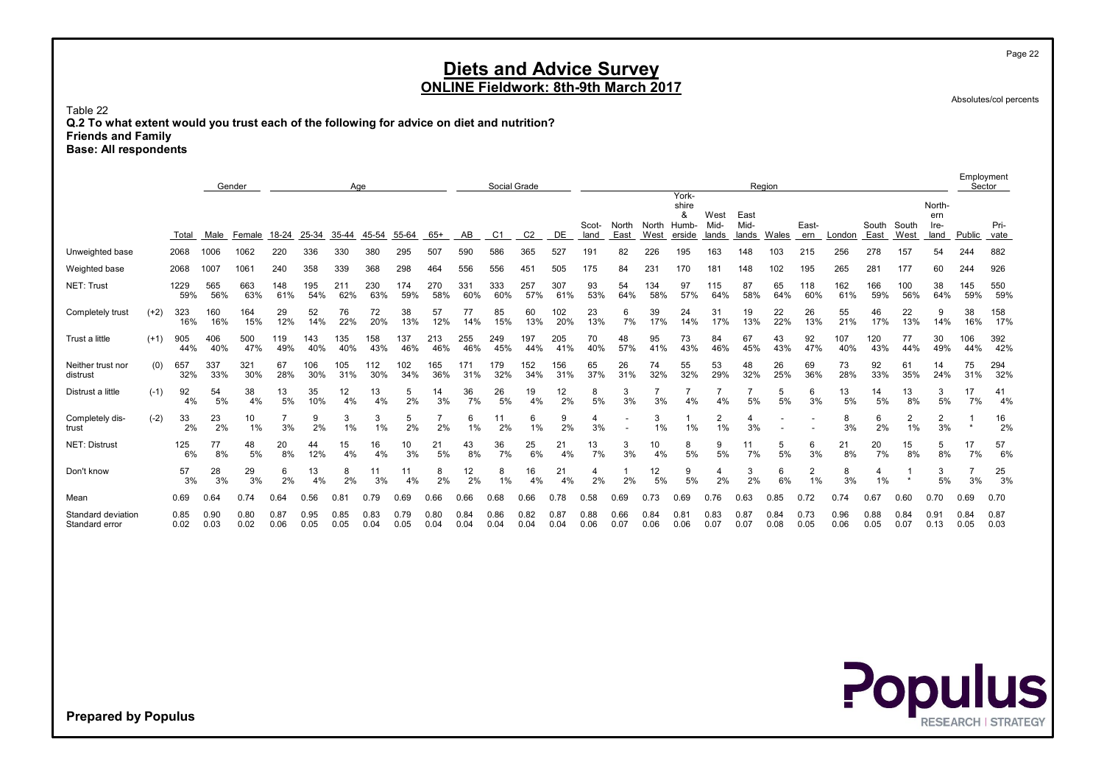Table 22 Q.2 To what extent would you trust each of the following for advice on diet and nutrition? Friends and Family Base: All respondents

|                                      |        |              |              | Gender           |              |              | Age          |              |              |              |              | Social Grade |                |              |               |               |               | York-                         |                       |                       | Region       |              |              |               |               |                               | Sector       | Employment   |
|--------------------------------------|--------|--------------|--------------|------------------|--------------|--------------|--------------|--------------|--------------|--------------|--------------|--------------|----------------|--------------|---------------|---------------|---------------|-------------------------------|-----------------------|-----------------------|--------------|--------------|--------------|---------------|---------------|-------------------------------|--------------|--------------|
|                                      |        | Total        | Male         | Female           | 18-24        | 25-34        | 35-44        | 45-54        | 55-64        | $65+$        | AB           | C1           | C <sub>2</sub> | DE           | Scot-<br>land | North<br>East | North<br>West | shire<br>&<br>Humb-<br>erside | West<br>Mid-<br>lands | East<br>Mid-<br>lands | Wales        | East-<br>ern | London       | South<br>East | South<br>West | North-<br>ern<br>Ire-<br>land | Public       | Pri-<br>vate |
| Unweighted base                      |        | 2068         | 1006         | 1062             | 220          | 336          | 330          | 380          | 295          | 507          | 590          | 586          | 365            | 527          | 191           | 82            | 226           | 195                           | 163                   | 148                   | 103          | 215          | 256          | 278           | 157           | 54                            | 244          | 882          |
| Weighted base                        |        | 2068         | 1007         | 106 <sup>7</sup> | 240          | 358          | 339          | 368          | 298          | 464          | 556          | 556          | 451            | 505          | 175           | 84            | 231           | 170                           | 181                   | 148                   | 102          | 195          | 265          | 281           | 177           | 60                            | 244          | 926          |
|                                      |        |              |              |                  |              |              |              |              |              |              |              |              |                |              |               |               |               |                               |                       |                       |              |              |              |               |               |                               |              |              |
| NET: Trust                           |        | 1229<br>59%  | 565<br>56%   | 663<br>63%       | 148<br>61%   | 195<br>54%   | 211<br>62%   | 230<br>63%   | 174<br>59%   | 270<br>58%   | 331<br>60%   | 333<br>60%   | 257<br>57%     | 307<br>61%   | 93<br>53%     | 54<br>64%     | 134<br>58%    | 97<br>57%                     | 115<br>64%            | 87<br>58%             | 65<br>64%    | 118<br>60%   | 162<br>61%   | 166<br>59%    | 100<br>56%    | 38<br>64%                     | 145<br>59%   | 550<br>59%   |
| Completely trust                     | $(+2)$ | 323<br>16%   | 160<br>16%   | 164<br>15%       | 29<br>12%    | 52<br>14%    | 76<br>22%    | 72<br>20%    | 38<br>13%    | 57<br>12%    | 77<br>14%    | 85<br>15%    | 60<br>13%      | 102<br>20%   | 23<br>13%     | 6<br>7%       | 39<br>17%     | 24<br>14%                     | 31<br>17%             | 19<br>13%             | 22<br>22%    | 26<br>13%    | 55<br>21%    | 46<br>17%     | 22<br>13%     | 9<br>14%                      | 38<br>16%    | 158<br>17%   |
| Trust a little                       | $(+1)$ | 905<br>44%   | 406<br>40%   | 500<br>47%       | 119<br>49%   | 143<br>40%   | 135<br>40%   | 158<br>43%   | 137<br>46%   | 213<br>46%   | 255<br>46%   | 249<br>45%   | 197<br>44%     | 205<br>41%   | 70<br>40%     | 48<br>57%     | 95<br>41%     | 73<br>43%                     | 84<br>46%             | 67<br>45%             | 43<br>43%    | 92<br>47%    | 107<br>40%   | 120<br>43%    | 77<br>44%     | 30<br>49%                     | 106<br>44%   | 392<br>42%   |
| Neither trust nor<br>distrust        | (0)    | 657<br>32%   | 337<br>33%   | 321<br>30%       | 67<br>28%    | 106<br>30%   | 105<br>31%   | 112<br>30%   | 102<br>34%   | 165<br>36%   | 171<br>31%   | 179<br>32%   | 152<br>34%     | 156<br>31%   | 65<br>37%     | 26<br>31%     | 74<br>32%     | 55<br>32%                     | 53<br>29%             | 48<br>32%             | 26<br>25%    | 69<br>36%    | 73<br>28%    | 92<br>33%     | 61<br>35%     | 14<br>24%                     | 75<br>31%    | 294<br>32%   |
| Distrust a little                    | $(-1)$ | 92<br>4%     | 54<br>5%     | 38<br>4%         | 13<br>5%     | 35<br>10%    | 12<br>4%     | 13<br>4%     | 5<br>2%      | 14<br>3%     | 36<br>7%     | 26<br>5%     | 19<br>4%       | 12<br>2%     | 8<br>5%       | 3<br>3%       | 3%            | 4%                            | 4%                    | 5%                    | 5<br>5%      | 6<br>3%      | 13<br>5%     | 14<br>5%      | 13<br>8%      | 3<br>5%                       | 17<br>7%     | 41<br>4%     |
| Completely dis-<br>trust             | $(-2)$ | 33<br>2%     | 23<br>2%     | 10<br>1%         | 3%           | 9<br>2%      | 3<br>1%      | 3<br>1%      | 5<br>2%      | 2%           | 6<br>1%      | 11<br>2%     | 6<br>1%        | 9<br>2%      | 3%            |               | 3<br>1%       | 1%                            | 2<br>$1\%$            | 3%                    |              |              | 8<br>3%      | 6<br>2%       | 2<br>1%       | 2<br>3%                       |              | 16<br>2%     |
| <b>NET: Distrust</b>                 |        | 125<br>6%    | 77<br>8%     | 48<br>5%         | 20<br>8%     | 44<br>12%    | 15<br>4%     | 16<br>4%     | 10<br>3%     | 21<br>5%     | 43<br>8%     | 36<br>7%     | 25<br>6%       | 21<br>4%     | 13<br>7%      | 3<br>3%       | 10<br>4%      | 8<br>5%                       | 9<br>5%               | 11<br>7%              | 5<br>5%      | 6<br>3%      | 21<br>8%     | 20<br>7%      | 15<br>8%      | 5<br>8%                       | 17<br>7%     | 57<br>6%     |
| Don't know                           |        | 57<br>3%     | 28<br>3%     | 29<br>3%         | 6<br>2%      | 13<br>4%     | 8<br>2%      | 11<br>3%     | 11<br>4%     | 8<br>2%      | 12<br>2%     | 8<br>1%      | 16<br>4%       | 21<br>4%     | 2%            | 2%            | 12<br>5%      | 9<br>5%                       | 4<br>2%               | 2%                    | 6<br>6%      | 2<br>1%      | 8<br>3%      | 4<br>1%       |               | 3<br>5%                       | 3%           | 25<br>3%     |
| Mean                                 |        | 0.69         | 0.64         | 0.74             | 0.64         | 0.56         | 0.81         | 0.79         | 0.69         | 0.66         | 0.66         | 0.68         | 0.66           | 0.78         | 0.58          | 0.69          | 0.73          | 0.69                          | 0.76                  | 0.63                  | 0.85         | 0.72         | 0.74         | 0.67          | 0.60          | 0.70                          | 0.69         | 0.70         |
| Standard deviation<br>Standard error |        | 0.85<br>0.02 | 0.90<br>0.03 | 0.80<br>0.02     | 0.87<br>0.06 | 0.95<br>0.05 | 0.85<br>0.05 | 0.83<br>0.04 | 0.79<br>0.05 | 0.80<br>0.04 | 0.84<br>0.04 | 0.86<br>0.04 | 0.82<br>0.04   | 0.87<br>0.04 | 0.88<br>0.06  | 0.66<br>0.07  | 0.84<br>0.06  | 0.81<br>0.06                  | 0.83<br>0.07          | 0.87<br>0.07          | 0.84<br>0.08 | 0.73<br>0.05 | 0.96<br>0.06 | 0.88<br>0.05  | 0.84<br>0.07  | 0.91<br>0.13                  | 0.84<br>0.05 | 0.87<br>0.03 |

**Populus** 

Prepared by Populus

Page 22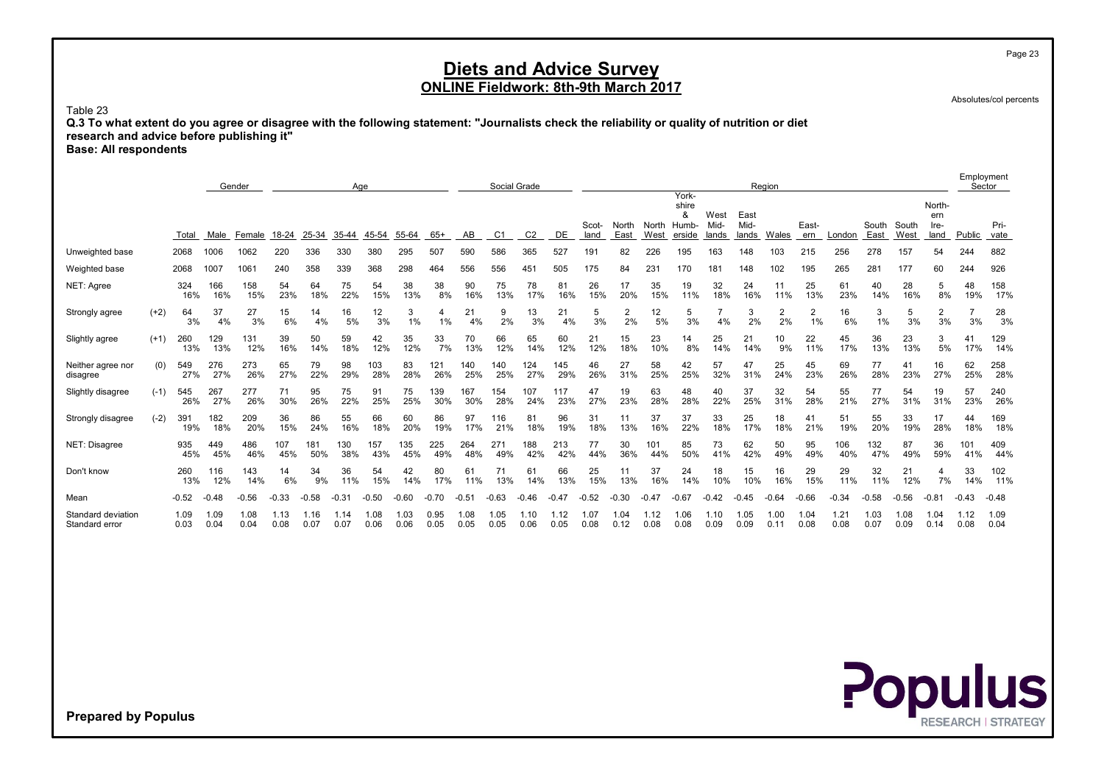Page 23

## Diets and Advice Survey ONLINE Fieldwork: 8th-9th March 2017

Absolutes/col percents

Table 23 Q.3 To what extent do you agree or disagree with the following statement: "Journalists check the reliability or quality of nutrition or diet research and advice before publishing it"

Base: All respondents

|                                      |        |              |              | Gender       |              |              | Age          |              |              |              |              |              | Social Grade   |              |              |                      |              |                              |              |              | Region       |                      |              |              |              |                       | Employment<br>Sector |              |
|--------------------------------------|--------|--------------|--------------|--------------|--------------|--------------|--------------|--------------|--------------|--------------|--------------|--------------|----------------|--------------|--------------|----------------------|--------------|------------------------------|--------------|--------------|--------------|----------------------|--------------|--------------|--------------|-----------------------|----------------------|--------------|
|                                      |        |              |              |              |              |              |              |              |              |              |              |              |                |              | Scot-        | North                | North        | York-<br>shire<br>&<br>Humb- | West<br>Mid- | East<br>Mid- |              | East-                |              | South        | South        | North-<br>ern<br>Ire- |                      | Pri-         |
|                                      |        | Total        | Male         | Female       | 18-24        | 25-34        | 35-44        | 45-54        | 55-64        | $65+$        | AB           | C1           | C <sub>2</sub> | DE           | land         | East                 | West         | erside                       | lands        | lands        | Wales        | ern                  | London       | East         | West         | land                  | Public               | vate         |
| Unweighted base                      |        | 2068         | 1006         | 1062         | 220          | 336          | 330          | 380          | 295          | 507          | 590          | 586          | 365            | 527          | 191          | 82                   | 226          | 195                          | 163          | 148          | 103          | 215                  | 256          | 278          | 157          | 54                    | 244                  | 882          |
| Weighted base                        |        | 2068         | 1007         | 1061         | 240          | 358          | 339          | 368          | 298          | 464          | 556          | 556          | 451            | 505          | 175          | 84                   | 231          | 170                          | 181          | 148          | 102          | 195                  | 265          | 281          | 177          | 60                    | 244                  | 926          |
| NET: Agree                           |        | 324<br>16%   | 166<br>16%   | 158<br>15%   | 54<br>23%    | 64<br>18%    | 75<br>22%    | 54<br>15%    | 38<br>13%    | 38<br>8%     | 90<br>16%    | 75<br>13%    | 78<br>17%      | 81<br>16%    | 26<br>15%    | 17<br>20%            | 35<br>15%    | 19<br>11%                    | 32<br>18%    | 24<br>16%    | 11<br>11%    | 25<br>13%            | 61<br>23%    | 40<br>14%    | 28<br>16%    | 5<br>8%               | 48<br>19%            | 158<br>17%   |
| Strongly agree                       | $(+2)$ | 64<br>3%     | 37<br>4%     | 27<br>3%     | 15<br>6%     | 14<br>4%     | 16<br>5%     | 12<br>3%     | 3<br>1%      | 1%           | 21<br>4%     | 9<br>2%      | 13<br>3%       | 21<br>4%     | 5<br>3%      | $\overline{2}$<br>2% | 12<br>5%     | 5<br>3%                      | 4%           | 3<br>2%      | 2<br>2%      | $\overline{2}$<br>1% | 16<br>6%     | 3<br>1%      | 5<br>3%      | 2<br>3%               | 3%                   | 28<br>3%     |
| Slightly agree                       | $(+1)$ | 260<br>13%   | 129<br>13%   | 131<br>12%   | 39<br>16%    | 50<br>14%    | 59<br>18%    | 42<br>12%    | 35<br>12%    | 33<br>7%     | 70<br>13%    | 66<br>12%    | 65<br>14%      | 60<br>12%    | 21<br>12%    | 15<br>18%            | 23<br>10%    | 14<br>8%                     | 25<br>14%    | 21<br>14%    | 10<br>9%     | 22<br>11%            | 45<br>17%    | 36<br>13%    | 23<br>13%    | 3<br>5%               | 41<br>17%            | 129<br>14%   |
| Neither agree nor<br>disagree        | (0)    | 549<br>27%   | 276<br>27%   | 273<br>26%   | 65<br>27%    | 79<br>22%    | 98<br>29%    | 103<br>28%   | 83<br>28%    | 121<br>26%   | 140<br>25%   | 140<br>25%   | 124<br>27%     | 145<br>29%   | 46<br>26%    | 27<br>31%            | 58<br>25%    | 42<br>25%                    | 57<br>32%    | 47<br>31%    | 25<br>24%    | 45<br>23%            | 69<br>26%    | 77<br>28%    | 41<br>23%    | 16<br>27%             | 62<br>25%            | 258<br>28%   |
| Slightly disagree                    | $(-1)$ | 545<br>26%   | 267<br>27%   | 277<br>26%   | 71<br>30%    | 95<br>26%    | 75<br>22%    | 91<br>25%    | 75<br>25%    | 139<br>30%   | 167<br>30%   | 154<br>28%   | 107<br>24%     | 117<br>23%   | 47<br>27%    | 19<br>23%            | 63<br>28%    | 48<br>28%                    | 40<br>22%    | 37<br>25%    | 32<br>31%    | 54<br>28%            | 55<br>21%    | 77<br>27%    | 54<br>31%    | 19<br>31%             | 57<br>23%            | 240<br>26%   |
| Strongly disagree                    | $(-2)$ | 391<br>19%   | 182<br>18%   | 209<br>20%   | 36<br>15%    | 86<br>24%    | 55<br>16%    | 66<br>18%    | 60<br>20%    | 86<br>19%    | 97<br>17%    | 116<br>21%   | 81<br>18%      | 96<br>19%    | 31<br>18%    | 11<br>13%            | 37<br>16%    | 37<br>22%                    | 33<br>18%    | 25<br>17%    | 18<br>18%    | 41<br>21%            | 51<br>19%    | 55<br>20%    | 33<br>19%    | 17<br>28%             | 44<br>18%            | 169<br>18%   |
| NET: Disagree                        |        | 935<br>45%   | 449<br>45%   | 486<br>46%   | 107<br>45%   | 181<br>50%   | 130<br>38%   | 157<br>43%   | 135<br>45%   | 225<br>49%   | 264<br>48%   | 271<br>49%   | 188<br>42%     | 213<br>42%   | 77<br>44%    | 30<br>36%            | 101<br>44%   | 85<br>50%                    | 73<br>41%    | 62<br>42%    | 50<br>49%    | 95<br>49%            | 106<br>40%   | 132<br>47%   | 87<br>49%    | 36<br>59%             | 101<br>41%           | 409<br>44%   |
| Don't know                           |        | 260<br>13%   | 116<br>12%   | 143<br>14%   | 14<br>6%     | 34<br>9%     | 36<br>11%    | 54<br>15%    | 42<br>14%    | 80<br>17%    | 61<br>11%    | 71<br>13%    | 61<br>14%      | 66<br>13%    | 25<br>15%    | 11<br>13%            | 37<br>16%    | 24<br>14%                    | 18<br>10%    | 15<br>10%    | 16<br>16%    | 29<br>15%            | 29<br>11%    | 32<br>11%    | 21<br>12%    | 7%                    | 33<br>14%            | 102<br>11%   |
| Mean                                 |        | $-0.52$      | $-0.48$      | $-0.56$      | $-0.33$      | .58<br>-0.   | $-0.31$      | $-0.50$      | $-0.60$      | $-0.70$      | $-0.51$      | $-0.63$      | $-0.46$        | $-0.47$      | $-0.52$      | $-0.30$              | $-0.47$      | $-0.67$                      | $-0.42$      | $-0.45$      | $-0.64$      | $-0.66$              | $-0.34$      | $-0.58$      | $-0.56$      | $-0.81$               | $-0.43$              | $-0.48$      |
| Standard deviation<br>Standard error |        | 1.09<br>0.03 | 1.09<br>0.04 | 1.08<br>0.04 | 1.13<br>0.08 | 1.16<br>0.07 | 1.14<br>0.07 | 1.08<br>0.06 | 1.03<br>0.06 | 0.95<br>0.05 | 1.08<br>0.05 | 1.05<br>0.05 | 1.10<br>0.06   | 1.12<br>0.05 | 1.07<br>0.08 | 1.04<br>0.12         | 1.12<br>0.08 | 1.06<br>0.08                 | 1.10<br>0.09 | 1.05<br>0.09 | 1.00<br>0.11 | 1.04<br>0.08         | 1.21<br>0.08 | 1.03<br>0.07 | 1.08<br>0.09 | 1.04<br>0.14          | 1.12<br>0.08         | 1.09<br>0.04 |

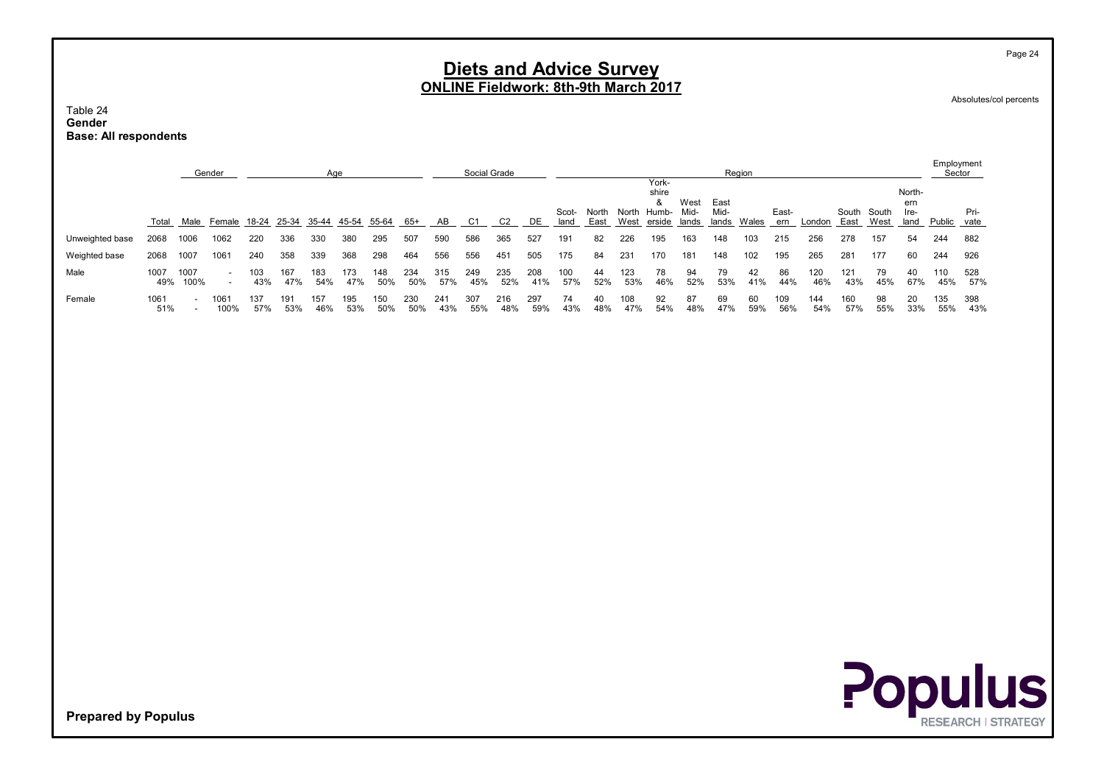Table 24 Gender Base: All respondents

|                 |             |              | Gender                                               |            |            | Aae        |            |            |            |            | Social Grade |            |            |               |               |            |                                         |                       |                       | Region    |              |            |               |               |                               | Employment<br>Sector |              |
|-----------------|-------------|--------------|------------------------------------------------------|------------|------------|------------|------------|------------|------------|------------|--------------|------------|------------|---------------|---------------|------------|-----------------------------------------|-----------------------|-----------------------|-----------|--------------|------------|---------------|---------------|-------------------------------|----------------------|--------------|
|                 | Total       |              | Male Female                                          | 18-24      | 25-34      | 35-44      | 45-54      | 55-64      | 65+        | AB         | C1           | C2         | DE.        | Scot-<br>land | North<br>East | West       | York-<br>shire<br>North Humb-<br>erside | West<br>Mid-<br>lands | East<br>Mid-<br>lands | Wales     | East-<br>ern | London     | South<br>East | South<br>West | North-<br>ern<br>Ire-<br>land | Public               | Pri-<br>vate |
| Unweighted base | 2068        | 1006         | 1062                                                 | 220        | 336        | 330        | 380        | 295        | 507        | 590        | 586          | 365        | 527        | 191           | 82            | 226        | 195                                     | 163                   | 148                   | 103       | 215          | 256        | 278           | 157           | 54                            | 244                  | 882          |
| Weighted base   | 2068        | 1007         | 1061                                                 | 240        | 358        | 339        | 368        | 298        | 464        | 556        | 556          | 451        | 505        | 175           | 84            | 231        | 170                                     | 181                   | 148                   | 102       | 195          | 265        | 281           | 177           | 60                            | 244                  | 926          |
| Male            | 1007<br>49% | 1007<br>100% | $\overline{\phantom{0}}$<br>$\overline{\phantom{a}}$ | 103<br>43% | 167<br>47% | 183<br>54% | 173<br>47% | 148<br>50% | 234<br>50% | 315<br>57% | 249<br>45%   | 235<br>52% | 208<br>41% | 100<br>57%    | 44<br>52%     | 123<br>53% | 78<br>46%                               | 94<br>52%             | 79<br>53%             | 42<br>41% | 86<br>44%    | 120<br>46% | 121<br>43%    | 79<br>45%     | 40<br>67%                     | 110<br>45%           | 528<br>57%   |
| Female          | 1061<br>51% |              | 1061<br>100%                                         | 137<br>57% | 191<br>53% | 157<br>46% | 195<br>53% | 150<br>50% | 230<br>50% | 241<br>43% | 307<br>55%   | 216<br>48% | 297<br>59% | 74<br>43%     | 40<br>48%     | 108<br>47% | 92<br>54%                               | 87<br>48%             | 69<br>47%             | 60<br>59% | 109<br>56%   | 144<br>54% | 160<br>57%    | 98<br>55%     | 20<br>33%                     | 135<br>55%           | 398<br>43%   |

Prepared by Populus

Page 24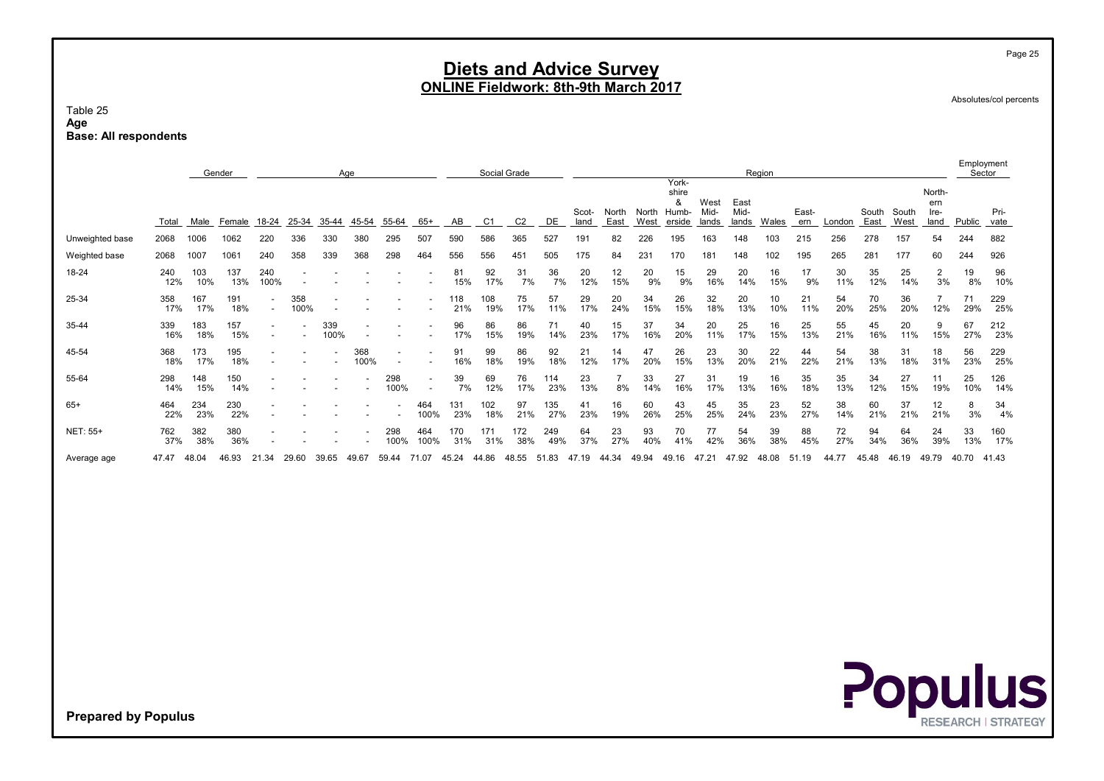Table 25 Age Base: All respondents

|                 |            |            | Gender     |             |             |             | Age         |             |             |            | Social Grade |            |            |               |               |               | York-                        |                       |                       | Region    |              |           |               |               |                               | Employment<br>Sector |              |
|-----------------|------------|------------|------------|-------------|-------------|-------------|-------------|-------------|-------------|------------|--------------|------------|------------|---------------|---------------|---------------|------------------------------|-----------------------|-----------------------|-----------|--------------|-----------|---------------|---------------|-------------------------------|----------------------|--------------|
|                 | Total      | Male       | Female     | 18-24       | 25-34       | 35-44       | 45-54       | 55-64       | 65+         | AB         | C1           | C2         | DE         | Scot-<br>land | North<br>East | North<br>West | shire<br>&<br>Humb<br>erside | West<br>Mid-<br>lands | East<br>Mid-<br>lands | Wales     | East-<br>ern | London    | South<br>East | South<br>West | North-<br>ern<br>Ire-<br>land | Public               | Pri-<br>vate |
| Unweighted base | 2068       | 1006       | 1062       | 220         | 336         | 330         | 380         | 295         | 507         | 590        | 586          | 365        | 527        | 191           | 82            | 226           | 195                          | 163                   | 148                   | 103       | 215          | 256       | 278           | 157           | 54                            | 244                  | 882          |
| Weighted base   | 2068       | 1007       | 1061       | 240         | 358         | 339         | 368         | 298         | 464         | 556        | 556          | 451        | 505        | 175           | 84            | 231           | 170                          | 181                   | 148                   | 102       | 195          | 265       | 281           | 177           | 60                            | 244                  | 926          |
| 18-24           | 240<br>12% | 103<br>10% | 137<br>13% | 240<br>100% |             |             |             |             |             | 81<br>15%  | 92<br>17%    | 31<br>7%   | 36<br>7%   | 20<br>12%     | 12<br>15%     | 20<br>9%      | 15<br>9%                     | 29<br>16%             | 20<br>14%             | 16<br>15% | 17<br>9%     | 30<br>11% | 35<br>12%     | 25<br>14%     | $\overline{2}$<br>3%          | 19<br>8%             | 96<br>10%    |
| 25-34           | 358<br>17% | 167<br>17% | 191<br>18% |             | 358<br>100% |             |             |             |             | 118<br>21% | 108<br>19%   | 75<br>17%  | 57<br>11%  | 29<br>17%     | 20<br>24%     | 34<br>15%     | 26<br>15%                    | 32<br>18%             | 20<br>13%             | 10<br>10% | 21<br>11%    | 54<br>20% | 70<br>25%     | 36<br>20%     | 12%                           | 71<br>29%            | 229<br>25%   |
| 35-44           | 339<br>16% | 183<br>18% | 157<br>15% |             |             | 339<br>100% |             |             |             | 96<br>17%  | 86<br>15%    | 86<br>19%  | 71<br>14%  | 40<br>23%     | 15<br>17%     | 37<br>16%     | 34<br>20%                    | 20<br>11%             | 25<br>17%             | 16<br>15% | 25<br>13%    | 55<br>21% | 45<br>16%     | 20<br>11%     | -9<br>15%                     | 67<br>27%            | 212<br>23%   |
| 45-54           | 368<br>18% | 173<br>17% | 195<br>18% |             |             |             | 368<br>100% |             |             | 91<br>16%  | 99<br>18%    | 86<br>19%  | 92<br>18%  | 21<br>12%     | 14<br>17%     | 47<br>20%     | 26<br>15%                    | 23<br>13%             | 30<br>20%             | 22<br>21% | 44<br>22%    | 54<br>21% | 38<br>13%     | 31<br>18%     | 18<br>31%                     | 56<br>23%            | 229<br>25%   |
| 55-64           | 298<br>14% | 148<br>15% | 150<br>14% |             |             |             |             | 298<br>100% |             | 39<br>7%   | 69<br>12%    | 76<br>17%  | 114<br>23% | 23<br>13%     | 8%            | 33<br>14%     | 27<br>16%                    | 31<br>17%             | 19<br>13%             | 16<br>16% | 35<br>18%    | 35<br>13% | 34<br>12%     | 27<br>15%     | 11<br>19%                     | 25<br>10%            | 126<br>14%   |
| $65+$           | 464<br>22% | 234<br>23% | 230<br>22% |             |             |             |             |             | 464<br>100% | 131<br>23% | 102<br>18%   | 97<br>21%  | 135<br>27% | 41<br>23%     | 16<br>19%     | 60<br>26%     | 43<br>25%                    | 45<br>25%             | 35<br>24%             | 23<br>23% | 52<br>27%    | 38<br>14% | 60<br>21%     | 37<br>21%     | 12<br>21%                     | 8<br>3%              | 34<br>4%     |
| NET: 55+        | 762<br>37% | 382<br>38% | 380<br>36% |             |             |             |             | 298<br>00%  | 464<br>100% | 170<br>31% | 171<br>31%   | 172<br>38% | 249<br>49% | 64<br>37%     | 23<br>27%     | 93<br>40%     | 70<br>41%                    | 77<br>42%             | 54<br>36%             | 39<br>38% | 88<br>45%    | 72<br>27% | 94<br>34%     | 64<br>36%     | 24<br>39%                     | 33<br>13%            | 160<br>17%   |
| Average age     | 47.47      | 48.04      | 46.93      | 21.34       | 29.60       | 39.65       | 49.67       | 59.44       | 71.07       | 45.24      | 44.86        | 48.55      | .83<br>51  | 19<br>47      | 44.34         | 49.94         | 49.16                        | 47.21                 | 47.92                 | 48.08     | 51.19        | 44.77     | 45.48         | 46.19         | 49.79                         | 40.70                | 41.43        |



Prepared by Populus

Page 25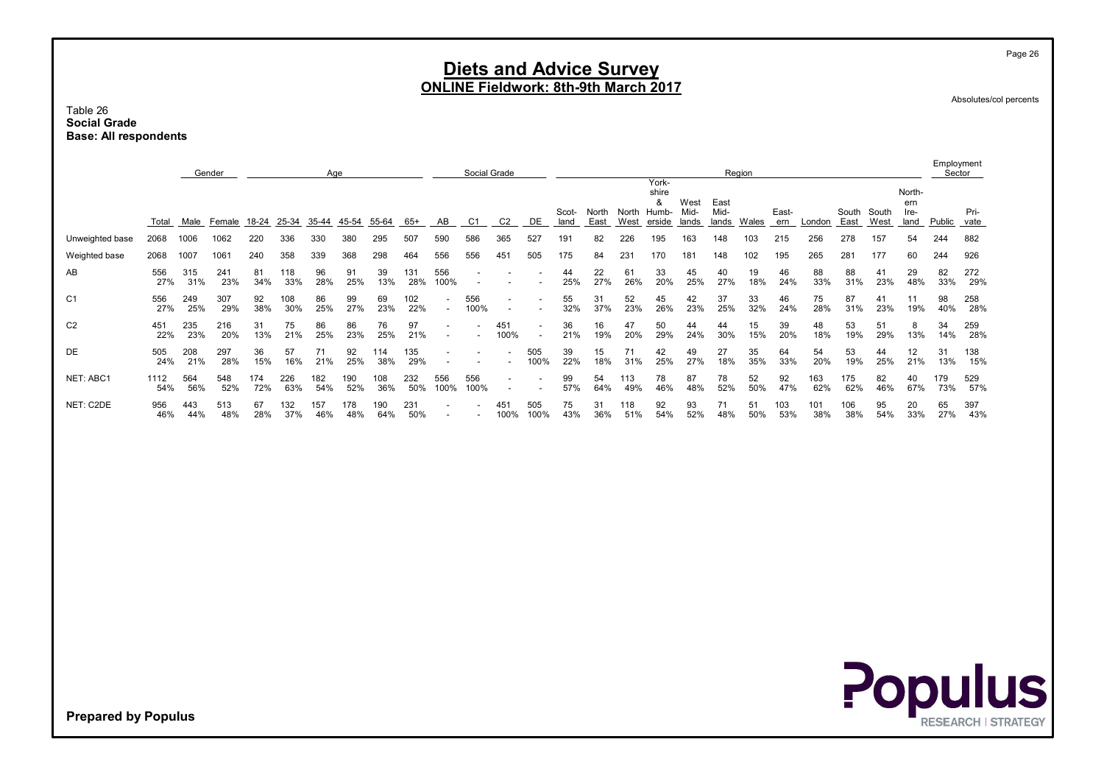Table 26 Social Grade Base: All respondents

|                 |             |            | Gender     |            |            | Age        |            |            |            |             | Social Grade   |                |             |               |               |               |                                        |                       |                       | Region    |              |            |               |               |                               | Employment<br>Sector |              |
|-----------------|-------------|------------|------------|------------|------------|------------|------------|------------|------------|-------------|----------------|----------------|-------------|---------------|---------------|---------------|----------------------------------------|-----------------------|-----------------------|-----------|--------------|------------|---------------|---------------|-------------------------------|----------------------|--------------|
|                 | Total       | Male       | Female     | 18-24      | 25-34      | 35-44      | 45-54      | 55-64      | 65+        | AB          | C <sub>1</sub> | C <sub>2</sub> | DE          | Scot-<br>land | North<br>East | North<br>West | York-<br>shire<br>&<br>Humb-<br>erside | West<br>Mid-<br>lands | East<br>Mid-<br>lands | Wales     | East-<br>ern | London     | South<br>East | South<br>West | North-<br>ern<br>Ire-<br>land | Public               | Pri-<br>vate |
| Unweighted base | 2068        | 1006       | 1062       | 220        | 336        | 330        | 380        | 295        | 507        | 590         | 586            | 365            | 527         | 191           | 82            | 226           | 195                                    | 163                   | 148                   | 103       | 215          | 256        | 278           | 157           | 54                            | 244                  | 882          |
| Weighted base   | 2068        | 1007       | 1061       | 240        | 358        | 339        | 368        | 298        | 464        | 556         | 556            | 451            | 505         | 175           | 84            | 231           | 170                                    | 181                   | 148                   | 102       | 195          | 265        | 281           | 177           | 60                            | 244                  | 926          |
| AB              | 556<br>27%  | 315<br>31% | 241<br>23% | 81<br>34%  | 118<br>33% | 96<br>28%  | 91<br>25%  | 39<br>13%  | 131<br>28% | 556<br>100% |                |                |             | 44<br>25%     | 22<br>27%     | 61<br>26%     | 33<br>20%                              | 45<br>25%             | 40<br>27%             | 19<br>18% | 46<br>24%    | 88<br>33%  | 88<br>31%     | 41<br>23%     | 29<br>48%                     | 82<br>33%            | 272<br>29%   |
| C <sub>1</sub>  | 556<br>27%  | 249<br>25% | 307<br>29% | 92<br>38%  | 108<br>30% | 86<br>25%  | 99<br>27%  | 69<br>23%  | 102<br>22% |             | 556<br>100%    |                |             | 55<br>32%     | 31<br>37%     | 52<br>23%     | 45<br>26%                              | 42<br>23%             | 37<br>25%             | 33<br>32% | 46<br>24%    | 75<br>28%  | 87<br>31%     | 41<br>23%     | 11<br>19%                     | 98<br>40%            | 258<br>28%   |
| C <sub>2</sub>  | 451<br>22%  | 235<br>23% | 216<br>20% | 31<br>13%  | 75<br>21%  | 86<br>25%  | 86<br>23%  | 76<br>25%  | 97<br>21%  |             |                | 451<br>100%    |             | 36<br>21%     | 16<br>19%     | 47<br>20%     | 50<br>29%                              | 44<br>24%             | 44<br>30%             | 15<br>15% | 39<br>20%    | 48<br>18%  | 53<br>19%     | 51<br>29%     | 8<br>13%                      | 34<br>14%            | 259<br>28%   |
| <b>DE</b>       | 505<br>24%  | 208<br>21% | 297<br>28% | 36<br>15%  | 57<br>16%  | 71<br>21%  | 92<br>25%  | 114<br>38% | 135<br>29% |             |                |                | 505<br>100% | 39<br>22%     | 15<br>18%     | 71<br>31%     | 42<br>25%                              | 49<br>27%             | 27<br>18%             | 35<br>35% | 64<br>33%    | 54<br>20%  | 53<br>19%     | 44<br>25%     | 12<br>21%                     | 31<br>13%            | 138<br>15%   |
| NET: ABC1       | 1112<br>54% | 564<br>56% | 548<br>52% | 174<br>72% | 226<br>63% | 182<br>54% | 190<br>52% | 108<br>36% | 232<br>50% | 556<br>100% | 556<br>100%    |                |             | 99<br>57%     | 54<br>64%     | 113<br>49%    | 78<br>46%                              | 87<br>48%             | 78<br>52%             | 52<br>50% | 92<br>47%    | 163<br>62% | 175<br>62%    | 82<br>46%     | 40<br>67%                     | 179<br>73%           | 529<br>57%   |
| NET: C2DE       | 956<br>46%  | 443<br>44% | 513<br>48% | 67<br>28%  | 132<br>37% | 157<br>46% | 178<br>48% | 190<br>64% | 231<br>50% |             |                | 451<br>100%    | 505<br>100% | 75<br>43%     | 31<br>36%     | 118<br>51%    | 92<br>54%                              | 93<br>52%             | 71<br>48%             | 51<br>50% | 103<br>53%   | 101<br>38% | 106<br>38%    | 95<br>54%     | 20<br>33%                     | 65<br>27%            | 397<br>43%   |

**Populus** 

Prepared by Populus

Page 26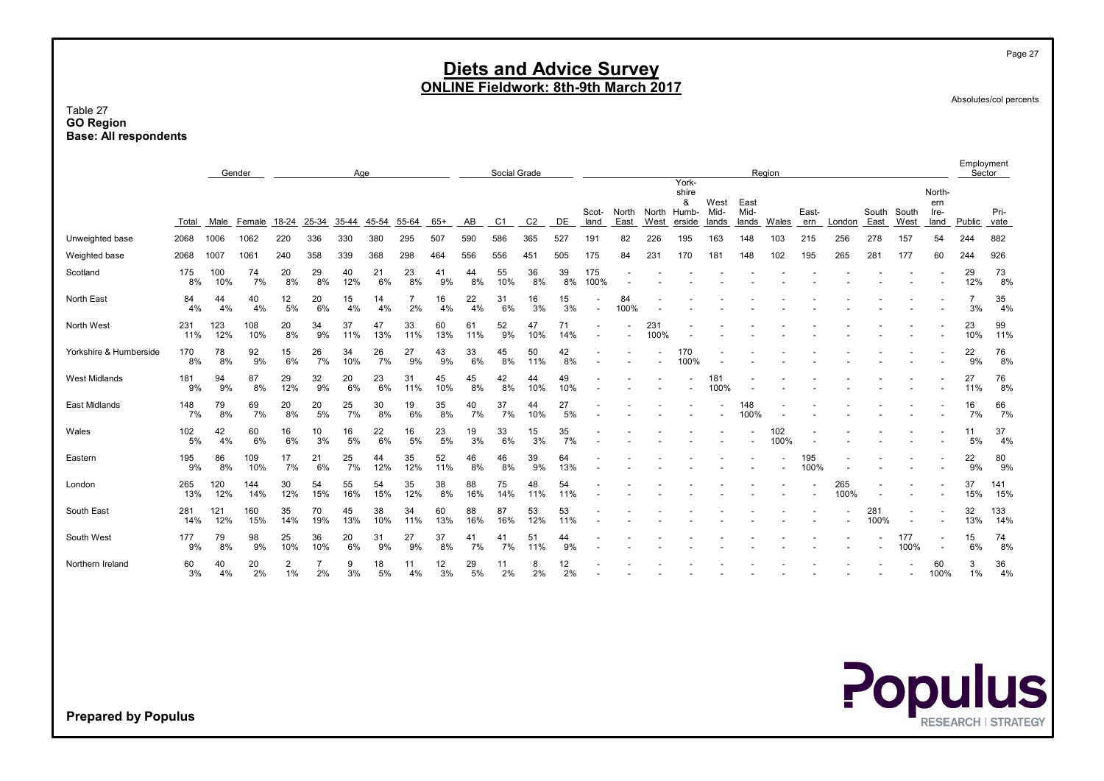Table 27 GO Region Base: All respondents

|                        |            |            | Gender     |           |           | Age       |           |           |           |           | Social Grade |           |           |               |               |               |                                        |                       |                       | Region      |              |             |               |               |                               | Employment<br>Sector |              |
|------------------------|------------|------------|------------|-----------|-----------|-----------|-----------|-----------|-----------|-----------|--------------|-----------|-----------|---------------|---------------|---------------|----------------------------------------|-----------------------|-----------------------|-------------|--------------|-------------|---------------|---------------|-------------------------------|----------------------|--------------|
|                        | Total      | Male       | Female     | 18-24     | 25-34     | 35-44     | 45-54     | 55-64     | $65+$     | AB        | C1           | C2        | DE        | Scot-<br>land | North<br>East | North<br>West | York-<br>shire<br>&<br>Humb-<br>erside | West<br>Mid-<br>lands | East<br>Mid-<br>lands | Wales       | East-<br>ern | London      | South<br>East | South<br>West | North-<br>ern<br>Ire-<br>land | Public               | Pri-<br>vate |
| Unweighted base        | 2068       | 1006       | 1062       | 220       | 336       | 330       | 380       | 295       | 507       | 590       | 586          | 365       | 527       | 191           | 82            | 226           | 195                                    | 163                   | 148                   | 103         | 215          | 256         | 278           | 157           | 54                            | 244                  | 882          |
| Weighted base          | 2068       | 1007       | 1061       | 240       | 358       | 339       | 368       | 298       | 464       | 556       | 556          | 451       | 505       | 175           | 84            | 231           | 170                                    | 181                   | 148                   | 102         | 195          | 265         | 281           | 177           | 60                            | 244                  | 926          |
| Scotland               | 175<br>8%  | 100<br>10% | 74<br>7%   | 20<br>8%  | 29<br>8%  | 40<br>12% | 21<br>6%  | 23<br>8%  | 41<br>9%  | 44<br>8%  | 55<br>10%    | 36<br>8%  | 39<br>8%  | 175<br>100%   |               |               |                                        |                       |                       |             |              |             |               |               |                               | 29<br>12%            | 73<br>8%     |
| North East             | 84<br>4%   | 44<br>4%   | 40<br>4%   | 12<br>5%  | 20<br>6%  | 15<br>4%  | 14<br>4%  | 2%        | 16<br>4%  | 22<br>4%  | 31<br>6%     | 16<br>3%  | 15<br>3%  |               | 84<br>100%    |               |                                        |                       |                       |             |              |             |               |               |                               | 7<br>3%              | 35<br>4%     |
| North West             | 231<br>11% | 123<br>12% | 108<br>10% | 20<br>8%  | 34<br>9%  | 37<br>11% | 47<br>13% | 33<br>11% | 60<br>13% | 61<br>11% | 52<br>9%     | 47<br>10% | 71<br>14% |               |               | 231<br>100%   |                                        |                       |                       |             |              |             |               |               |                               | 23<br>10%            | 99<br>11%    |
| Yorkshire & Humberside | 170<br>8%  | 78<br>8%   | 92<br>9%   | 15<br>6%  | 26<br>7%  | 34<br>10% | 26<br>7%  | 27<br>9%  | 43<br>9%  | 33<br>6%  | 45<br>8%     | 50<br>11% | 42<br>8%  |               |               |               | 170<br>100%                            |                       |                       |             |              |             |               |               |                               | 22<br>9%             | 76<br>8%     |
| <b>West Midlands</b>   | 181<br>9%  | 94<br>9%   | 87<br>8%   | 29<br>12% | 32<br>9%  | 20<br>6%  | 23<br>6%  | 31<br>11% | 45<br>10% | 45<br>8%  | 42<br>8%     | 44<br>10% | 49<br>10% |               |               |               |                                        | 181<br>100%           |                       |             |              |             |               |               |                               | 27<br>11%            | 76<br>8%     |
| East Midlands          | 148<br>7%  | 79<br>8%   | 69<br>7%   | 20<br>8%  | 20<br>5%  | 25<br>7%  | 30<br>8%  | 19<br>6%  | 35<br>8%  | 40<br>7%  | 37<br>7%     | 44<br>10% | 27<br>5%  |               |               |               |                                        |                       | 148<br>100%           |             |              |             |               |               |                               | 16<br>7%             | 66<br>7%     |
| Wales                  | 102<br>5%  | 42<br>4%   | 60<br>6%   | 16<br>6%  | 10<br>3%  | 16<br>5%  | 22<br>6%  | 16<br>5%  | 23<br>5%  | 19<br>3%  | 33<br>6%     | 15<br>3%  | 35<br>7%  |               |               |               |                                        |                       |                       | 102<br>100% |              |             |               |               |                               | 11<br>5%             | 37<br>4%     |
| Eastern                | 195<br>9%  | 86<br>8%   | 109<br>10% | 17<br>7%  | 21<br>6%  | 25<br>7%  | 44<br>12% | 35<br>12% | 52<br>11% | 46<br>8%  | 46<br>8%     | 39<br>9%  | 64<br>13% |               |               |               |                                        |                       |                       |             | 195<br>100%  |             |               |               |                               | 22<br>9%             | 80<br>9%     |
| London                 | 265<br>13% | 120<br>12% | 144<br>14% | 30<br>12% | 54<br>15% | 55<br>16% | 54<br>15% | 35<br>12% | 38<br>8%  | 88<br>16% | 75<br>14%    | 48<br>11% | 54<br>11% |               |               |               |                                        |                       |                       |             |              | 265<br>100% |               |               |                               | 37<br>15%            | 141<br>15%   |
| South East             | 281<br>14% | 121<br>12% | 160<br>15% | 35<br>14% | 70<br>19% | 45<br>13% | 38<br>10% | 34<br>11% | 60<br>13% | 88<br>16% | 87<br>16%    | 53<br>12% | 53<br>11% |               |               |               |                                        |                       |                       |             |              |             | 281<br>100%   |               |                               | 32<br>13%            | 133<br>14%   |
| South West             | 177<br>9%  | 79<br>8%   | 98<br>9%   | 25<br>10% | 36<br>10% | 20<br>6%  | 31<br>9%  | 27<br>9%  | 37<br>8%  | 41<br>7%  | 41<br>7%     | 51        | 44<br>9%  |               |               |               |                                        |                       |                       |             |              |             |               | 177<br>100%   |                               | 15<br>6%             | 74<br>8%     |
| Northern Ireland       | 60<br>3%   | 40<br>4%   | 20<br>2%   | 2<br>1%   | 2%        | 9<br>3%   | 18<br>5%  | 11<br>4%  | 12<br>3%  | 29<br>5%  | 11<br>2%     | 8<br>2%   | 12<br>2%  |               |               |               |                                        |                       |                       |             |              |             |               |               | 60<br>100%                    | 3<br>$1\%$           | 36<br>4%     |

Prepared by Populus



Page 27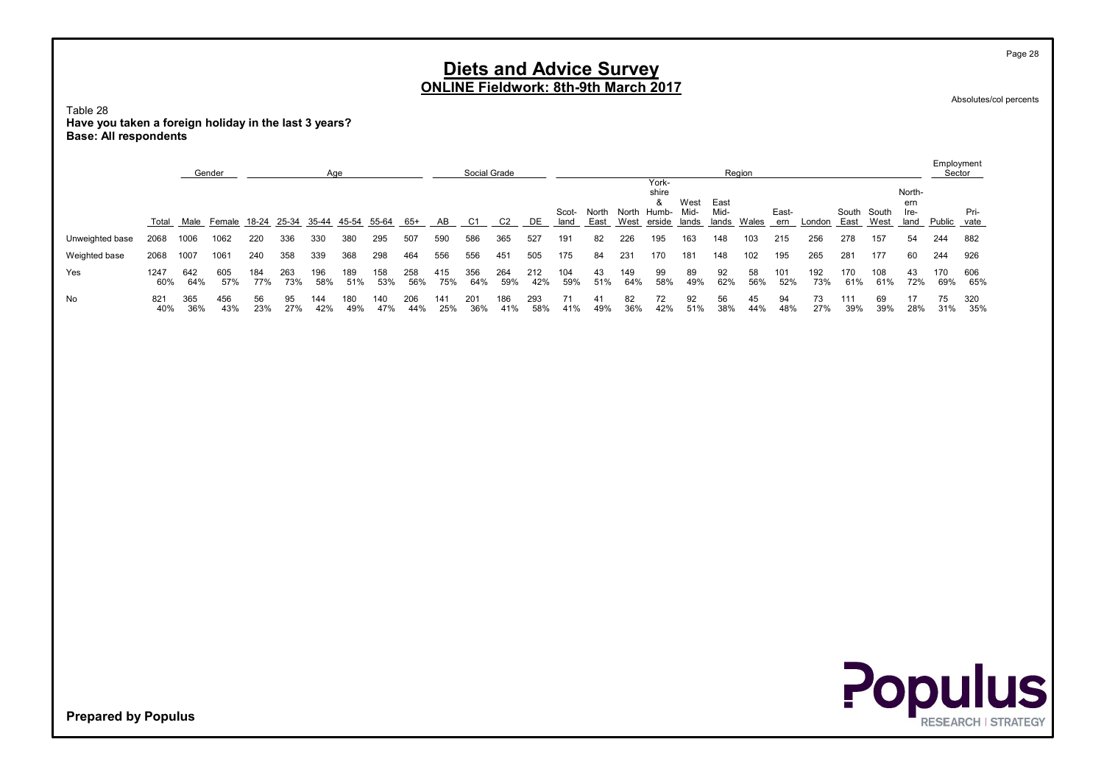Table 28 Have you taken a foreign holiday in the last 3 years? Base: All respondents

|                 |             |            | Gender                               |            |            | Age        |            |            |            |            | Social Grade |            |            |               |               |               | York-                         |                       |                             | Region    |              |            |               |               |                               | Sector     |              |
|-----------------|-------------|------------|--------------------------------------|------------|------------|------------|------------|------------|------------|------------|--------------|------------|------------|---------------|---------------|---------------|-------------------------------|-----------------------|-----------------------------|-----------|--------------|------------|---------------|---------------|-------------------------------|------------|--------------|
|                 | Total       | Male       | Female 18-24 25-34 35-44 45-54 55-64 |            |            |            |            |            | 65+        | AB         | C1           | C2         | DE         | Scot-<br>land | North<br>East | North<br>West | shire<br>&<br>Humb-<br>erside | West<br>Mid-<br>lands | East<br>Mid-<br>lands Wales |           | East-<br>ern | London     | South<br>East | South<br>West | North-<br>ern<br>-lre<br>land | Public     | Pri-<br>vate |
| Unweighted base | 2068        | 1006       | 1062                                 | 220        | 336        | 330        | 380        | 295        | 507        | 590        | 586          | 365        | 527        | 191           | 82            | 226           | 195                           | 163                   | 148                         | 103       | 215          | 256        | 278           | 157           | 54                            | 244        | 882          |
| Weighted base   | 2068        | 1007       | 1061                                 | 240        | 358        | 339        | 368        | 298        | 464        | 556        | 556          | 451        | 505        | 175           | 84            | 231           | 170                           | 181                   | 148                         | 102       | 195          | 265        | 281           | 177           | 60                            | 244        | 926          |
| Yes             | 1247<br>60% | 642<br>64% | 605<br>57%                           | 184<br>77% | 263<br>73% | 196<br>58% | 189<br>51% | 158<br>53% | 258<br>56% | 415<br>75% | 356<br>64%   | 264<br>59% | 212<br>42% | 104<br>59%    | 43<br>51%     | 149<br>64%    | 99<br>58%                     | 89<br>49%             | 92<br>62%                   | 58<br>56% | 101<br>52%   | 192<br>73% | 170<br>61%    | 108<br>61%    | 43<br>72%                     | 170<br>69% | 606<br>65%   |
| <b>No</b>       | 821<br>40%  | 365<br>36% | 456<br>43%                           | 56<br>23%  | 95<br>27%  | 144<br>42% | 180<br>49% | 140<br>47% | 206<br>44% | 141<br>25% | 201<br>36%   | 186<br>41% | 293<br>58% | 71<br>41%     | 41<br>49%     | 82<br>36%     | 72<br>42%                     | 92<br>51%             | 56<br>38%                   | 45<br>44% | 94<br>48%    | 73<br>27%  | 111<br>39%    | 69<br>39%     | 17<br>28%                     | 75<br>31%  | 320<br>35%   |

Prepared by Populus



Page 28

Absolutes/col percents

Employment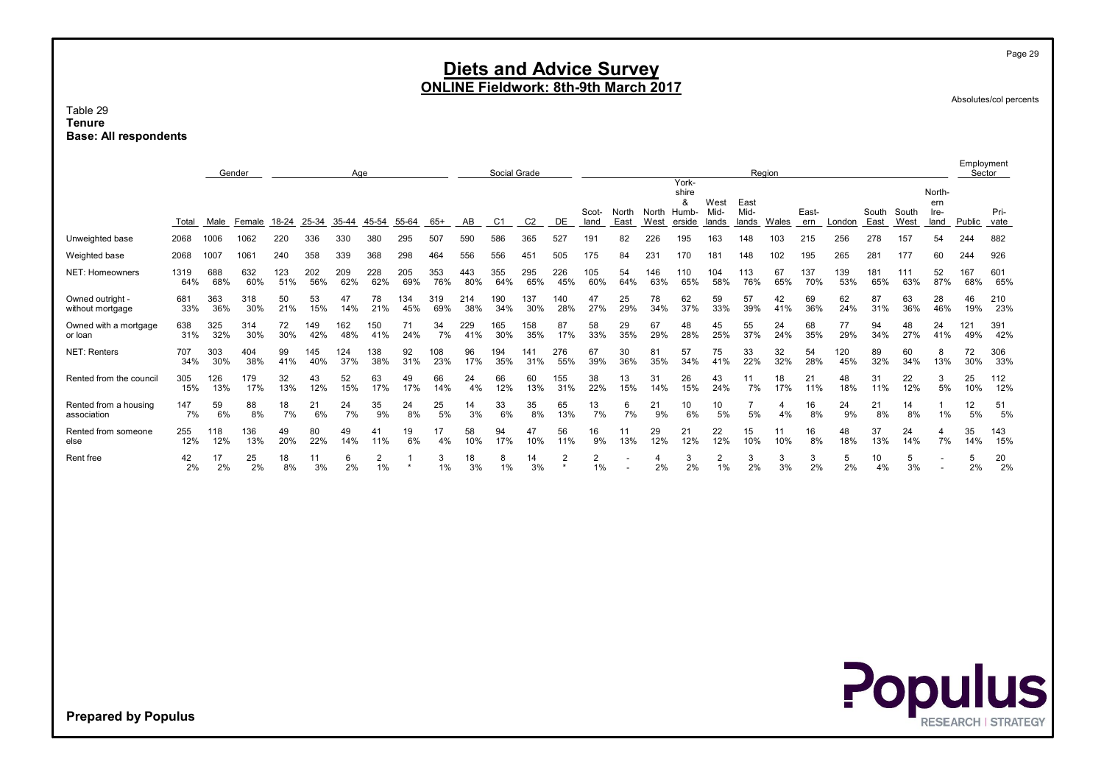Table 29 **Tenure** Base: All respondents

|                                      |             |            | Gender     |            |            | Age        |            |            |            |            | Social Grade   |            |            |               |                          |               |                     |               |               | Region    |              |            |               |               |               | Employment<br>Sector |              |
|--------------------------------------|-------------|------------|------------|------------|------------|------------|------------|------------|------------|------------|----------------|------------|------------|---------------|--------------------------|---------------|---------------------|---------------|---------------|-----------|--------------|------------|---------------|---------------|---------------|----------------------|--------------|
|                                      |             |            |            |            |            |            |            |            |            |            |                |            |            |               |                          |               | York-<br>shire<br>& | West          | East          |           |              |            |               |               | North-<br>ern |                      |              |
|                                      | Total       | Male       | Female     | 18-24      | 25-34      | 35-44      | 45-54      | 55-64      | $65+$      | AB         | C <sub>1</sub> | C2         | DE         | Scot-<br>land | North<br>East            | North<br>West | Humb-<br>erside     | Mid-<br>lands | Mid-<br>lands | Wales     | East-<br>ern | London     | South<br>East | South<br>West | Ire-<br>land  | Public               | Pri-<br>vate |
| Unweighted base                      | 2068        | 1006       | 1062       | 220        | 336        | 330        | 380        | 295        | 507        | 590        | 586            | 365        | 527        | 191           | 82                       | 226           | 195                 | 163           | 148           | 103       | 215          | 256        | 278           | 157           | 54            | 244                  | 882          |
| Weighted base                        | 2068        | 1007       | 1061       | 240        | 358        | 339        | 368        | 298        | 464        | 556        | 556            | 451        | 505        | 175           | 84                       | 231           | 170                 | 181           | 148           | 102       | 195          | 265        | 281           | 177           | 60            | 244                  | 926          |
| <b>NET: Homeowners</b>               | 1319<br>64% | 688<br>68% | 632<br>60% | 123<br>51% | 202<br>56% | 209<br>62% | 228<br>62% | 205<br>69% | 353<br>76% | 443<br>80% | 355<br>64%     | 295<br>65% | 226<br>45% | 105<br>60%    | 54<br>64%                | 146<br>63%    | 110<br>65%          | 104<br>58%    | 113<br>76%    | 67<br>65% | 137<br>70%   | 139<br>53% | 181<br>65%    | 111<br>63%    | 52<br>87%     | 167<br>68%           | 601<br>65%   |
| Owned outright -<br>without mortgage | 681<br>33%  | 363<br>36% | 318<br>30% | 50<br>21%  | 53<br>15%  | 47<br>14%  | 78<br>21%  | 134<br>45% | 319<br>69% | 214<br>38% | 190<br>34%     | 137<br>30% | 140<br>28% | 47<br>27%     | 25<br>29%                | 78<br>34%     | 62<br>37%           | 59<br>33%     | 57<br>39%     | 42<br>41% | 69<br>36%    | 62<br>24%  | 87<br>31%     | 63<br>36%     | 28<br>46%     | 46<br>19%            | 210<br>23%   |
| Owned with a mortgage<br>or loan     | 638<br>31%  | 325<br>32% | 314<br>30% | 72<br>30%  | 149<br>42% | 162<br>48% | 150<br>41% | 71<br>24%  | 34<br>7%   | 229<br>41% | 165<br>30%     | 158<br>35% | 87<br>17%  | 58<br>33%     | 29<br>35%                | 67<br>29%     | 48<br>28%           | 45<br>25%     | 55<br>37%     | 24<br>24% | 68<br>35%    | 77<br>29%  | 94<br>34%     | 48<br>27%     | 24<br>41%     | 121<br>49%           | 391<br>42%   |
| NET: Renters                         | 707<br>34%  | 303<br>30% | 404<br>38% | 99<br>41%  | 145<br>40% | 124<br>37% | 138<br>38% | 92<br>31%  | 108<br>23% | 96<br>17%  | 194<br>35%     | 141<br>31% | 276<br>55% | 67<br>39%     | 30<br>36%                | 81<br>35%     | 57<br>34%           | 75<br>41%     | 33<br>22%     | 32<br>32% | 54<br>28%    | 120<br>45% | 89<br>32%     | 60<br>34%     | 8<br>13%      | 72<br>30%            | 306<br>33%   |
| Rented from the counci               | 305<br>15%  | 126<br>13% | 179<br>17% | 32<br>13%  | 43<br>12%  | 52<br>15%  | 63<br>17%  | 49<br>17%  | 66<br>14%  | 24<br>4%   | 66<br>12%      | 60<br>13%  | 155<br>31% | 38<br>22%     | 13<br>15%                | 31<br>14%     | 26<br>15%           | 43<br>24%     | 11<br>7%      | 18<br>17% | 21<br>11%    | 48<br>18%  | 31<br>11%     | 22<br>12%     | 3<br>5%       | 25<br>10%            | 112<br>12%   |
| Rented from a housing<br>association | 147<br>7%   | 59<br>6%   | 88<br>8%   | 18<br>7%   | 21<br>6%   | 24<br>7%   | 35<br>9%   | 24<br>8%   | 25<br>5%   | 14<br>3%   | 33<br>6%       | 35<br>8%   | 65<br>13%  | 13<br>7%      | 6<br>7%                  | 21<br>9%      | 10<br>6%            | 10<br>5%      | 5%            | 4%        | 16<br>8%     | 24<br>9%   | 21<br>8%      | 14<br>8%      | 1%            | 12<br>5%             | 51<br>5%     |
| Rented from someone<br>else          | 255<br>12%  | 118<br>12% | 136<br>13% | 49<br>20%  | 80<br>22%  | 49<br>14%  | 41<br>11%  | 19<br>6%   | 17<br>4%   | 58<br>10%  | 94<br>17%      | 47<br>10%  | 56<br>11%  | 16<br>9%      | 11<br>13%                | 29<br>12%     | 21<br>12%           | 22<br>12%     | 15<br>10%     | 11<br>10% | 16<br>8%     | 48<br>18%  | 37<br>13%     | 24<br>14%     | 4<br>7%       | 35<br>14%            | 143<br>15%   |
| Rent free                            | 42<br>2%    | 17<br>2%   | 25<br>2%   | 18<br>8%   | 3%         | 6<br>2%    | 1%         |            | 3<br>1%    | 18<br>3%   | 8<br>1%        | 14<br>3%   | 2          | 2<br>1%       | $\overline{\phantom{a}}$ | 2%            | 3<br>2%             | 2<br>$1\%$    | 3<br>2%       | 3<br>3%   | 3<br>2%      | 5<br>2%    | 10<br>4%      | 5<br>3%       |               | 5<br>2%              | 20<br>2%     |

Prepared by Populus



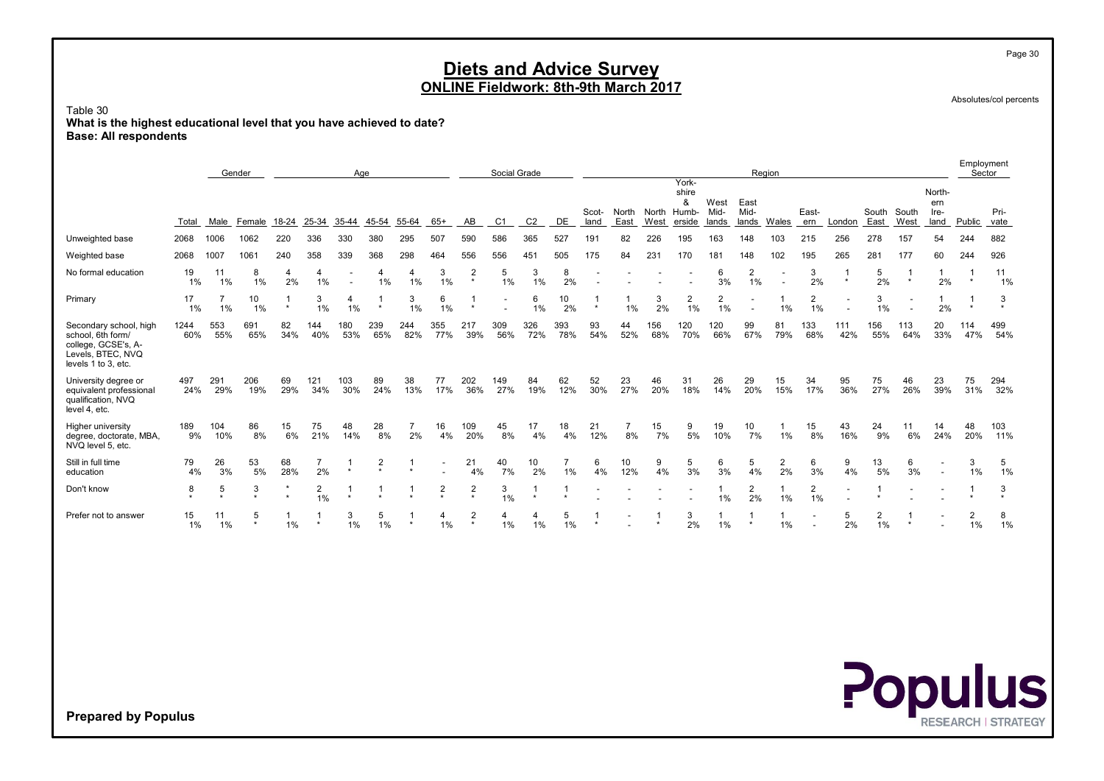Table 30 What is the highest educational level that you have achieved to date?

Base: All respondents

|                                                                                                                |             |            | Gender       |           |            | Age        |            |            |                          |                           | Social Grade |                |            |               |               |            |                                              |                       |                          | Region                   |                      |                          |                      |                          |                               | Employment              | Sector       |
|----------------------------------------------------------------------------------------------------------------|-------------|------------|--------------|-----------|------------|------------|------------|------------|--------------------------|---------------------------|--------------|----------------|------------|---------------|---------------|------------|----------------------------------------------|-----------------------|--------------------------|--------------------------|----------------------|--------------------------|----------------------|--------------------------|-------------------------------|-------------------------|--------------|
|                                                                                                                | Total       | Male       | Female       | 18-24     | 25-34      | 35-44      | 45-54      | 55-64      | $65+$                    | AB                        | C1           | C <sub>2</sub> | DE         | Scot-<br>land | North<br>East | West       | York-<br>shire<br>&<br>North Humb-<br>erside | West<br>Mid-<br>lands | East<br>Mid-<br>lands    | Wales                    | East-<br>ern         | London                   | South<br>East        | South<br>West            | North-<br>ern<br>Ire-<br>land | Public                  | Pri-<br>vate |
| Unweighted base                                                                                                | 2068        | 1006       | 1062         | 220       | 336        | 330        | 380        | 295        | 507                      | 590                       | 586          | 365            | 527        | 191           | 82            | 226        | 195                                          | 163                   | 148                      | 103                      | 215                  | 256                      | 278                  | 157                      | 54                            | 244                     | 882          |
| Weighted base                                                                                                  | 2068        | 1007       | 1061         | 240       | 358        | 339        | 368        | 298        | 464                      | 556                       | 556          | 451            | 505        | 175           | 84            | 231        | 170                                          | 181                   | 148                      | 102                      | 195                  | 265                      | 281                  | 177                      | 60                            | 244                     | 926          |
| No formal education                                                                                            | 19<br>1%    | 11<br>1%   | 8<br>1%      | 4<br>2%   | 1%         |            | 4<br>1%    | 4<br>1%    | 3<br>1%                  | $\overline{2}$<br>$\star$ | 5<br>1%      | 3<br>1%        | 8<br>2%    |               |               |            |                                              | 6<br>3%               | 2<br>$1\%$               | $\overline{\phantom{a}}$ | 3<br>2%              | $\star$                  | 5<br>2%              | $\star$                  | 2%                            | $\star$                 | 11<br>1%     |
| Primary                                                                                                        | 17<br>1%    | 1%         | 10<br>1%     | $\star$   | 3<br>1%    | 4<br>1%    | $\star$    | 3<br>1%    | 6<br>1%                  | $\star$                   |              | 6<br>1%        | 10<br>2%   | $\star$       | 1%            | 3<br>2%    | $\overline{2}$<br>1%                         | $\overline{2}$<br>1%  | $\overline{\phantom{0}}$ | 1%                       | 2<br>1%              | $\overline{\phantom{a}}$ | 3<br>1%              | $\overline{\phantom{a}}$ | 2%                            |                         | 3            |
| Secondary school, high<br>school. 6th form/<br>college, GCSE's, A-<br>Levels, BTEC, NVQ<br>levels 1 to 3, etc. | 1244<br>60% | 553<br>55% | 691<br>65%   | 82<br>34% | 144<br>40% | 180<br>53% | 239<br>65% | 244<br>82% | 355<br>77%               | 217<br>39%                | 309<br>56%   | 326<br>72%     | 393<br>78% | 93<br>54%     | 44<br>52%     | 156<br>68% | 120<br>70%                                   | 120<br>66%            | 99<br>67%                | 81<br>79%                | 133<br>68%           | 111<br>42%               | 156<br>55%           | 113<br>64%               | 20<br>33%                     | 114<br>47%              | 499<br>54%   |
| University degree or<br>equivalent professional<br>qualification, NVQ<br>level 4, etc.                         | 497<br>24%  | 291<br>29% | 206<br>19%   | 69<br>29% | 121<br>34% | 103<br>30% | 89<br>24%  | 38<br>13%  | 77<br>17%                | 202<br>36%                | 149<br>27%   | 84<br>19%      | 62<br>12%  | 52<br>30%     | 23<br>27%     | 46<br>20%  | 31<br>18%                                    | 26<br>14%             | 29<br>20%                | 15<br>15%                | 34<br>17%            | 95<br>36%                | 75<br>27%            | 46<br>26%                | 23<br>39%                     | 75<br>31%               | 294<br>32%   |
| Higher university<br>degree, doctorate, MBA,<br>NVQ level 5, etc.                                              | 189<br>9%   | 104<br>10% | 86<br>8%     | 15<br>6%  | 75<br>21%  | 48<br>14%  | 28<br>8%   | 2%         | 16<br>4%                 | 109<br>20%                | 45<br>8%     | 17<br>4%       | 18<br>4%   | 21<br>12%     | 8%            | 15<br>7%   | 9<br>5%                                      | 19<br>10%             | 10<br>7%                 | $1\%$                    | 15<br>8%             | 43<br>16%                | 24<br>9%             | 11<br>6%                 | 14<br>24%                     | 48<br>20%               | 103<br>11%   |
| Still in full time<br>education                                                                                | 79<br>4%    | 26<br>3%   | 53<br>5%     | 68<br>28% | 2%         |            | 2          |            | $\overline{\phantom{a}}$ | 21<br>4%                  | 40<br>7%     | 10<br>2%       | 1%         | 6<br>4%       | 10<br>12%     | 9<br>4%    | 5<br>3%                                      | 6<br>3%               | 5<br>4%                  | 2<br>2%                  | 6<br>3%              | 9<br>4%                  | 13<br>5%             | 6<br>3%                  |                               | 3<br>1%                 | 5<br>1%      |
| Don't know                                                                                                     | 8           | 5          | 3<br>$\star$ |           | 2<br>1%    | $\star$    |            |            | 2                        | $\overline{2}$<br>$\star$ | 3<br>1%      | $\star$        |            |               |               |            |                                              | 1%                    | 2<br>2%                  | 1%                       | $\overline{2}$<br>1% |                          |                      |                          |                               |                         | 3<br>$\star$ |
| Prefer not to answer                                                                                           | 15<br>$1\%$ | 11<br>1%   | 5<br>$\star$ | 1%        | $\star$    | 3<br>1%    | 5<br>1%    | $\star$    | 1%                       | $\overline{2}$<br>$\star$ | 4<br>$1\%$   | 4<br>1%        | 5<br>1%    |               |               | $\star$    | 3<br>2%                                      | 1%                    |                          | 1%                       |                      | 5<br>2%                  | $\overline{2}$<br>1% |                          |                               | $\overline{2}$<br>$1\%$ | 8<br>1%      |

Prepared by Populus



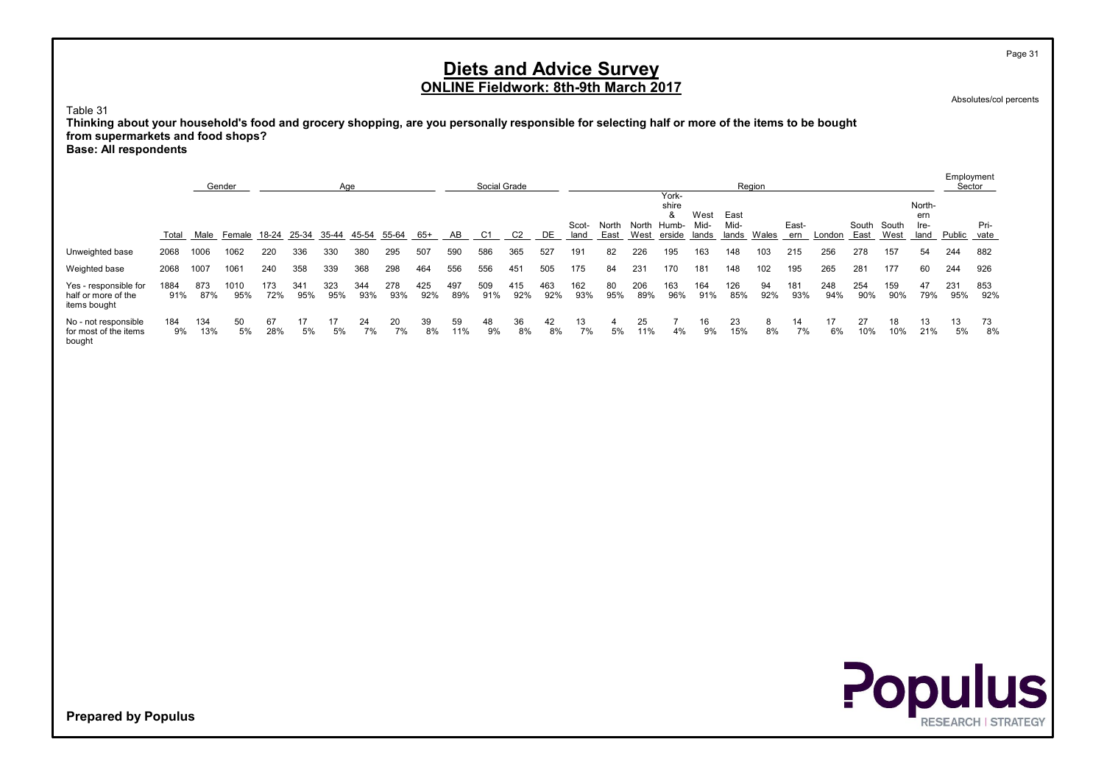Page 31

## Diets and Advice Survey ONLINE Fieldwork: 8th-9th March 2017

Absolutes/col percents

Table 31

Thinking about your household's food and grocery shopping, are you personally responsible for selecting half or more of the items to be bought from supermarkets and food shops?

Base: All respondents

|                                                              |             |            | Gender      |            |            | Age        |            |            |            |            | Social Grade |            |            |               |               |               |                                        |                       |                       | Region    |              |            |               |               |                               | Employment<br>Sector |              |
|--------------------------------------------------------------|-------------|------------|-------------|------------|------------|------------|------------|------------|------------|------------|--------------|------------|------------|---------------|---------------|---------------|----------------------------------------|-----------------------|-----------------------|-----------|--------------|------------|---------------|---------------|-------------------------------|----------------------|--------------|
|                                                              | Total       | Male       | Female      | 18-24      | 25-34      | 35-44      | 45-54      | 55-64      | 65+        | AB         | C1           | C2         | DE         | Scot-<br>land | North<br>East | North<br>West | York-<br>shire<br>&<br>Humb-<br>erside | West<br>Mid-<br>lands | East<br>Mid-<br>lands | Wales     | East-<br>ern | London     | South<br>East | South<br>West | North-<br>ern<br>Ire-<br>land | Public               | Pri-<br>vate |
| Unweighted base                                              | 2068        | 1006       | 1062        | 220        | 336        | 330        | 380        | 295        | 507        | 590        | 586          | 365        | 527        | 191           | 82            | 226           | 195                                    | 163                   | 148                   | 103       | 215          | 256        | 278           | 157           | 54                            | 244                  | 882          |
| Weighted base                                                | 2068        | 1007       | 1061        | 240        | 358        | 339        | 368        | 298        | 464        | 556        | 556          | 451        | 505        | 175           | 84            | 231           | 170                                    | 181                   | 148                   | 102       | 195          | 265        | 281           | 177           | 60                            | 244                  | 926          |
| Yes - responsible for<br>half or more of the<br>items bought | 1884<br>91% | 873<br>87% | 1010<br>95% | 173<br>72% | 341<br>95% | 323<br>95% | 344<br>93% | 278<br>93% | 425<br>92% | 497<br>89% | 509<br>91%   | 415<br>92% | 463<br>92% | 162<br>93%    | 80<br>95%     | 206<br>89%    | 163<br>96%                             | 164<br>91%            | 126<br>85%            | 94<br>92% | 181<br>93%   | 248<br>94% | 254<br>90%    | 159<br>90%    | 47<br>79%                     | 231<br>95%           | 853<br>92%   |
| No - not responsible<br>for most of the items<br>bought      | 184<br>9%   | 134<br>13% | 50<br>5%    | 67<br>28%  | 17<br>5%   | 5%         | 24<br>7%   | 20<br>7%   | 39<br>8%   | 59<br>11%  | 48<br>9%     | 36<br>8%   | 42<br>8%   | 13<br>7%      | 5%            | 25<br>11%     | 4%                                     | 16<br>9%              | 23<br>15%             | 8%        | 14<br>7%     | 6%         | 27<br>10%     | 18<br>10%     | 13<br>21%                     | 13<br>5%             | 73<br>8%     |

**Populus**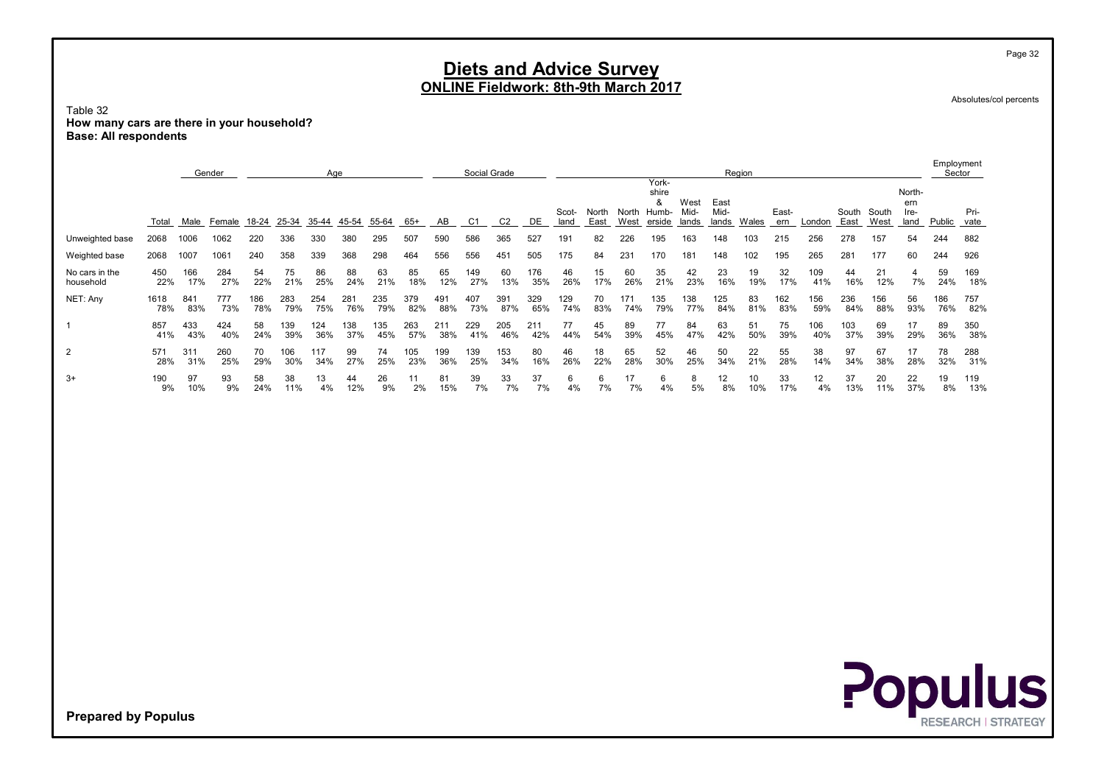Table 32 How many cars are there in your household? Base: All respondents

|                             |             |            | Gender     |            |            | Age        |            |            |            |            | Social Grade |            |            |               |               |               |                                        |                       |                       | Region    |              |            |               |               |                               | Employment<br>Sector |              |
|-----------------------------|-------------|------------|------------|------------|------------|------------|------------|------------|------------|------------|--------------|------------|------------|---------------|---------------|---------------|----------------------------------------|-----------------------|-----------------------|-----------|--------------|------------|---------------|---------------|-------------------------------|----------------------|--------------|
|                             | Total       | Male       | Female     | 18-24      | 25-34      | 35-44      | 45-54      | 55-64      | 65+        | AB         | C1           | C2         | DE         | Scot-<br>land | North<br>East | North<br>West | York-<br>shire<br>&<br>Humb-<br>erside | West<br>Mid-<br>lands | East<br>Mid-<br>lands | Wales     | East-<br>ern | London     | South<br>East | South<br>West | North-<br>ern<br>Ire-<br>land | Public               | Pri-<br>vate |
| Unweighted base             | 2068        | 1006       | 1062       | 220        | 336        | 330        | 380        | 295        | 507        | 590        | 586          | 365        | 527        | 191           | 82            | 226           | 195                                    | 163                   | 148                   | 103       | 215          | 256        | 278           | 157           | 54                            | 244                  | 882          |
| Weighted base               | 2068        | 1007       | 1061       | 240        | 358        | 339        | 368        | 298        | 464        | 556        | 556          | 451        | 505        | 175           | 84            | 231           | 170                                    | 181                   | 148                   | 102       | 195          | 265        | 281           | 177           | 60                            | 244                  | 926          |
| No cars in the<br>household | 450<br>22%  | 166<br>17% | 284<br>27% | 54<br>22%  | 75<br>21%  | 86<br>25%  | 88<br>24%  | 63<br>21%  | 85<br>18%  | 65<br>12%  | 149<br>27%   | 60<br>13%  | 176<br>35% | 46<br>26%     | 15<br>17%     | 60<br>26%     | 35<br>21%                              | 42<br>23%             | 23<br>16%             | 19<br>19% | 32<br>17%    | 109<br>41% | 44<br>16%     | 21<br>12%     | 7%                            | 59<br>24%            | 169<br>18%   |
| NET: Any                    | 1618<br>78% | 841<br>83% | 777<br>73% | 186<br>78% | 283<br>79% | 254<br>75% | 281<br>76% | 235<br>79% | 379<br>82% | 491<br>88% | 407<br>73%   | 391<br>87% | 329<br>65% | 129<br>74%    | 70<br>83%     | 171<br>74%    | 135<br>79%                             | 138<br>77%            | 125<br>84%            | 83<br>81% | 162<br>83%   | 156<br>59% | 236<br>84%    | 156<br>88%    | 56<br>93%                     | 186<br>76%           | 757<br>82%   |
|                             | 857<br>41%  | 433<br>43% | 424<br>40% | 58<br>24%  | 139<br>39% | 124<br>36% | 138<br>37% | 135<br>45% | 263<br>57% | 211<br>38% | 229<br>41%   | 205<br>46% | 211<br>42% | 77<br>44%     | 45<br>54%     | 89<br>39%     | 77<br>45%                              | 84<br>47%             | 63<br>42%             | 51<br>50% | 75<br>39%    | 106<br>40% | 103<br>37%    | 69<br>39%     | 17<br>29%                     | 89<br>36%            | 350<br>38%   |
| 2                           | 571<br>28%  | 311<br>31% | 260<br>25% | 70<br>29%  | 106<br>30% | 117<br>34% | 99<br>27%  | 74<br>25%  | 105<br>23% | 199<br>36% | 139<br>25%   | 153<br>34% | 80<br>16%  | 46<br>26%     | 18<br>22%     | 65<br>28%     | 52<br>30%                              | 46<br>25%             | 50<br>34%             | 22<br>21% | 55<br>28%    | 38<br>14%  | 97<br>34%     | 67<br>38%     | 17<br>28%                     | 78<br>32%            | 288<br>31%   |
| $3+$                        | 190<br>9%   | 97<br>10%  | 93<br>9%   | 58<br>24%  | 38<br>11%  | 13<br>4%   | 44<br>12%  | 26<br>9%   | 2%         | 81<br>15%  | 39<br>7%     | 33<br>7%   | 37<br>7%   | 4%            | 6<br>7%       | 7%            | 6<br>4%                                | 5%                    | 12<br>8%              | 10%       | 33<br>17%    | 12<br>4%   | 37<br>13%     | 20            | 22<br>37%                     | 19<br>8%             | 119<br>13%   |



Prepared by Populus

Page 32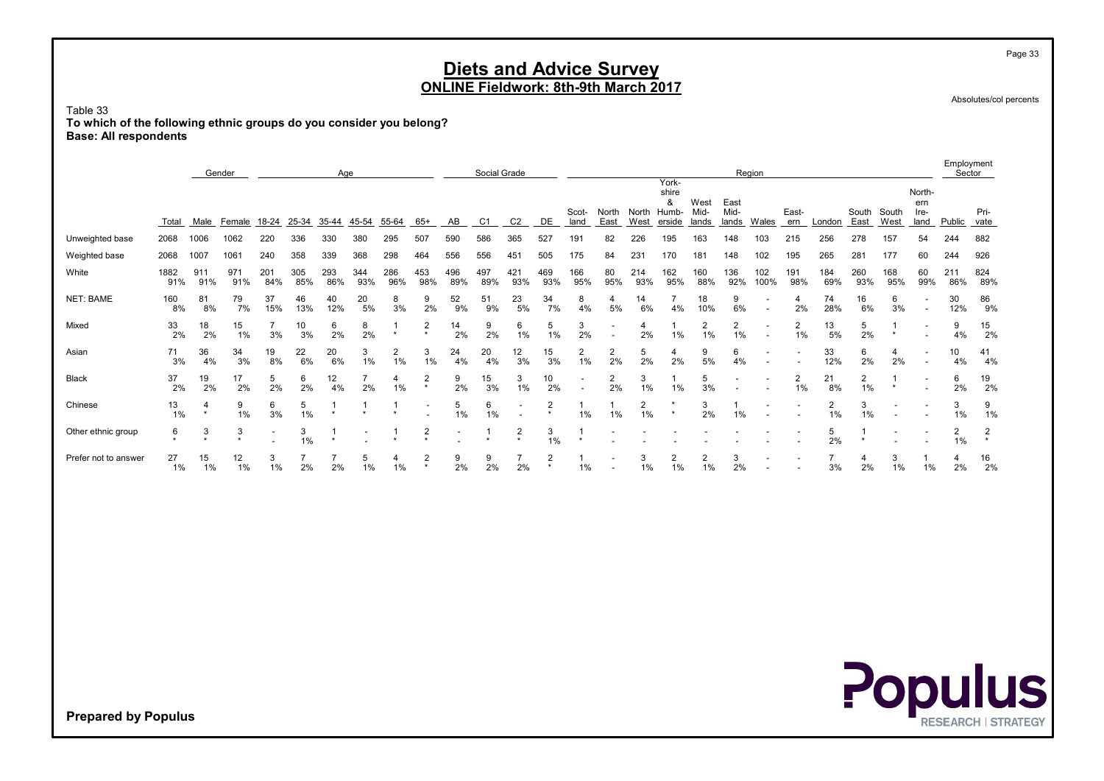Table 33 To which of the following ethnic groups do you consider you belong? Base: All respondents

|                      |             |            | Gender     |            |            | Age        |            |            |                           |                          | Social Grade |                          |                           |                          |                      |               |                                        |                       |                       | Region      |                          |            |               |               |                               | Employment<br>Sector |              |
|----------------------|-------------|------------|------------|------------|------------|------------|------------|------------|---------------------------|--------------------------|--------------|--------------------------|---------------------------|--------------------------|----------------------|---------------|----------------------------------------|-----------------------|-----------------------|-------------|--------------------------|------------|---------------|---------------|-------------------------------|----------------------|--------------|
|                      | Total       | Male       | Female     | 18-24      | 25-34      | 35-44      | 45-54      | 55-64      | $65+$                     | AB                       | C1           | C <sub>2</sub>           | DE                        | Scot-<br>land            | North<br>East        | North<br>West | York-<br>shire<br>&<br>Humb-<br>erside | West<br>Mid-<br>lands | East<br>Mid-<br>lands | Wales       | East-<br>ern             | London     | South<br>East | South<br>West | North-<br>ern<br>Ire-<br>land | Public               | Pri-<br>vate |
| Unweighted base      | 2068        | 1006       | 1062       | 220        | 336        | 330        | 380        | 295        | 507                       | 590                      | 586          | 365                      | 527                       | 191                      | 82                   | 226           | 195                                    | 163                   | 148                   | 103         | 215                      | 256        | 278           | 157           | 54                            | 244                  | 882          |
| Weighted base        | 2068        | 1007       | 1061       | 240        | 358        | 339        | 368        | 298        | 464                       | 556                      | 556          | 451                      | 505                       | 175                      | 84                   | 231           | 170                                    | 181                   | 148                   | 102         | 195                      | 265        | 281           | 177           | 60                            | 244                  | 926          |
| White                | 1882<br>91% | 911<br>91% | 971<br>91% | 201<br>84% | 305<br>85% | 293<br>86% | 344<br>93% | 286<br>96% | 453<br>98%                | 496<br>89%               | 497<br>89%   | 421<br>93%               | 469<br>93%                | 166<br>95%               | 80<br>95%            | 214<br>93%    | 162<br>95%                             | 160<br>88%            | 136<br>92%            | 102<br>100% | 191<br>98%               | 184<br>69% | 260<br>93%    | 168<br>95%    | 60<br>99%                     | 211<br>86%           | 824<br>89%   |
| <b>NET: BAME</b>     | 160<br>8%   | 81<br>8%   | 79<br>7%   | 37<br>15%  | 46<br>13%  | 40<br>12%  | 20<br>5%   | 8<br>3%    | 9<br>2%                   | 52<br>9%                 | 51<br>9%     | 23<br>5%                 | 34<br>7%                  | 8<br>4%                  | 5%                   | 14<br>6%      | 4%                                     | 18<br>10%             | 9<br>6%               |             | 2%                       | 74<br>28%  | 16<br>6%      | 6<br>3%       |                               | 30<br>12%            | 86<br>9%     |
| Mixed                | 33<br>2%    | 18<br>2%   | 15<br>1%   | 3%         | 10<br>3%   | 6<br>2%    | 8<br>2%    |            | 2                         | 14<br>2%                 | 9<br>2%      | 6<br>1%                  | 5<br>1%                   | 3<br>2%                  |                      | 4<br>2%       | 1%                                     | 2<br>1%               | 2<br>1%               |             | $\overline{2}$<br>1%     | 13<br>5%   | 5<br>2%       |               |                               | 9<br>4%              | 15<br>2%     |
| Asian                | 71<br>3%    | 36<br>4%   | 34<br>3%   | 19<br>8%   | 22<br>6%   | 20<br>6%   | 3<br>1%    | 2<br>$1\%$ | 3<br>1%                   | 24<br>4%                 | 20<br>4%     | 12<br>3%                 | 15<br>3%                  | $\overline{c}$<br>1%     | $\overline{2}$<br>2% | 5<br>2%       | 4<br>2%                                | 9<br>5%               | 6<br>4%               |             |                          | 33<br>12%  | 6<br>2%       | 4<br>2%       |                               | 10<br>4%             | 41<br>4%     |
| Black                | 37<br>2%    | 19<br>2%   | 17<br>2%   | 5<br>2%    | 6<br>2%    | 12<br>4%   | 2%         | 4<br>$1\%$ | 2<br>$\star$              | 9<br>2%                  | 15<br>3%     | 3<br>$1\%$               | 10<br>2%                  | $\overline{\phantom{a}}$ | $\overline{2}$<br>2% | 3<br>1%       | 1%                                     | 5<br>3%               |                       |             | 2<br>1%                  | 21<br>8%   | 2<br>1%       |               |                               | 6<br>2%              | 19<br>2%     |
| Chinese              | 13<br>1%    | 4          | 9<br>1%    | 6<br>3%    | 5<br>1%    |            |            |            | $\overline{\phantom{a}}$  | 5<br>1%                  | 6<br>1%      | $\overline{\phantom{a}}$ | $\overline{2}$<br>$\star$ | 1%                       | 1%                   | 2<br>1%       | $\star$                                | 3<br>2%               | 1%                    |             | $\overline{\phantom{a}}$ | 2<br>1%    | 3<br>1%       |               |                               | 3<br>1%              | 9<br>$1\%$   |
| Other ethnic group   | 6           | 3          | 3          |            | 3<br>1%    |            |            |            | 2<br>$\ddot{\phantom{1}}$ | $\overline{\phantom{a}}$ |              | 2<br>$\star$             | 3<br>1%                   |                          |                      |               |                                        |                       |                       |             |                          | 5<br>2%    |               |               |                               | 2<br>1%              | 2            |
| Prefer not to answer | 27<br>1%    | 15<br>1%   | 12<br>1%   | 3<br>1%    | 2%         | 2%         | 5<br>1%    | 4<br>$1\%$ | 2<br>$\star$              | 9<br>2%                  | 9<br>2%      | 2%                       | $\overline{2}$<br>$\star$ | $1\%$                    |                      | 3<br>1%       | 2<br>1%                                | 2<br>1%               | 3<br>2%               |             |                          | 3%         | 2%            | 3<br>1%       | 1%                            | 2%                   | 16<br>2%     |

Prepared by Populus



Page 33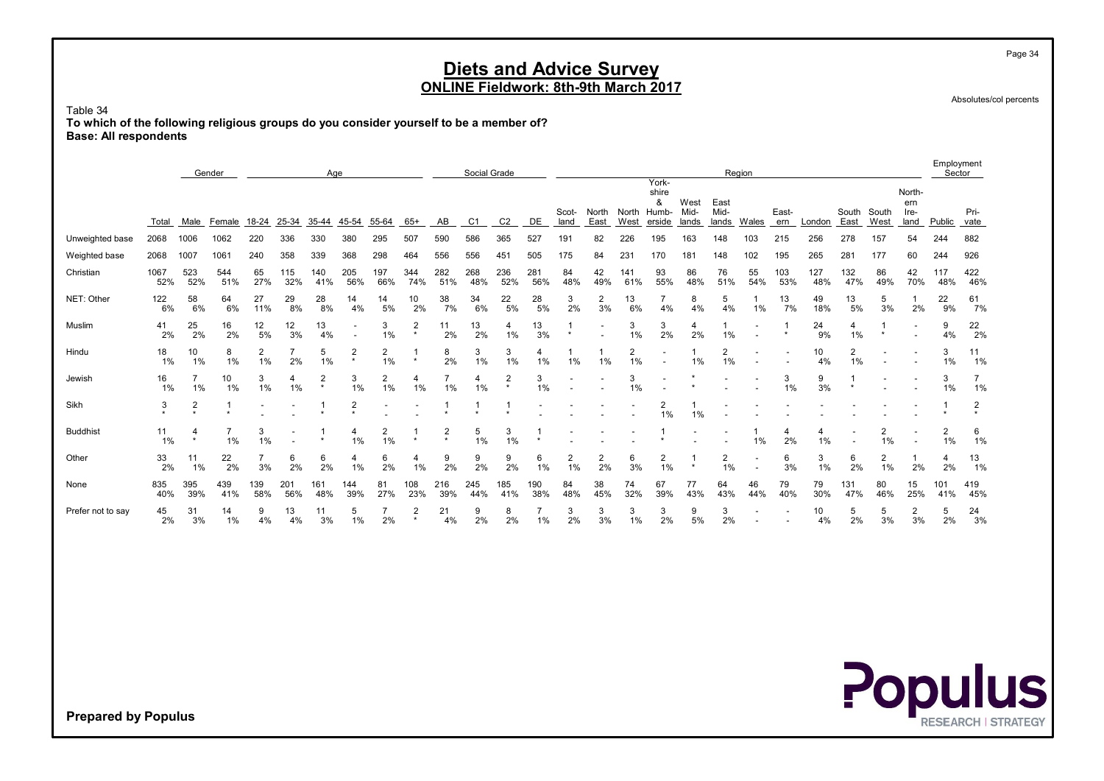Table 34 To which of the following religious groups do you consider yourself to be a member of? Base: All respondents

|                   |             | Gender       |            |                          |            | Aae          |                           |            |                           |              | Social Grade   |                |            |                 |                          |                 |                                              |                       |                       | Region    |              |            |               |               |                               | Employment<br>Sector    |              |
|-------------------|-------------|--------------|------------|--------------------------|------------|--------------|---------------------------|------------|---------------------------|--------------|----------------|----------------|------------|-----------------|--------------------------|-----------------|----------------------------------------------|-----------------------|-----------------------|-----------|--------------|------------|---------------|---------------|-------------------------------|-------------------------|--------------|
|                   | Total       | Male         | Female     | 18-24                    | 25-34      | $35 - 44$    | 45-54                     | 55-64      | $65+$                     | AB           | C <sub>1</sub> | C <sub>2</sub> | DE         | Scot-<br>land   | North<br>East            | West            | York-<br>shire<br>&<br>North Humb-<br>erside | West<br>Mid-<br>lands | East<br>Mid-<br>lands | Wales     | East-<br>ern | London     | South<br>East | South<br>West | North-<br>ern<br>Ire-<br>land | Public                  | Pri-<br>vate |
| Unweighted base   | 2068        | 1006         | 1062       | 220                      | 336        | 330          | 380                       | 295        | 507                       | 590          | 586            | 365            | 527        | 19 <sup>2</sup> | 82                       | 226             | 195                                          | 163                   | 148                   | 103       | 215          | 256        | 278           | 157           | 54                            | 244                     | 882          |
| Weighted base     | 2068        | 1007         | 1061       | 240                      | 358        | 339          | 368                       | 298        | 464                       | 556          | 556            | 451            | 505        | 175             | 84                       | 23 <sup>1</sup> | 170                                          | 181                   | 148                   | 102       | 195          | 265        | 281           | 177           | 60                            | 244                     | 926          |
| Christian         | 1067<br>52% | 523<br>52%   | 544<br>51% | 65<br>27%                | 115<br>32% | 140<br>41%   | 205<br>56%                | 197<br>66% | 344<br>74%                | 282<br>51%   | 268<br>48%     | 236<br>52%     | 281<br>56% | 84<br>48%       | 42<br>49%                | 141<br>61%      | 93<br>55%                                    | 86<br>48%             | 76<br>51%             | 55<br>54% | 103<br>53%   | 127<br>48% | 132<br>47%    | 86<br>49%     | 42<br>70%                     | 117<br>48%              | 422<br>46%   |
| NET: Other        | 122<br>6%   | 58<br>6%     | 64<br>6%   | 27<br>11%                | 29<br>8%   | 28<br>8%     | 14<br>4%                  | 14<br>5%   | 10<br>2%                  | 38<br>7%     | 34<br>6%       | 22<br>5%       | 28<br>5%   | 3<br>2%         | 2<br>3%                  | 13<br>6%        | 4%                                           | 8<br>4%               | 5<br>4%               | 1%        | 13<br>7%     | 49<br>18%  | 13<br>5%      | 5<br>3%       | 2%                            | 22<br>9%                | 61<br>7%     |
| Muslim            | 41<br>2%    | 25<br>2%     | 16<br>2%   | 12<br>5%                 | 12<br>3%   | 13<br>4%     |                           | 3<br>1%    | $\overline{2}$<br>$\star$ | 11<br>2%     | 13<br>2%       | 4<br>1%        | 13<br>3%   |                 | $\overline{\phantom{a}}$ | 3<br>1%         | 3<br>2%                                      | 4<br>2%               | 1%                    |           |              | 24<br>9%   | 4<br>1%       | $\star$       |                               | 9<br>4%                 | 22<br>2%     |
| Hindu             | 18<br>1%    | 10<br>1%     | 8<br>1%    | 2<br>1%                  | 2%         | 5<br>1%      | 2<br>$\star$              | 2<br>1%    | $\star$                   | 8<br>2%      | 3<br>1%        | 3<br>1%        | 4<br>1%    | 1%              | 1%                       | 2<br>1%         |                                              | 1%                    | 2<br>1%               |           |              | 10<br>4%   | 2<br>1%       |               |                               | 3<br>$1\%$              | 11<br>1%     |
| Jewish            | 16<br>1%    | 1%           | 10<br>1%   | 3<br>1%                  | 4<br>1%    | 2<br>$\star$ | 3<br>1%                   | 2<br>1%    | 4<br>1%                   | $1\%$        | 4<br>1%        | 2<br>$\star$   | 3<br>$1\%$ |                 |                          | 3<br>1%         |                                              |                       |                       |           | 3<br>1%      | 9<br>3%    | $\star$       |               |                               | 3<br>$1\%$              | 1%           |
| Sikh              | 3           | 2            | $\star$    | $\overline{\phantom{a}}$ |            |              | $\overline{2}$<br>$\star$ |            |                           |              |                |                |            |                 |                          |                 | $\overline{2}$<br>1%                         | 1%                    |                       |           |              |            |               |               |                               |                         | 2            |
| <b>Buddhist</b>   | 11<br>1%    | 4<br>$\star$ | 1%         | 3<br>1%                  |            | $\star$      | 4<br>1%                   | 2<br>1%    | $\star$                   | 2<br>$\star$ | 5<br>1%        | 3<br>1%        |            |                 |                          |                 |                                              |                       |                       | 1%        | 4<br>2%      | 4<br>1%    |               | 2<br>1%       |                               | $\overline{2}$<br>$1\%$ | 6<br>1%      |
| Other             | 33<br>2%    | 11<br>1%     | 22<br>2%   | 3%                       | 6<br>2%    | 6<br>2%      | 4<br>1%                   | 6<br>2%    | 4<br>1%                   | 9<br>2%      | 9<br>2%        | 9<br>2%        | 6<br>1%    | 2<br>1%         | 2<br>2%                  | 6<br>3%         | 2<br>1%                                      |                       | 2<br>1%               |           | 6<br>3%      | 3<br>1%    | 6<br>2%       | 2<br>1%       | 2%                            | 4<br>2%                 | 13<br>1%     |
| None              | 835<br>40%  | 395<br>39%   | 439<br>41% | 139<br>58%               | 201<br>56% | 161<br>48%   | 144<br>39%                | 81<br>27%  | 108<br>23%                | 216<br>39%   | 245<br>44%     | 185<br>41%     | 190<br>38% | 84<br>48%       | 38<br>45%                | 74<br>32%       | 67<br>39%                                    | 77<br>43%             | 64<br>43%             | 46<br>44% | 79<br>40%    | 79<br>30%  | 131<br>47%    | 80<br>46%     | 15<br>25%                     | 101<br>41%              | 419<br>45%   |
| Prefer not to say | 45<br>2%    | 31<br>3%     | 14<br>1%   | 9<br>4%                  | 13<br>4%   | 11<br>3%     | 5<br>1%                   | 2%         | $\overline{2}$<br>$\star$ | 21<br>4%     | 9<br>2%        | 8<br>2%        | 1%         | 3<br>2%         | 3<br>3%                  | 3<br>1%         | 3<br>2%                                      | 9<br>5%               | 3<br>2%               |           |              | 10<br>4%   | 5<br>2%       | 5<br>3%       | 2<br>3%                       | 5<br>2%                 | 24<br>3%     |

Prepared by Populus

Absolutes/col percents

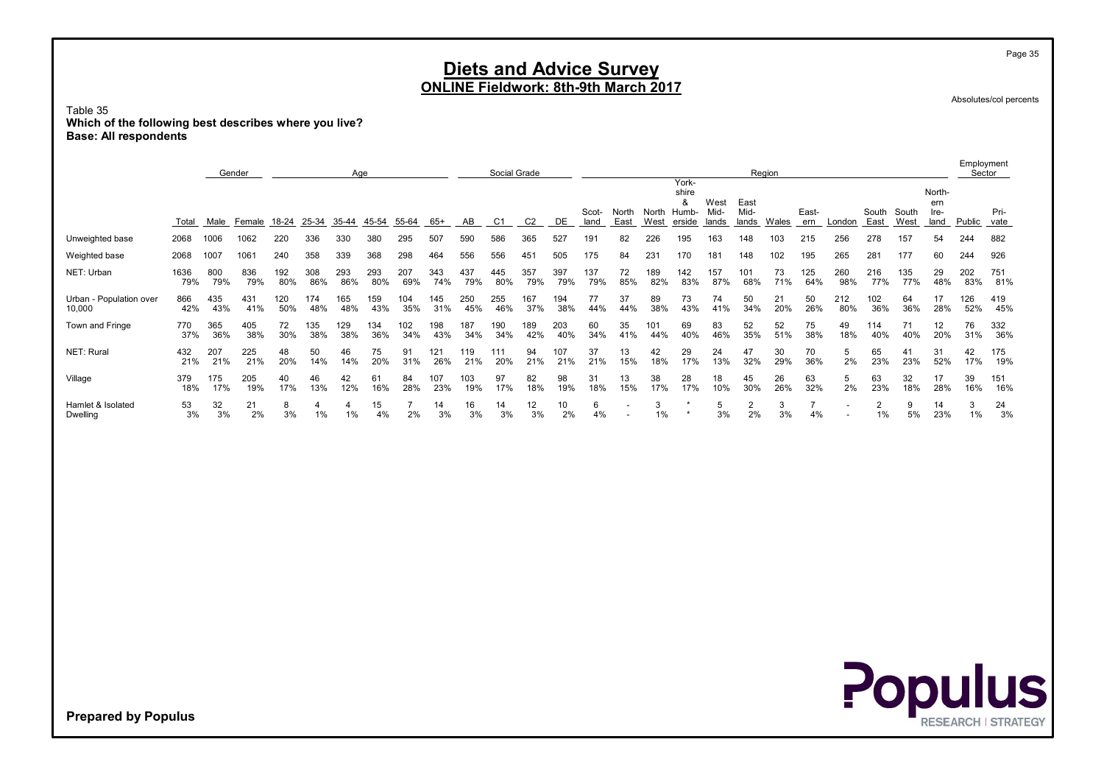Table 35 Which of the following best describes where you live? Base: All respondents

|                                      |          |          | Gender   |         |       | Age        |          |       |          |          | Social Grade |                |          |               |                          |               |                                        |                       |                       | Region  |              |        |               |               |                               | Employment<br>Sector |              |
|--------------------------------------|----------|----------|----------|---------|-------|------------|----------|-------|----------|----------|--------------|----------------|----------|---------------|--------------------------|---------------|----------------------------------------|-----------------------|-----------------------|---------|--------------|--------|---------------|---------------|-------------------------------|----------------------|--------------|
|                                      | Total    | Male     | Female   | 18-24   | 25-34 | 35-44      | 45-54    | 55-64 | 65+      | AB       | C1           | C <sub>2</sub> | DE       | Scot-<br>land | North<br>East            | North<br>West | York-<br>shire<br>&<br>Humb-<br>erside | West<br>Mid-<br>lands | East<br>Mid-<br>lands | Wales   | East-<br>ern | London | South<br>East | South<br>West | North-<br>ern<br>Ire-<br>land | Public               | Pri-<br>vate |
| Unweighted base                      | 2068     | 1006     | 1062     | 220     | 336   | 330        | 380      | 295   | 507      | 590      | 586          | 365            | 527      | 191           | 82                       | 226           | 195                                    | 163                   | 148                   | 103     | 215          | 256    | 278           | 157           | 54                            | 244                  | 882          |
| Weighted base                        | 2068     | 1007     | 1061     | 240     | 358   | 339        | 368      | 298   | 464      | 556      | 556          | 451            | 505      | 175           | 84                       | 231           | 170                                    | 181                   | 148                   | 102     | 195          | 265    | 281           | 177           | 60                            | 244                  | 926          |
| NET: Urban                           | 1636     | 800      | 836      | 192     | 308   | 293        | 293      | 207   | 343      | 437      | 445          | 357            | 397      | 137           | 72                       | 189           | 142                                    | 157                   | 101                   | 73      | 125          | 260    | 216           | 135           | 29                            | 202                  | 751          |
|                                      | 79%      | 79%      | 79%      | 80%     | 86%   | 86%        | 80%      | 69%   | 74%      | 79%      | 80%          | 79%            | 79%      | 79%           | 85%                      | 82%           | 83%                                    | 87%                   | 68%                   | 71%     | 64%          | 98%    | 77%           | 77%           | 48%                           | 83%                  | 81%          |
| Urban - Population over              | 866      | 435      | 431      | 120     | 174   | 165        | 159      | 04    | 145      | 250      | 255          | 167            | 194      | 77            | 37                       | 89            | 73                                     | 74                    | 50                    | 21      | 50           | 212    | 102           | 64            | 17                            | 126                  | 419          |
| 10,000                               | 42%      | 43%      | 41%      | 50%     | 48%   | 48%        | 43%      | 35%   | 31%      | 45%      | 46%          | 37%            | 38%      | 44%           | 44%                      | 38%           | 43%                                    | 41%                   | 34%                   | 20%     | 26%          | 80%    | 36%           | 36%           | 28%                           | 52%                  | 45%          |
| Town and Fringe                      | 770      | 365      | 405      | 72      | 135   | 129        | 134      | 02    | 198      | 187      | 190          | 189            | 203      | 60            | 35                       | 101           | 69                                     | 83                    | 52                    | 52      | 75           | 49     | 114           | 71            | 12                            | 76                   | 332          |
|                                      | 37%      | 36%      | 38%      | 30%     | 38%   | 38%        | 36%      | 34%   | 43%      | 34%      | 34%          | 42%            | 40%      | 34%           | 41%                      | 44%           | 40%                                    | 46%                   | 35%                   | 51%     | 38%          | 18%    | 40%           | 40%           | 20%                           | 31%                  | 36%          |
| NET: Rural                           | 432      | 207      | 225      | 48      | 50    | 46         | 75       | 91    | 121      | 119      | 111          | 94             | 107      | 37            | 13                       | 42            | 29                                     | 24                    | 47                    | 30      | 70           | 5      | 65            | 41            | 31                            | 42                   | 175          |
|                                      | 21%      | 21%      | 21%      | 20%     | 14%   | 14%        | 20%      | 31%   | 26%      | 21%      | 20%          | 21%            | 21%      | 21%           | 15%                      | 18%           | 17%                                    | 13%                   | 32%                   | 29%     | 36%          | 2%     | 23%           | 23%           | 52%                           | 17%                  | 19%          |
| Village                              | 379      | 175      | 205      | 40      | 46    | 42         | 61       | 84    | 107      | 103      | 97           | 82             | 98       | 31            | 13                       | 38            | 28                                     | 18                    | 45                    | 26      | 63           | 5      | 63            | 32            | 17                            | 39                   | 151          |
|                                      | 18%      | 17%      | 19%      | 17%     | 13%   | 12%        | 16%      | 28%   | 23%      | 19%      | 17%          | 18%            | 19%      | 18%           | 15%                      | 17%           | 17%                                    | 10%                   | 30%                   | 26%     | 32%          | 2%     | 23%           | 18%           | 28%                           | 16%                  | 16%          |
| Hamlet & Isolated<br><b>Dwelling</b> | 53<br>3% | 32<br>3% | 21<br>2% | 8<br>3% | 1%    | 4<br>$1\%$ | 15<br>4% | 2%    | 14<br>3% | 16<br>3% | 14<br>3%     | 12<br>3%       | 10<br>2% | 6<br>4%       | $\overline{\phantom{a}}$ | 3<br>1%       |                                        | 5<br>3%               | 2<br>2%               | 3<br>3% | 4%           |        | 1%            | 9<br>5%       | 14<br>23%                     | 3<br>1%              | 24<br>3%     |

Prepared by Populus



Page 35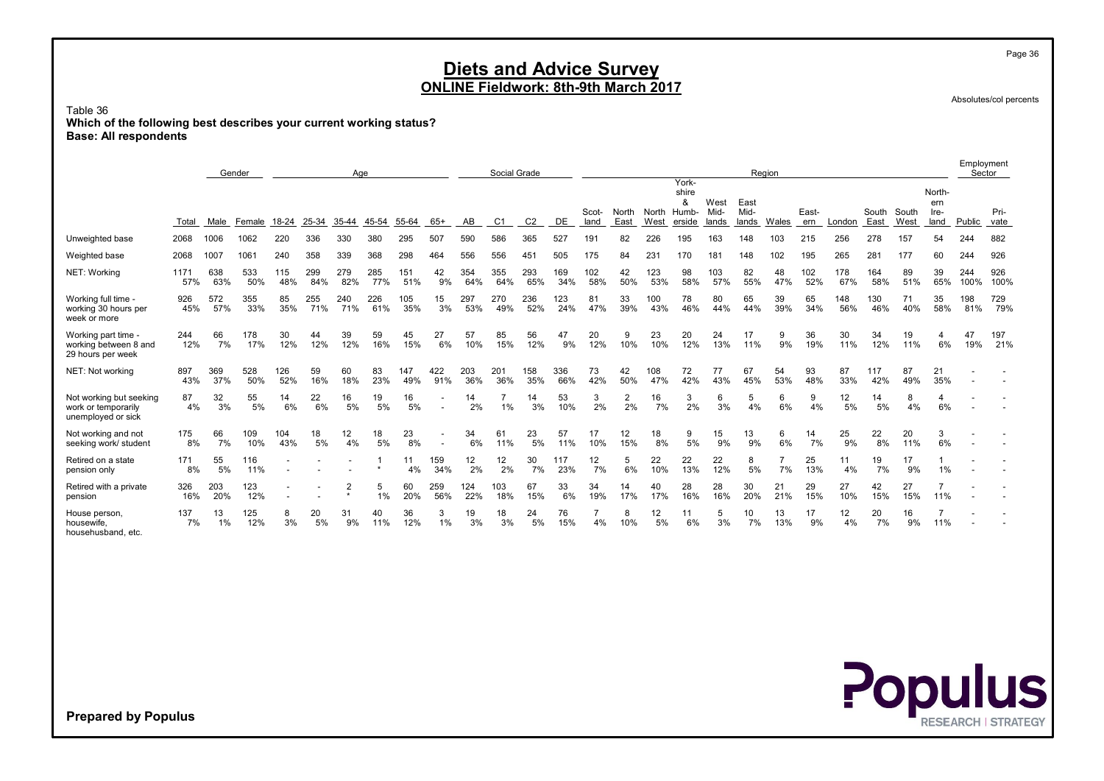Table 36 Which of the following best describes your current working status? Base: All respondents

|                                                                      |             |            | Gender     |            |            | Age            |            |            |            |            | Social Grade |                |            |               |                      |               | York-                         |                       |                       | Region    |              |            |               |               |                               | Employment  | Sector       |
|----------------------------------------------------------------------|-------------|------------|------------|------------|------------|----------------|------------|------------|------------|------------|--------------|----------------|------------|---------------|----------------------|---------------|-------------------------------|-----------------------|-----------------------|-----------|--------------|------------|---------------|---------------|-------------------------------|-------------|--------------|
|                                                                      | Total       | Male       | Female     | 18-24      | 25-34      | 35-44          | 45-54      | 55-64      | $65+$      | AB         | C1           | C <sub>2</sub> | DE         | Scot-<br>land | North<br>East        | North<br>West | shire<br>&<br>Humb-<br>erside | West<br>Mid-<br>lands | East<br>Mid-<br>lands | Wales     | East-<br>ern | London     | South<br>East | South<br>West | North-<br>ern<br>Ire-<br>land | Public      | Pri-<br>vate |
| Unweighted base                                                      | 2068        | 1006       | 1062       | 220        | 336        | 330            | 380        | 295        | 507        | 590        | 586          | 365            | 527        | 191           | 82                   | 226           | 195                           | 163                   | 148                   | 103       | 215          | 256        | 278           | 157           | 54                            | 244         | 882          |
| Weighted base                                                        | 2068        | 1007       | 1061       | 240        | 358        | 339            | 368        | 298        | 464        | 556        | 556          | 451            | 505        | 175           | 84                   | 231           | 170                           | 181                   | 148                   | 102       | 195          | 265        | 281           | 177           | 60                            | 244         | 926          |
| NET: Working                                                         | 1171<br>57% | 638<br>63% | 533<br>50% | 115<br>48% | 299<br>84% | 279<br>82%     | 285<br>77% | 151<br>51% | 42<br>9%   | 354<br>64% | 355<br>64%   | 293<br>65%     | 169<br>34% | 102<br>58%    | 42<br>50%            | 123<br>53%    | 98<br>58%                     | 103<br>57%            | 82<br>55%             | 48<br>47% | 102<br>52%   | 178<br>67% | 164<br>58%    | 89<br>51%     | 39<br>65%                     | 244<br>100% | 926<br>100%  |
| Working full time -<br>working 30 hours per<br>week or more          | 926<br>45%  | 572<br>57% | 355<br>33% | 85<br>35%  | 255<br>71% | 240<br>71%     | 226<br>61% | 105<br>35% | 15<br>3%   | 297<br>53% | 270<br>49%   | 236<br>52%     | 123<br>24% | 81<br>47%     | 33<br>39%            | 100<br>43%    | 78<br>46%                     | 80<br>44%             | 65<br>44%             | 39<br>39% | 65<br>34%    | 148<br>56% | 130<br>46%    | 71<br>40%     | 35<br>58%                     | 198<br>81%  | 729<br>79%   |
| Working part time -<br>working between 8 and<br>29 hours per week    | 244<br>12%  | 66<br>7%   | 178<br>17% | 30<br>12%  | 44<br>12%  | 39<br>12%      | 59<br>16%  | 45<br>15%  | 27<br>6%   | 57<br>10%  | 85<br>15%    | 56<br>12%      | 47<br>9%   | 20<br>12%     | 9<br>10%             | 23<br>10%     | 20<br>12%                     | 24<br>13%             | 17<br>11%             | 9<br>9%   | 36<br>19%    | 30<br>11%  | 34<br>12%     | 19<br>11%     | 6%                            | 47<br>19%   | 197<br>21%   |
| NET: Not working                                                     | 897<br>43%  | 369<br>37% | 528<br>50% | 126<br>52% | 59<br>16%  | 60<br>18%      | 83<br>23%  | 147<br>49% | 422<br>91% | 203<br>36% | 201<br>36%   | 158<br>35%     | 336<br>66% | 73<br>42%     | 42<br>50%            | 108<br>47%    | 72<br>42%                     | 77<br>43%             | 67<br>45%             | 54<br>53% | 93<br>48%    | 87<br>33%  | 117<br>42%    | 87<br>49%     | 21<br>35%                     |             |              |
| Not working but seeking<br>work or temporarily<br>unemployed or sick | 87<br>4%    | 32<br>3%   | 55<br>5%   | 14<br>6%   | 22<br>6%   | 16<br>5%       | 19<br>5%   | 16<br>5%   |            | 14<br>2%   | $1\%$        | 14<br>3%       | 53<br>10%  | 3<br>2%       | $\overline{2}$<br>2% | 16<br>7%      | 3<br>2%                       | 6<br>3%               | 5<br>4%               | 6<br>6%   | 9<br>4%      | 12<br>5%   | 14<br>5%      | 8<br>4%       | 6%                            |             |              |
| Not working and not<br>seeking work/ student                         | 175<br>8%   | 66<br>7%   | 109<br>10% | 104<br>43% | 18<br>5%   | 12<br>4%       | 18<br>5%   | 23<br>8%   |            | 34<br>6%   | 61<br>11%    | 23<br>5%       | 57<br>11%  | 17<br>10%     | 12<br>15%            | 18<br>8%      | 9<br>5%                       | 15<br>9%              | 13<br>9%              | 6<br>6%   | 14<br>7%     | 25<br>9%   | 22<br>8%      | 20<br>11%     | 3<br>6%                       |             |              |
| Retired on a state<br>pension only                                   | 171<br>8%   | 55<br>5%   | 116<br>11% |            |            |                |            | 11<br>4%   | 159<br>34% | 12<br>2%   | 12<br>2%     | 30<br>7%       | 117<br>23% | 12<br>7%      | 5<br>6%              | 22<br>10%     | 22<br>13%                     | 22<br>12%             | 8<br>5%               | 7%        | 25<br>13%    | 11<br>4%   | 19<br>7%      | 17<br>9%      | 1%                            |             |              |
| Retired with a private<br>pension                                    | 326<br>16%  | 203<br>20% | 123<br>12% |            |            | $\overline{2}$ | 5<br>1%    | 60<br>20%  | 259<br>56% | 124<br>22% | 103<br>18%   | 67<br>15%      | 33<br>6%   | 34<br>19%     | 14<br>17%            | 40<br>17%     | 28<br>16%                     | 28<br>16%             | 30<br>20%             | 21<br>21% | 29<br>15%    | 27<br>10%  | 42<br>15%     | 27<br>15%     | 11%                           |             |              |
| House person,<br>housewife<br>househusband, etc.                     | 137<br>7%   | 13<br>1%   | 125<br>12% | 8<br>3%    | 20<br>5%   | 31<br>9%       | 40<br>11%  | 36<br>12%  | 3<br>1%    | 19<br>3%   | 18<br>3%     | 24<br>5%       | 76<br>15%  | 4%            | 8<br>10%             | 12<br>5%      | 11<br>6%                      | 5<br>3%               | 10<br>7%              | 13<br>13% | 17<br>9%     | 12<br>4%   | 20<br>7%      | 16<br>9%      | 11%                           |             |              |

**Populus** 

Prepared by Populus

Page 36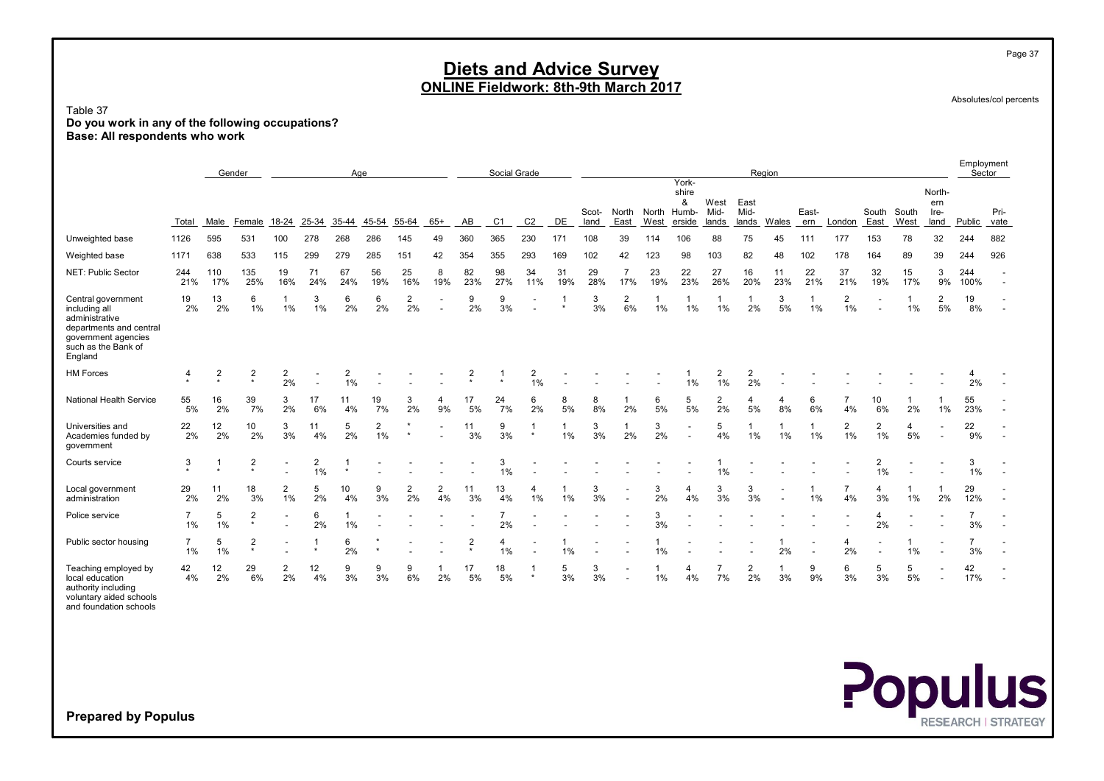Table 37 Do you work in any of the following occupations? Base: All respondents who work

|                                                                                                                                           |            |                             | Gender                             |           |                      |                      | Age       |                      |          |                | Social Grade         |                      |           |               |                          |           | York-                               |                       |                       | Region    |                          |                      |                               |               |                               | Employment           | Sector       |
|-------------------------------------------------------------------------------------------------------------------------------------------|------------|-----------------------------|------------------------------------|-----------|----------------------|----------------------|-----------|----------------------|----------|----------------|----------------------|----------------------|-----------|---------------|--------------------------|-----------|-------------------------------------|-----------------------|-----------------------|-----------|--------------------------|----------------------|-------------------------------|---------------|-------------------------------|----------------------|--------------|
|                                                                                                                                           | Total      | Male                        | Female                             | 18-24     | 25-34                | 35-44                | 45-54     | 55-64                | $65+$    | AB             | C <sub>1</sub>       | C <sub>2</sub>       | DE        | Scot-<br>land | North<br>East            | West      | shire<br>&<br>North Humb-<br>erside | West<br>Mid-<br>lands | East<br>Mid-<br>lands | Wales     | East-<br>ern             | London               | South<br>East                 | South<br>West | North-<br>ern<br>Ire-<br>land | Public               | Pri-<br>vate |
| Unweighted base                                                                                                                           | 1126       | 595                         | 531                                | 100       | 278                  | 268                  | 286       | 145                  | 49       | 360            | 365                  | 230                  | 171       | 108           | 39                       | 114       | 106                                 | 88                    | 75                    | 45        | 111                      | 177                  | 153                           | 78            | 32                            | 244                  | 882          |
| Weighted base                                                                                                                             | 1171       | 638                         | 533                                | 115       | 299                  | 279                  | 285       | 151                  | 42       | 354            | 355                  | 293                  | 169       | 102           | 42                       | 123       | 98                                  | 103                   | 82                    | 48        | 102                      | 178                  | 164                           | 89            | 39                            | 244                  | 926          |
| NET: Public Sector                                                                                                                        | 244<br>21% | 110<br>17%                  | 135<br>25%                         | 19<br>16% | 71<br>24%            | 67<br>24%            | 56<br>19% | 25<br>16%            | 8<br>19% | 82<br>23%      | 98<br>27%            | 34<br>11%            | 31<br>19% | 29<br>28%     | 7<br>17%                 | 23<br>19% | 22<br>23%                           | 27<br>26%             | 16<br>20%             | 11<br>23% | 22<br>21%                | 37<br>21%            | 32<br>19%                     | 15<br>17%     | 3<br>9%                       | 244<br>100%          |              |
| Central government<br>including all<br>administrative<br>departments and central<br>government agencies<br>such as the Bank of<br>England | 19<br>2%   | 13<br>2%                    | 6<br>1%                            | -1<br>1%  | 3<br>1%              | 6<br>2%              | 6<br>2%   | $\overline{2}$<br>2% |          | 9<br>2%        | 9<br>3%              |                      | ÷         | 3<br>3%       | $\overline{2}$<br>6%     | -1<br>1%  | -1<br>1%                            | 1%                    | 1<br>2%               | 3<br>5%   | -1<br>1%                 | 2<br>1%              |                               | -1<br>1%      | 2<br>5%                       | 19<br>8%             |              |
| <b>HM Forces</b>                                                                                                                          | 4<br>÷     | $\overline{2}$<br>$\bullet$ | $\overline{\mathbf{c}}$<br>$\star$ | 2<br>2%   |                      | $\overline{2}$<br>1% |           |                      |          | $\overline{2}$ | $\star$              | $\overline{c}$<br>1% |           |               |                          |           | 1%                                  | 2<br>1%               | $\overline{c}$<br>2%  |           |                          |                      |                               |               |                               | 2%                   |              |
| National Health Service                                                                                                                   | 55<br>5%   | 16<br>2%                    | 39<br>7%                           | 3<br>2%   | 17<br>6%             | 11<br>4%             | 19<br>7%  | 3<br>2%              | 4<br>9%  | 17<br>5%       | 24<br>7%             | 6<br>2%              | 8<br>5%   | 8<br>8%       | -1<br>2%                 | 6<br>5%   | 5<br>5%                             | $\overline{2}$<br>2%  | 4<br>5%               | 4<br>8%   | 6<br>6%                  | 4%                   | 10<br>6%                      | 2%            | 1%                            | 55<br>23%            |              |
| Universities and<br>Academies funded by<br>government                                                                                     | 22<br>2%   | 12<br>2%                    | 10<br>2%                           | 3<br>3%   | 11<br>4%             | 5<br>2%              | 2<br>1%   |                      |          | 11<br>3%       | 9<br>3%              | $\star$              | 1%        | 3<br>3%       | -1<br>2%                 | 3<br>2%   | $\overline{a}$                      | 5<br>4%               | 1%                    | $1\%$     | 1%                       | $\overline{2}$<br>1% | $\overline{\mathbf{c}}$<br>1% | 4<br>5%       |                               | 22<br>9%             |              |
| Courts service                                                                                                                            | 3          |                             | $\overline{\mathbf{c}}$<br>$\star$ |           | $\overline{2}$<br>1% | $\star$              |           |                      |          |                | 3<br>1%              |                      |           |               |                          |           |                                     | 1%                    |                       |           |                          |                      | 2<br>1%                       |               |                               | 3<br>1%              |              |
| Local government<br>administration                                                                                                        | 29<br>2%   | 11<br>2%                    | 18<br>3%                           | 2<br>1%   | 5<br>2%              | 10<br>4%             | 9<br>3%   | $\overline{2}$<br>2% | 2<br>4%  | 11<br>3%       | 13<br>4%             | 4<br>1%              | 1%        | 3<br>3%       |                          | 3<br>2%   | $\overline{4}$<br>4%                | 3<br>3%               | 3<br>3%               |           | 1%                       | 7<br>4%              | 4<br>3%                       | -1<br>1%      | 1<br>2%                       | 29<br>12%            |              |
| Police service                                                                                                                            | 7<br>1%    | 5<br>1%                     | $\overline{2}$<br>$\star$          |           | 6<br>2%              | 1<br>1%              |           |                      |          |                | $\overline{7}$<br>2% |                      |           |               |                          | 3<br>3%   |                                     |                       |                       |           |                          |                      | 4<br>2%                       |               |                               | 7<br>3%              |              |
| Public sector housing                                                                                                                     | 7<br>1%    | 5<br>$1\%$                  | $\overline{\mathbf{c}}$<br>$\star$ |           | 1<br>$\ast$          | 6<br>2%              |           |                      |          | $\overline{2}$ | 4<br>1%              |                      | 1%        |               |                          | 1%        |                                     |                       |                       | 2%        | $\overline{\phantom{a}}$ | 4<br>2%              | $\overline{\phantom{a}}$      | 1%            |                               | $\overline{7}$<br>3% |              |
| Teaching employed by<br>local education<br>authority including<br>voluntary aided schools<br>and foundation schools                       | 42<br>4%   | 12<br>2%                    | 29<br>6%                           | 2<br>2%   | 12<br>4%             | 9<br>3%              | 9<br>3%   | 9<br>6%              | 2%       | 17<br>5%       | 18<br>5%             | $\star$              | 5<br>3%   | 3<br>3%       | $\overline{\phantom{a}}$ | 1%        | 4<br>4%                             | 7%                    | $\overline{c}$<br>2%  | 3%        | 9<br>9%                  | 6<br>3%              | 5<br>3%                       | 5<br>5%       |                               | 42<br>17%            |              |

Prepared by Populus

Absolutes/col percents

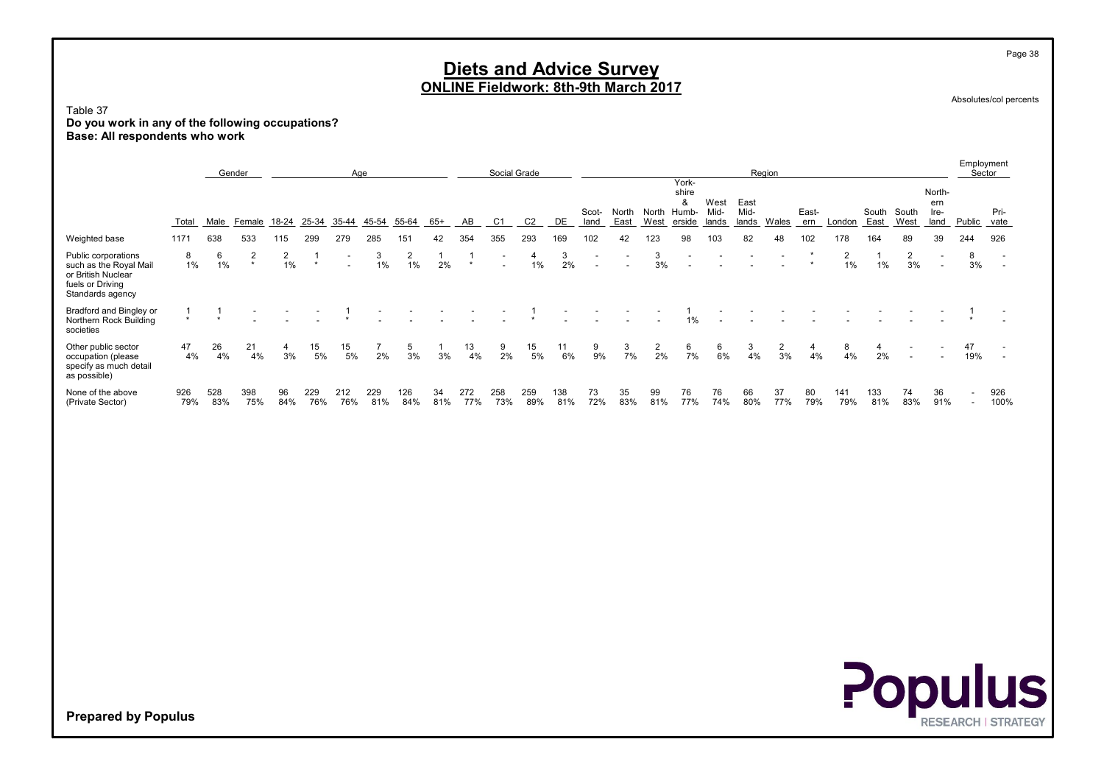Table 37 Do you work in any of the following occupations? Base: All respondents who work

|                                                                                                             |            |            | Gender                    |                      |            | Age                      |            |                      |           |            | Social Grade             |                |            |                          |               |                      |                                        |                       |                       | Region          |                    |            |               |                      |                               | Employment               | Sector       |
|-------------------------------------------------------------------------------------------------------------|------------|------------|---------------------------|----------------------|------------|--------------------------|------------|----------------------|-----------|------------|--------------------------|----------------|------------|--------------------------|---------------|----------------------|----------------------------------------|-----------------------|-----------------------|-----------------|--------------------|------------|---------------|----------------------|-------------------------------|--------------------------|--------------|
|                                                                                                             | Total      | Male       | Female                    | 18-24                | 25-34      | 35-44                    | 45-54      | 55-64                | 65+       | AB         | C1                       | C <sub>2</sub> | DE         | Scot-<br>land            | North<br>East | North<br>West        | York-<br>shire<br>&<br>Humb-<br>erside | West<br>Mid-<br>lands | East<br>Mid-<br>lands | Wales           | East-<br>ern       | London     | South<br>East | South<br>West        | North-<br>ern<br>Ire-<br>land | Public                   | Pri-<br>vate |
| Weighted base                                                                                               | 1171       | 638        | 533                       | 115                  | 299        | 279                      | 285        | 151                  | 42        | 354        | 355                      | 293            | 169        | 102                      | 42            | 123                  | 98                                     | 103                   | 82                    | 48              | 102                | 178        | 164           | 89                   | 39                            | 244                      | 926          |
| Public corporations<br>such as the Royal Mail<br>or British Nuclear<br>fuels or Driving<br>Standards agency | 8<br>$1\%$ | 6<br>1%    | $\overline{c}$<br>$\star$ | $\overline{2}$<br>1% | $\star$    | $\overline{\phantom{0}}$ | 3<br>1%    | $\overline{2}$<br>1% | 2%        | $\star$    | $\overline{\phantom{0}}$ | 4<br>1%        | 3<br>2%    | $\overline{\phantom{a}}$ |               | 3<br>3%              |                                        |                       |                       |                 | $\star$<br>$\star$ | 2<br>1%    | 1%            | $\overline{2}$<br>3% |                               | 8<br>3%                  | $\sim$       |
| Bradford and Bingley or<br>Northern Rock Building<br>societies                                              |            |            |                           |                      |            |                          |            |                      |           |            |                          |                |            |                          |               |                      |                                        |                       |                       |                 |                    |            |               |                      |                               |                          |              |
| Other public sector<br>occupation (please<br>specify as much detail<br>as possible)                         | 47<br>4%   | 26<br>4%   | 21<br>4%                  | 4<br>3%              | 15<br>5%   | 15<br>5%                 | 2%         | 5<br>3%              | 3%        | 13<br>4%   | 9<br>2%                  | 15<br>5%       | 11<br>6%   | 9<br>9%                  | 3<br>7%       | $\overline{2}$<br>2% | 6<br>7%                                | 6<br>6%               | 3<br>4%               | $\frac{2}{3\%}$ | 4<br>4%            | 8<br>4%    | 2%            |                      |                               | 47<br>19%                |              |
| None of the above<br>(Private Sector)                                                                       | 926<br>79% | 528<br>83% | 398<br>75%                | 96<br>84%            | 229<br>76% | 212<br>76%               | 229<br>81% | 126<br>84%           | 34<br>81% | 272<br>77% | 258<br>73%               | 259<br>89%     | 138<br>81% | 73<br>72%                | 35<br>83%     | 99<br>81%            | 76<br>77%                              | 76<br>74%             | 66<br>80%             | 37<br>77%       | 80<br>79%          | 141<br>79% | 133<br>81%    | 74<br>83%            | 36<br>91%                     | $\overline{\phantom{a}}$ | 926<br>100%  |



Page 38

Absolutes/col percents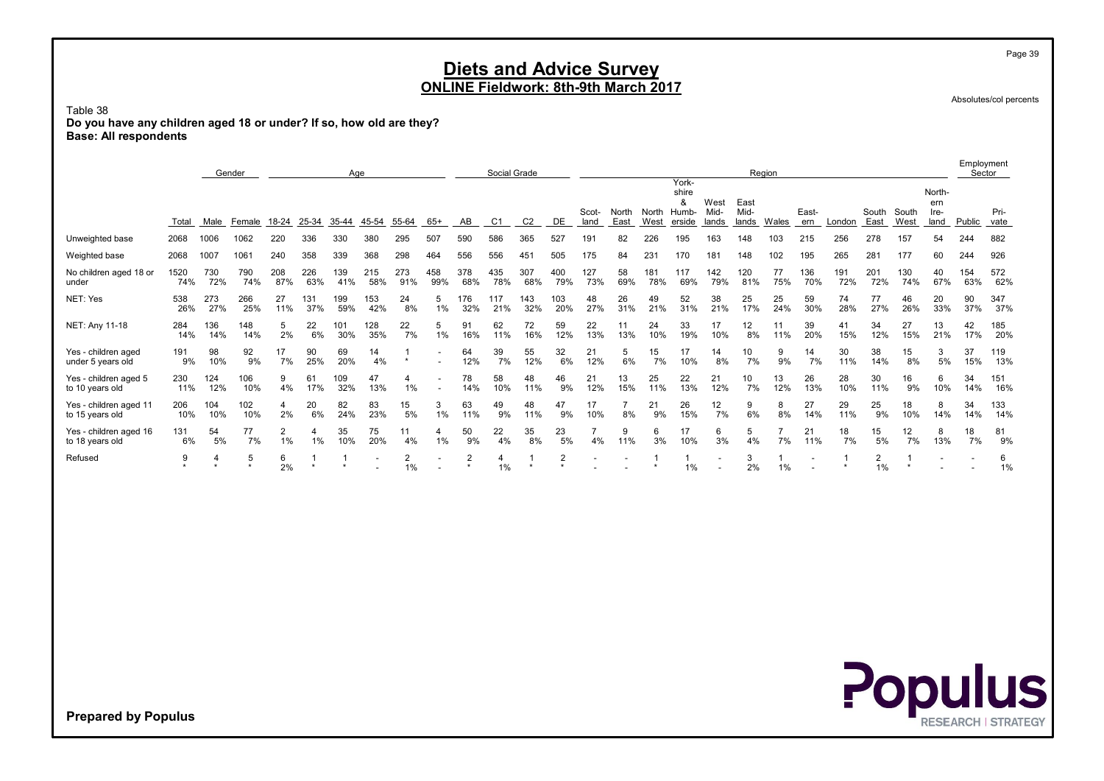Table 38 Do you have any children aged 18 or under? If so, how old are they? Base: All respondents

|                                           |             |            | Gender     |                      |            | Age        |            |            |                          |              | Social Grade |                |                           |               |               |               |                     |               |               | Region    |              |            |               |               |               | Employment<br>Sector |              |
|-------------------------------------------|-------------|------------|------------|----------------------|------------|------------|------------|------------|--------------------------|--------------|--------------|----------------|---------------------------|---------------|---------------|---------------|---------------------|---------------|---------------|-----------|--------------|------------|---------------|---------------|---------------|----------------------|--------------|
|                                           |             |            |            |                      |            |            |            |            |                          |              |              |                |                           |               |               |               | York-<br>shire<br>& | West          | East          |           |              |            |               |               | North-<br>ern |                      |              |
|                                           | Total       | Male       | Female     | 18-24                | 25-34      | 35-44      | 45-54      | 55-64      | 65+                      | AB           | C1           | C <sub>2</sub> | DE                        | Scot-<br>land | North<br>East | North<br>West | Humb-<br>erside     | Mid-<br>lands | Mid-<br>lands | Wales     | East-<br>ern | London     | South<br>East | South<br>West | Ire-<br>land  | Public               | Pri-<br>vate |
| Unweighted base                           | 2068        | 1006       | 1062       | 220                  | 336        | 330        | 380        | 295        | 507                      | 590          | 586          | 365            | 527                       | 191           | 82            | 226           | 195                 | 163           | 148           | 103       | 215          | 256        | 278           | 157           | 54            | 244                  | 882          |
| Weighted base                             | 2068        | 1007       | 1061       | 240                  | 358        | 339        | 368        | 298        | 464                      | 556          | 556          | 451            | 505                       | 175           | 84            | 231           | 170                 | 181           | 148           | 102       | 195          | 265        | 281           | 177           | 60            | 244                  | 926          |
| No children aged 18 or<br>under           | 1520<br>74% | 730<br>72% | 790<br>74% | 208<br>87%           | 226<br>63% | 139<br>41% | 215<br>58% | 273<br>91% | 458<br>99%               | 378<br>68%   | 435<br>78%   | 307<br>68%     | 400<br>79%                | 127<br>73%    | 58<br>69%     | 181<br>78%    | 117<br>69%          | 142<br>79%    | 120<br>81%    | 77<br>75% | 136<br>70%   | 191<br>72% | 201<br>72%    | 130<br>74%    | 40<br>67%     | 154<br>63%           | 572<br>62%   |
| NET: Yes                                  | 538<br>26%  | 273<br>27% | 266<br>25% | 27<br>11%            | 131<br>37% | 199<br>59% | 153<br>42% | 24<br>8%   | 1%                       | 176<br>32%   | 117<br>21%   | 143<br>32%     | 103<br>20%                | 48<br>27%     | 26<br>31%     | 49<br>21%     | 52<br>31%           | 38<br>21%     | 25<br>17%     | 25<br>24% | 59<br>30%    | 74<br>28%  | 77<br>27%     | 46<br>26%     | 20<br>33%     | 90<br>37%            | 347<br>37%   |
| NET: Any 11-18                            | 284<br>14%  | 136<br>14% | 148<br>14% | 5<br>2%              | 22<br>6%   | 101<br>30% | 128<br>35% | 22<br>7%   | 5<br>1%                  | 91<br>16%    | 62<br>11%    | 72<br>16%      | 59<br>12%                 | 22<br>13%     | 11<br>13%     | 24<br>10%     | 33<br>19%           | 17<br>10%     | 12<br>8%      | 11<br>11% | 39<br>20%    | 41<br>15%  | 34<br>12%     | 27<br>15%     | 13<br>21%     | 42<br>17%            | 185<br>20%   |
| Yes - children aged<br>under 5 years old  | 191<br>9%   | 98<br>10%  | 92<br>9%   | 17<br>7%             | 90<br>25%  | 69<br>20%  | 14<br>4%   |            | $\overline{\phantom{a}}$ | 64<br>12%    | 39<br>7%     | 55<br>12%      | 32<br>6%                  | 21<br>12%     | 5<br>6%       | 15<br>7%      | 17<br>10%           | 14<br>8%      | 10<br>7%      | 9<br>9%   | 14<br>7%     | 30<br>11%  | 38<br>14%     | 15<br>8%      | 3<br>5%       | 37<br>15%            | 119<br>13%   |
| Yes - children aged 5<br>to 10 years old  | 230<br>11%  | 124<br>12% | 106<br>10% | 9<br>4%              | 61<br>17%  | 109<br>32% | 47<br>13%  | 1%         |                          | 78<br>14%    | 58<br>10%    | 48<br>11%      | 46<br>9%                  | 21<br>12%     | 13<br>15%     | 25<br>11%     | 22<br>13%           | 21<br>12%     | 10<br>7%      | 13<br>12% | 26<br>13%    | 28<br>10%  | 30<br>11%     | 16<br>9%      | 6<br>10%      | 34<br>14%            | 151<br>16%   |
| Yes - children aged 11<br>to 15 years old | 206<br>10%  | 104<br>10% | 102<br>10% | 4<br>2%              | 20<br>6%   | 82<br>24%  | 83<br>23%  | 15<br>5%   | 3<br>1%                  | 63<br>11%    | 49<br>9%     | 48<br>11%      | 47<br>9%                  | 17<br>10%     | 8%            | 21<br>9%      | 26<br>15%           | 12<br>7%      | 9<br>6%       | 8<br>8%   | 27<br>14%    | 29<br>11%  | 25<br>9%      | 18<br>10%     | 8<br>14%      | 34<br>14%            | 133<br>14%   |
| Yes - children aged 16<br>to 18 years old | 131<br>6%   | 54<br>5%   | 77<br>7%   | $\overline{2}$<br>1% | 1%         | 35<br>10%  | 75<br>20%  | 11<br>4%   | 1%                       | 50<br>9%     | 22<br>4%     | 35<br>8%       | 23<br>5%                  | 4%            | 9<br>11%      | 6<br>3%       | 17<br>10%           | 6<br>3%       | 5<br>4%       | 7%        | 21<br>11%    | 18<br>7%   | 15<br>5%      | 12<br>7%      | 8<br>13%      | 18<br>7%             | 81<br>9%     |
| Refused                                   | 9           |            |            | 6<br>2%              | $\star$    |            |            | 2<br>1%    | $\overline{\phantom{a}}$ | 2<br>$\star$ | 4<br>1%      | $\star$        | $\overline{2}$<br>$\star$ |               |               |               | 1%                  |               | 3<br>2%       | 1%        | -            |            | 2<br>1%       |               |               |                      | 6<br>1%      |

Absolutes/col percents

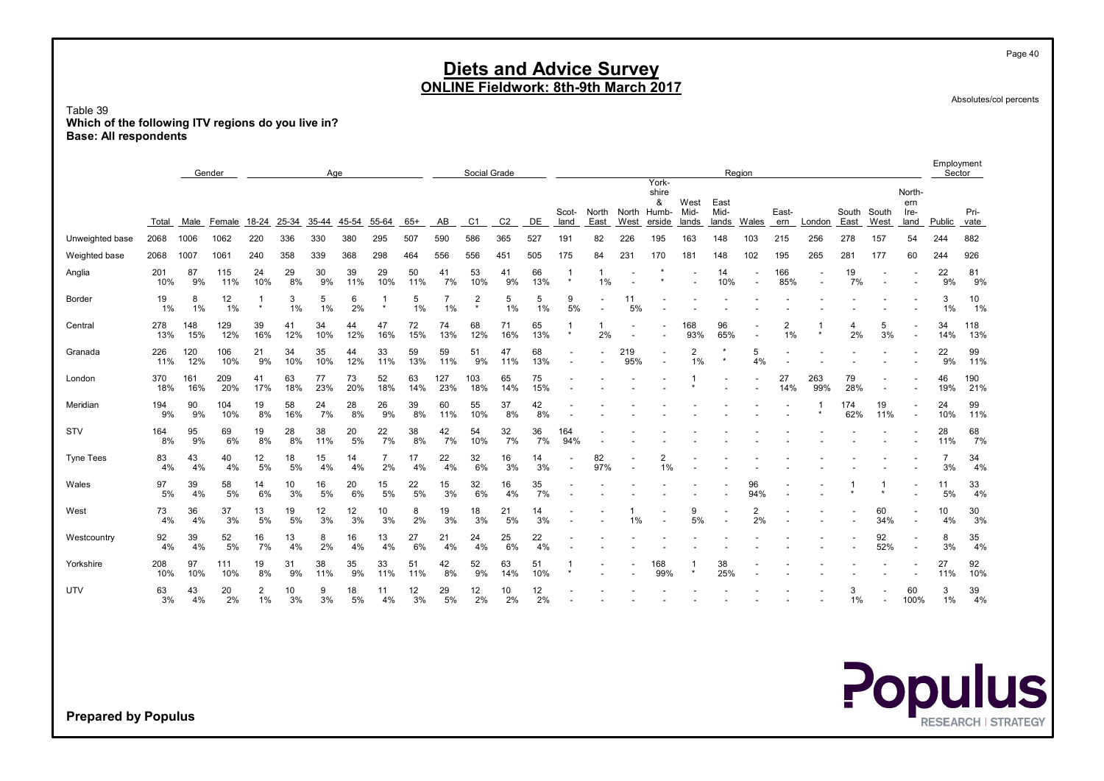Table 39 Which of the following ITV regions do you live in? Base: All respondents

|                  |            |            | Gender     |           |           | Age       |           |           |           |            | Social Grade              |                |           |               |               |            |                                              |                       | Region                |                          |              |                          |               |               |                               | Employment<br>Sector |              |
|------------------|------------|------------|------------|-----------|-----------|-----------|-----------|-----------|-----------|------------|---------------------------|----------------|-----------|---------------|---------------|------------|----------------------------------------------|-----------------------|-----------------------|--------------------------|--------------|--------------------------|---------------|---------------|-------------------------------|----------------------|--------------|
|                  | Total      | Male       | Female     | 18-24     | 25-34     | 35-44     | 45-54     | 55-64     | $65+$     | AB         | C <sub>1</sub>            | C <sub>2</sub> | DE        | Scot-<br>land | North<br>East | West       | York-<br>shire<br>&<br>North Humb-<br>erside | West<br>Mid-<br>lands | East<br>Mid-<br>lands | Wales                    | East-<br>ern | London                   | South<br>East | South<br>West | North-<br>ern<br>Ire-<br>land | Public               | Pri-<br>vate |
| Unweighted base  | 2068       | 1006       | 1062       | 220       | 336       | 330       | 380       | 295       | 507       | 590        | 586                       | 365            | 527       | 191           | 82            | 226        | 195                                          | 163                   | 148                   | 103                      | 215          | 256                      | 278           | 157           | 54                            | 244                  | 882          |
| Weighted base    | 2068       | 1007       | 1061       | 240       | 358       | 339       | 368       | 298       | 464       | 556        | 556                       | 451            | 505       | 175           | 84            | 231        | 170                                          | 181                   | 148                   | 102                      | 195          | 265                      | 281           | 177           | 60                            | 244                  | 926          |
| Anglia           | 201<br>10% | 87<br>9%   | 115<br>11% | 24<br>10% | 29<br>8%  | 30<br>9%  | 39<br>11% | 29<br>10% | 50<br>11% | 41<br>7%   | 53<br>10%                 | 41<br>9%       | 66<br>13% | -1<br>$\star$ | 1<br>1%       |            |                                              |                       | 14<br>10%             | $\overline{\phantom{a}}$ | 166<br>85%   | $\overline{\phantom{a}}$ | 19<br>7%      |               |                               | 22<br>9%             | 81<br>9%     |
| Border           | 19<br>1%   | 8<br>1%    | 12<br>1%   | $\star$   | 3<br>1%   | 5<br>1%   | 6<br>2%   | $\star$   | 5<br>1%   | 1%         | $\overline{2}$<br>$\star$ | 5<br>1%        | 5<br>1%   | 9<br>5%       |               | 11<br>5%   |                                              |                       |                       |                          |              |                          |               |               |                               | 3<br>1%              | 10<br>1%     |
| Central          | 278<br>13% | 148<br>15% | 129<br>12% | 39<br>16% | 41<br>12% | 34<br>10% | 44<br>12% | 47<br>16% | 72<br>15% | 74<br>13%  | 68<br>12%                 | 71<br>16%      | 65<br>13% | $\star$       | 2%            |            |                                              | 168<br>93%            | 96<br>65%             |                          | 2<br>1%      | $\star$                  | 4<br>2%       | 5<br>3%       |                               | 34<br>14%            | 118<br>13%   |
| Granada          | 226<br>11% | 120<br>12% | 106<br>10% | 21<br>9%  | 34<br>10% | 35<br>10% | 44<br>12% | 33<br>11% | 59<br>13% | 59<br>11%  | 51<br>9%                  | 47<br>11%      | 68<br>13% |               |               | 219<br>95% |                                              | 2<br>1%               |                       | 5<br>4%                  |              |                          |               |               |                               | 22<br>9%             | 99<br>11%    |
| London           | 370<br>18% | 161<br>16% | 209<br>20% | 41<br>17% | 63<br>18% | 77<br>23% | 73<br>20% | 52<br>18% | 63<br>14% | 127<br>23% | 103<br>18%                | 65<br>14%      | 75<br>15% |               |               |            |                                              |                       |                       |                          | 27<br>14%    | 263<br>99%               | 79<br>28%     |               |                               | 46<br>19%            | 190<br>21%   |
| Meridian         | 194<br>9%  | 90<br>9%   | 104<br>10% | 19<br>8%  | 58<br>16% | 24<br>7%  | 28<br>8%  | 26<br>9%  | 39<br>8%  | 60<br>11%  | 55<br>10%                 | 37<br>8%       | 42<br>8%  |               |               |            |                                              |                       |                       |                          |              | $\star$                  | 174<br>62%    | 19<br>11%     |                               | 24<br>10%            | 99<br>11%    |
| STV              | 164<br>8%  | 95<br>9%   | 69<br>6%   | 19<br>8%  | 28<br>8%  | 38<br>11% | 20<br>5%  | 22<br>7%  | 38<br>8%  | 42<br>7%   | 54<br>10%                 | 32<br>7%       | 36<br>7%  | 164<br>94%    |               |            |                                              |                       |                       |                          |              |                          |               |               |                               | 28<br>11%            | 68<br>7%     |
| <b>Tyne Tees</b> | 83<br>4%   | 43<br>4%   | 40<br>4%   | 12<br>5%  | 18<br>5%  | 15<br>4%  | 14<br>4%  | 2%        | 17<br>4%  | 22<br>4%   | 32<br>6%                  | 16<br>3%       | 14<br>3%  |               | 82<br>97%     |            | $\overline{2}$<br>1%                         |                       |                       |                          |              |                          |               |               |                               | $\overline{7}$<br>3% | 34<br>4%     |
| Wales            | 97<br>5%   | 39<br>4%   | 58<br>5%   | 14<br>6%  | 10<br>3%  | 16<br>5%  | 20<br>6%  | 15<br>5%  | 22<br>5%  | 15<br>3%   | 32<br>6%                  | 16<br>4%       | 35<br>7%  |               |               |            |                                              |                       |                       | 96<br>94%                |              |                          |               |               |                               | 11<br>5%             | 33<br>4%     |
| West             | 73<br>4%   | 36<br>4%   | 37<br>3%   | 13<br>5%  | 19<br>5%  | 12<br>3%  | 12<br>3%  | 10<br>3%  | 8<br>2%   | 19<br>3%   | 18<br>3%                  | 21<br>5%       | 14<br>3%  |               |               | 1%         |                                              | 9<br>5%               |                       | 2<br>2%                  |              |                          |               | 60<br>34%     |                               | 10<br>4%             | 30<br>3%     |
| Westcountry      | 92<br>4%   | 39<br>4%   | 52<br>5%   | 16<br>7%  | 13<br>4%  | 8<br>2%   | 16<br>4%  | 13<br>4%  | 27<br>6%  | 21<br>4%   | 24<br>4%                  | 25<br>6%       | 22<br>4%  |               |               |            |                                              |                       |                       |                          |              |                          |               | 92<br>52%     |                               | 8<br>3%              | 35<br>4%     |
| Yorkshire        | 208<br>10% | 97<br>10%  | 111<br>10% | 19<br>8%  | 31<br>9%  | 38<br>11% | 35<br>9%  | 33<br>11% | 51<br>11% | 42<br>8%   | 52<br>9%                  | 63<br>14%      | 51<br>10% |               |               |            | 168<br>99%                                   | $\star$               | 38<br>25%             |                          |              |                          |               |               |                               | 27<br>11%            | 92<br>10%    |
| UTV              | 63<br>3%   | 43<br>4%   | 20<br>2%   | 2<br>1%   | 10<br>3%  | 9<br>3%   | 18<br>5%  | 11<br>4%  | 12<br>3%  | 29<br>5%   | 12<br>2%                  | 10<br>2%       | 12<br>2%  |               |               |            |                                              |                       |                       |                          |              |                          | 3<br>1%       |               | 60<br>100%                    | 3<br>1%              | 39<br>4%     |



Prepared by Populus

Page 40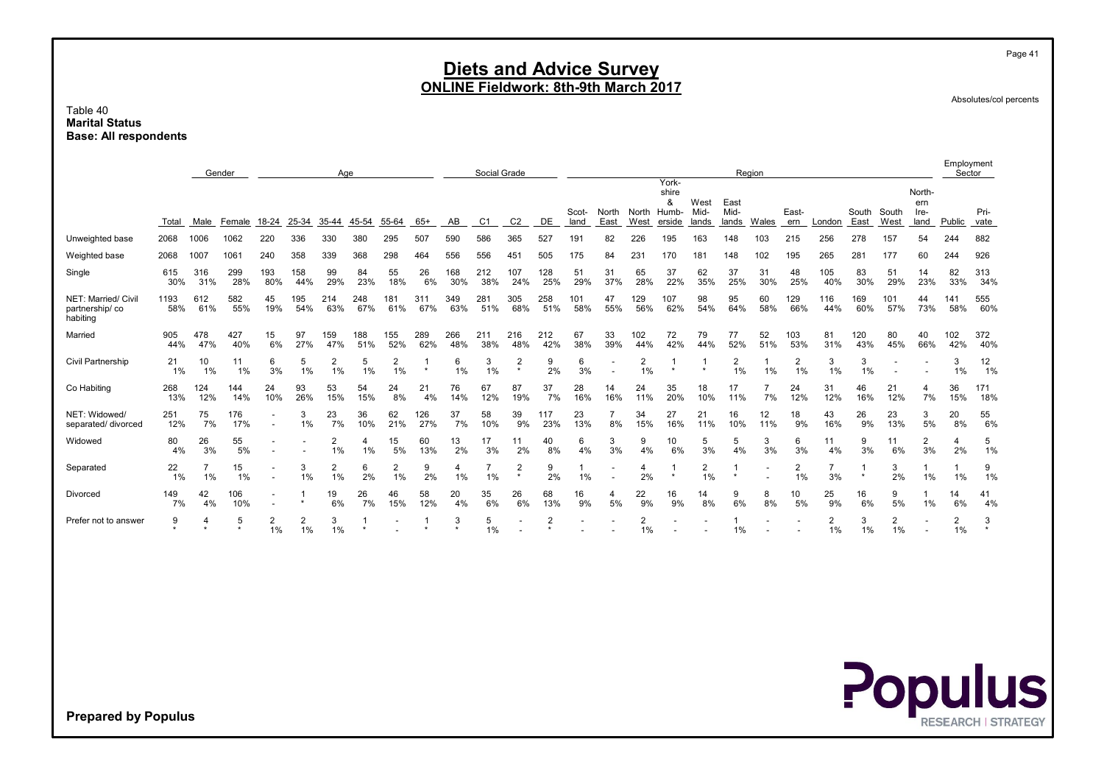Table 40 Marital Status Base: All respondents

|                                                   | Gender<br>Age |            |              |            |                         |                      |            |                               |            |            | Social Grade   |                           |                           |                       |               |                      | York-                |                       | Region                |           |                      |                         |               |               |                               | Employment<br>Sector |              |
|---------------------------------------------------|---------------|------------|--------------|------------|-------------------------|----------------------|------------|-------------------------------|------------|------------|----------------|---------------------------|---------------------------|-----------------------|---------------|----------------------|----------------------|-----------------------|-----------------------|-----------|----------------------|-------------------------|---------------|---------------|-------------------------------|----------------------|--------------|
|                                                   | Total         | Male       | Female       | 18-24      | 25-34                   | 35-44                | 45-54      | 55-64                         | $65+$      | AB         | C <sub>1</sub> | C <sub>2</sub>            | DE                        | Scot-<br>land         | North<br>East | North Humb-<br>West  | shire<br>&<br>erside | West<br>Mid-<br>lands | East<br>Mid-<br>lands | Wales     | East-<br>ern         | London                  | South<br>East | South<br>West | North-<br>ern<br>Ire-<br>land | Public               | Pri-<br>vate |
| Unweighted base                                   | 2068          | 1006       | 1062         | 220        | 336                     | 330                  | 380        | 295                           | 507        | 590        | 586            | 365                       | 527                       | 191                   | 82            | 226                  | 195                  | 163                   | 148                   | 103       | 215                  | 256                     | 278           | 157           | 54                            | 244                  | 882          |
| Weighted base                                     | 2068          | 1007       | 1061         | 240        | 358                     | 339                  | 368        | 298                           | 464        | 556        | 556            | 451                       | 505                       | 175                   | 84            | 231                  | 170                  | 181                   | 148                   | 102       | 195                  | 265                     | 281           | 177           | 60                            | 244                  | 926          |
| Single                                            | 615<br>30%    | 316<br>31% | 299<br>28%   | 193<br>80% | 158<br>44%              | 99<br>29%            | 84<br>23%  | 55<br>18%                     | 26<br>6%   | 168<br>30% | 212<br>38%     | 107<br>24%                | 128<br>25%                | 51<br>29%             | 31<br>37%     | 65<br>28%            | 37<br>22%            | 62<br>35%             | 37<br>25%             | 31<br>30% | 48<br>25%            | 105<br>40%              | 83<br>30%     | 51<br>29%     | 14<br>23%                     | 82<br>33%            | 313<br>34%   |
| NET: Married/ Civil<br>partnership/co<br>habiting | 1193<br>58%   | 612<br>61% | 582<br>55%   | 45<br>19%  | 195<br>54%              | 214<br>63%           | 248<br>67% | 181<br>61%                    | 31'<br>67% | 349<br>63% | 281<br>51%     | 305<br>68%                | 258<br>51%                | 101<br>58%            | 47<br>55%     | 129<br>56%           | 107<br>62%           | 98<br>54%             | 95<br>64%             | 60<br>58% | 129<br>66%           | 116<br>44%              | 169<br>60%    | 101<br>57%    | 44<br>73%                     | 141<br>58%           | 555<br>60%   |
| Married                                           | 905<br>44%    | 478<br>47% | 427<br>40%   | 15<br>6%   | 97<br>27%               | 159<br>47%           | 188<br>51% | 155<br>52%                    | 289<br>62% | 266<br>48% | 211<br>38%     | 216<br>48%                | 212<br>42%                | 67<br>38%             | 33<br>39%     | 102<br>44%           | 72<br>42%            | 79<br>44%             | 77<br>52%             | 52<br>51% | 103<br>53%           | 81<br>31%               | 120<br>43%    | 80<br>45%     | 40<br>66%                     | 102<br>42%           | 372<br>40%   |
| Civil Partnership                                 | 21<br>1%      | 10<br>1%   | 11<br>1%     | 6<br>3%    | 5<br>$1\%$              | 2<br>$1\%$           | 5<br>1%    | $\overline{\mathbf{c}}$<br>1% |            | 6<br>1%    | 3<br>1%        | $\overline{2}$<br>$\star$ | 9<br>2%                   | 6<br>3%               |               | $\overline{2}$<br>1% | $\star$              | $\star$               | 2<br>1%               | 1%        | $\overline{c}$<br>1% | 3<br>1%                 | 3<br>1%       |               |                               | 3<br>1%              | 12<br>1%     |
| Co Habiting                                       | 268<br>13%    | 124<br>12% | 144<br>14%   | 24<br>10%  | 93<br>26%               | 53<br>15%            | 54<br>15%  | 24<br>8%                      | 21<br>4%   | 76<br>14%  | 67<br>12%      | 87<br>19%                 | 37<br>7%                  | 28<br>16%             | 14<br>16%     | 24<br>11%            | 35<br>20%            | 18<br>10%             | 17<br>11%             | 7%        | 24<br>12%            | 31<br>12%               | 46<br>16%     | 21<br>12%     | 4<br>7%                       | 36<br>15%            | 171<br>18%   |
| NET: Widowed/<br>separated/ divorced              | 251<br>12%    | 75<br>7%   | 176<br>17%   |            | 3<br>$1\%$              | 23<br>7%             | 36<br>10%  | 62<br>21%                     | 126<br>27% | 37<br>7%   | 58<br>10%      | 39<br>9%                  | 117<br>23%                | 23<br>13%             | 8%            | 34<br>15%            | 27<br>16%            | 21<br>11%             | 16<br>10%             | 12<br>11% | 18<br>9%             | 43<br>16%               | 26<br>9%      | 23<br>13%     | 3<br>5%                       | 20<br>8%             | 55<br>6%     |
| Widowed                                           | 80<br>4%      | 26<br>3%   | 55<br>5%     |            |                         | $\overline{2}$<br>1% | 4<br>1%    | 15<br>5%                      | 60<br>13%  | 13<br>2%   | 17<br>3%       | 11<br>2%                  | 40<br>8%                  | 6<br>4%               | 3<br>3%       | 9<br>4%              | 10<br>6%             | 5<br>3%               | 5<br>4%               | 3<br>3%   | 6<br>3%              | 11<br>4%                | 9<br>3%       | 11<br>6%      | $\overline{2}$<br>3%          | $\overline{4}$<br>2% | 5<br>1%      |
| Separated                                         | 22<br>1%      | 7<br>1%    | 15<br>1%     |            | 3<br>1%                 | 2<br>1%              | 6<br>2%    | $\overline{2}$<br>1%          | 9<br>2%    | 4<br>1%    | 1%             | $\overline{2}$            | 9<br>2%                   | $\mathbf{1}$<br>$1\%$ |               | $\overline{4}$<br>2% |                      | 2<br>1%               | $\star$               |           | $\overline{2}$<br>1% | $\overline{7}$<br>3%    | $\star$       | 3<br>2%       | 1%                            | 1%                   | 9<br>1%      |
| Divorced                                          | 149<br>7%     | 42<br>4%   | 106<br>10%   |            | $\star$                 | 19<br>6%             | 26<br>7%   | 46<br>15%                     | 58<br>12%  | 20<br>4%   | 35<br>6%       | 26<br>6%                  | 68<br>13%                 | 16<br>9%              | 4<br>5%       | 22<br>9%             | 16<br>9%             | 14<br>8%              | 9<br>6%               | 8<br>8%   | 10<br>5%             | 25<br>9%                | 16<br>6%      | 9<br>5%       | $1\%$                         | 14<br>6%             | 41<br>4%     |
| Prefer not to answer                              | 9             | 4          | 5<br>$\star$ | 2<br>1%    | $\overline{c}$<br>$1\%$ | 3<br>1%              |            |                               |            | 3          | 5<br>1%        |                           | $\overline{2}$<br>$\star$ |                       |               | $\overline{2}$<br>1% |                      |                       | 1%                    |           |                      | $\overline{2}$<br>$1\%$ | 3<br>1%       | 2<br>1%       |                               | $\overline{2}$<br>1% | 3<br>$\star$ |

Prepared by Populus



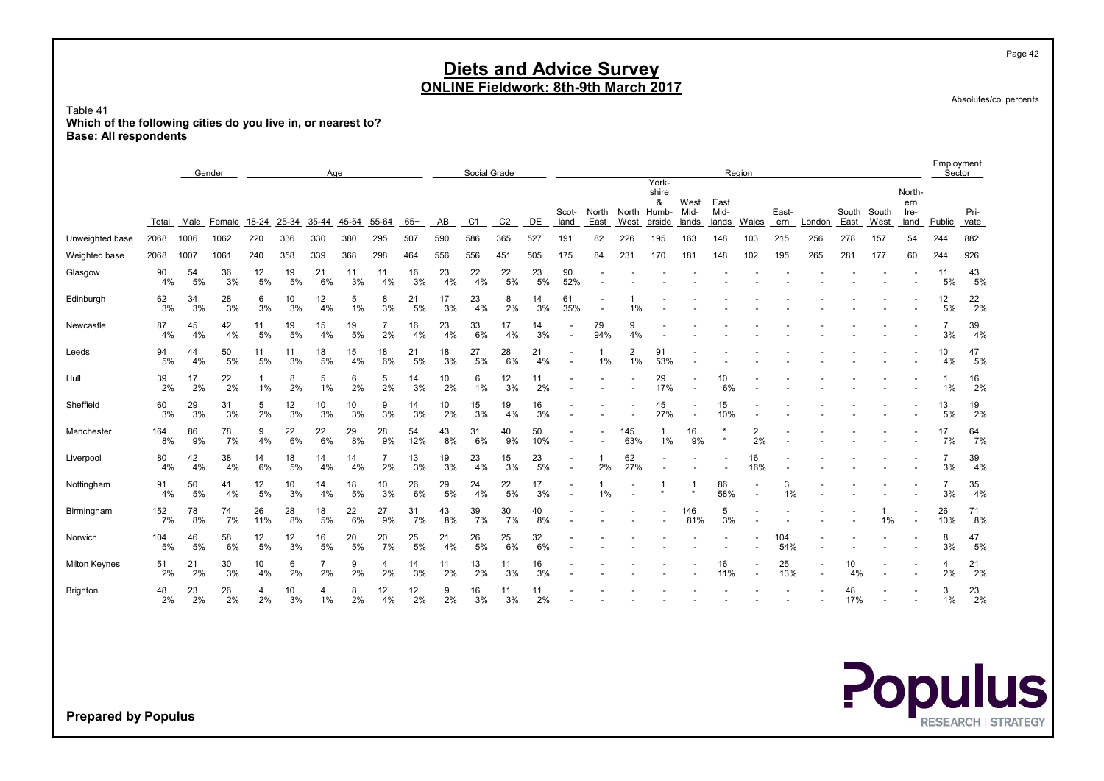Table 41 Which of the following cities do you live in, or nearest to? Base: All respondents

|                      |           |          | Gender   |           |          | Age        |          |          |           |          | Social Grade   |                |           |                          |                |               |                                        |                       |                       | Region       |              |        |               |               |                               | Employment<br>Sector |              |
|----------------------|-----------|----------|----------|-----------|----------|------------|----------|----------|-----------|----------|----------------|----------------|-----------|--------------------------|----------------|---------------|----------------------------------------|-----------------------|-----------------------|--------------|--------------|--------|---------------|---------------|-------------------------------|----------------------|--------------|
|                      | Total     | Male     | Female   | 18-24     | 25-34    | 35-44      | 45-54    | 55-64    | $65+$     | AB       | C <sub>1</sub> | C <sub>2</sub> | DE        | Scot-<br>land            | North<br>East  | North<br>West | York-<br>shire<br>&<br>Humb-<br>erside | West<br>Mid-<br>lands | East<br>Mid-<br>lands | <b>Wales</b> | East-<br>ern | London | South<br>East | South<br>West | North-<br>ern<br>Ire-<br>land | Public               | Pri-<br>vate |
| Unweighted base      | 2068      | 1006     | 1062     | 220       | 336      | 330        | 380      | 295      | 507       | 590      | 586            | 365            | 527       | 191                      | 82             | 226           | 195                                    | 163                   | 148                   | 103          | 215          | 256    | 278           | 157           | 54                            | 244                  | 882          |
| Weighted base        | 2068      | 1007     | 1061     | 240       | 358      | 339        | 368      | 298      | 464       | 556      | 556            | 451            | 505       | 175                      | 84             | 231           | 170                                    | 181                   | 148                   | 102          | 195          | 265    | 281           | 177           | 60                            | 244                  | 926          |
| Glasgow              | 90<br>4%  | 54<br>5% | 36<br>3% | 12<br>5%  | 19<br>5% | 21<br>6%   | 11<br>3% | 11<br>4% | 16<br>3%  | 23<br>4% | 22<br>4%       | 22<br>5%       | 23<br>5%  | 90<br>52%                |                |               |                                        |                       |                       |              |              |        |               |               |                               | 11<br>5%             | 43<br>5%     |
| Edinburgh            | 62<br>3%  | 34<br>3% | 28<br>3% | 6<br>3%   | 10<br>3% | 12<br>4%   | 5<br>1%  | 8<br>3%  | 21<br>5%  | 17<br>3% | 23<br>4%       | 8<br>2%        | 14<br>3%  | 61<br>35%                |                | 1%            |                                        |                       |                       |              |              |        |               |               |                               | 12<br>5%             | 22<br>2%     |
| Newcastle            | 87<br>4%  | 45<br>4% | 42<br>4% | 11<br>5%  | 19<br>5% | 15<br>4%   | 19<br>5% | 2%       | 16<br>4%  | 23<br>4% | 33<br>6%       | 17<br>4%       | 14<br>3%  |                          | 79<br>94%      | 9<br>4%       |                                        |                       |                       |              |              |        |               |               |                               | 7<br>3%              | 39<br>4%     |
| Leeds                | 94<br>5%  | 44<br>4% | 50<br>5% | 11<br>5%  | 11<br>3% | 18<br>5%   | 15<br>4% | 18<br>6% | 21<br>5%  | 18<br>3% | 27<br>5%       | 28<br>6%       | 21<br>4%  |                          | 1%             | 2<br>1%       | 91<br>53%                              |                       |                       |              |              |        |               |               |                               | 10<br>4%             | 47<br>5%     |
| Hull                 | 39<br>2%  | 17<br>2% | 22<br>2% | 1<br>1%   | 8<br>2%  | 5<br>$1\%$ | 6<br>2%  | 5<br>2%  | 14<br>3%  | 10<br>2% | 6<br>1%        | 12<br>3%       | 11<br>2%  |                          |                |               | 29<br>17%                              |                       | 10<br>6%              |              |              |        |               |               |                               | -1<br>1%             | 16<br>2%     |
| Sheffield            | 60<br>3%  | 29<br>3% | 31<br>3% | 5<br>2%   | 12<br>3% | 10<br>3%   | 10<br>3% | 9<br>3%  | 14<br>3%  | 10<br>2% | 15<br>3%       | 19<br>4%       | 16<br>3%  |                          |                |               | 45<br>27%                              |                       | 15<br>10%             |              |              |        |               |               |                               | 13<br>5%             | 19<br>2%     |
| Manchester           | 164<br>8% | 86<br>9% | 78<br>7% | 9<br>4%   | 22<br>6% | 22<br>6%   | 29<br>8% | 28<br>9% | 54<br>12% | 43<br>8% | 31<br>6%       | 40<br>9%       | 50<br>10% |                          | $\overline{a}$ | 145<br>63%    | 1<br>1%                                | 16<br>9%              |                       | 2<br>2%      |              |        |               |               |                               | 17<br>7%             | 64<br>7%     |
| Liverpool            | 80<br>4%  | 42<br>4% | 38<br>4% | 14<br>6%  | 18<br>5% | 14<br>4%   | 14<br>4% | 2%       | 13<br>3%  | 19<br>3% | 23<br>4%       | 15<br>3%       | 23<br>5%  |                          | 2%             | 62<br>27%     |                                        |                       |                       | 16<br>16%    |              |        |               |               |                               | $\overline{7}$<br>3% | 39<br>4%     |
| Nottingham           | 91<br>4%  | 50<br>5% | 41<br>4% | 12<br>5%  | 10<br>3% | 14<br>4%   | 18<br>5% | 10<br>3% | 26<br>6%  | 29<br>5% | 24<br>4%       | 22<br>5%       | 17<br>3%  | $\overline{\phantom{a}}$ | 1%             |               |                                        | -1                    | 86<br>58%             |              | 3<br>1%      |        |               |               |                               | 7<br>3%              | 35<br>4%     |
| Birmingham           | 152<br>7% | 78<br>8% | 74<br>7% | 26<br>11% | 28<br>8% | 18<br>5%   | 22<br>6% | 27<br>9% | 31<br>7%  | 43<br>8% | 39<br>7%       | 30<br>7%       | 40<br>8%  |                          |                |               |                                        | 146<br>81%            | 5<br>3%               |              |              |        |               | 1%            |                               | 26<br>10%            | 71<br>8%     |
| Norwich              | 104<br>5% | 46<br>5% | 58<br>6% | 12<br>5%  | 12<br>3% | 16<br>5%   | 20<br>5% | 20<br>7% | 25<br>5%  | 21<br>4% | 26<br>5%       | 25<br>6%       | 32<br>6%  |                          |                |               |                                        |                       |                       |              | 104<br>54%   |        |               |               |                               | 8<br>3%              | 47<br>5%     |
| <b>Milton Keynes</b> | 51<br>2%  | 21<br>2% | 30<br>3% | 10<br>4%  | 6<br>2%  | 7<br>2%    | 9<br>2%  | 4<br>2%  | 14<br>3%  | 11<br>2% | 13<br>2%       | 11<br>3%       | 16<br>3%  |                          |                |               |                                        |                       | 16<br>11%             |              | 25<br>13%    |        | 10<br>4%      |               |                               | 4<br>2%              | 21<br>2%     |
| Brighton             | 48<br>2%  | 23<br>2% | 26<br>2% | 4<br>2%   | 10<br>3% | 4<br>$1\%$ | 8<br>2%  | 12<br>4% | 12<br>2%  | 9<br>2%  | 16<br>3%       | 11<br>3%       | 11<br>2%  |                          |                |               |                                        |                       |                       |              |              |        | 48<br>17%     |               |                               | 3<br>$1\%$           | 23<br>2%     |



Prepared by Populus

Page 42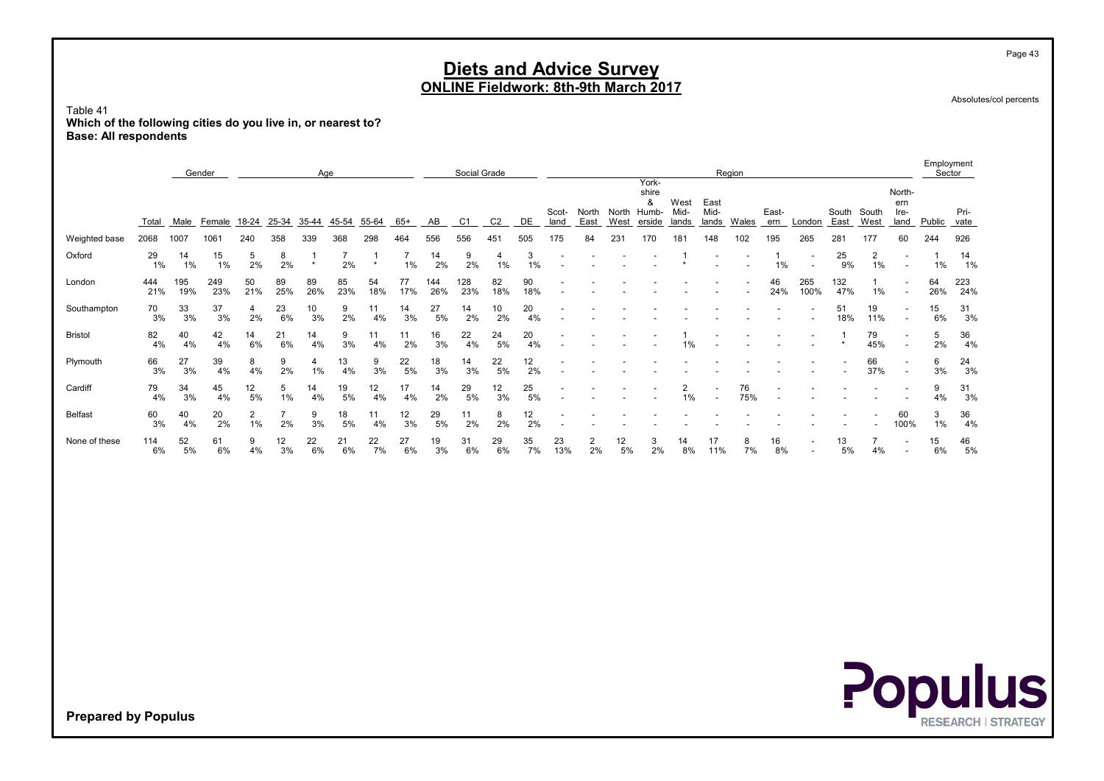Table 41 Which of the following cities do you live in, or nearest to? Base: All respondents

|                |             |            | Gender     |           |           | Age       |           |           |           |            | Social Grade |           |           |               |                      |               |                                        |                       |                       | Region    |              |             |               |                      |                               | Employment<br>Sector |              |
|----------------|-------------|------------|------------|-----------|-----------|-----------|-----------|-----------|-----------|------------|--------------|-----------|-----------|---------------|----------------------|---------------|----------------------------------------|-----------------------|-----------------------|-----------|--------------|-------------|---------------|----------------------|-------------------------------|----------------------|--------------|
|                | Total       | Male       | Female     | 18-24     | 25-34     | 35-44     | 45-54     | 55-64     | $65+$     | AB         | C1           | C2        | DE        | Scot-<br>land | North<br>East        | North<br>West | York-<br>shire<br>&<br>Humb-<br>erside | West<br>Mid-<br>lands | East<br>Mid-<br>lands | Wales     | East-<br>ern | London      | South<br>East | South<br>West        | North-<br>ern<br>Ire-<br>land | Public               | Pri-<br>vate |
| Weighted base  | 2068        | 1007       | 1061       | 240       | 358       | 339       | 368       | 298       | 464       | 556        | 556          | 451       | 505       | 175           | 84                   | 231           | 170                                    | 181                   | 148                   | 102       | 195          | 265         | 281           | 177                  | 60                            | 244                  | 926          |
| Oxford         | 29<br>$1\%$ | 14<br>1%   | 15<br>1%   | 5<br>2%   | 8<br>2%   | $\star$   | 2%        |           | $1\%$     | 14<br>2%   | 9<br>2%      | 4<br>1%   | 3<br>1%   |               |                      |               |                                        |                       |                       |           | 1%           |             | 25<br>9%      | $\overline{2}$<br>1% |                               | 1%                   | 14<br>1%     |
| London         | 444<br>21%  | 195<br>19% | 249<br>23% | 50<br>21% | 89<br>25% | 89<br>26% | 85<br>23% | 54<br>18% | 77<br>17% | 144<br>26% | 128<br>23%   | 82<br>18% | 90<br>18% |               |                      |               |                                        |                       |                       |           | 46<br>24%    | 265<br>100% | 132<br>47%    | 1%                   |                               | 64<br>26%            | 223<br>24%   |
| Southampton    | 70<br>3%    | 33<br>3%   | 37<br>3%   | 4<br>2%   | 23<br>6%  | 10<br>3%  | 9<br>2%   | 11<br>4%  | 14<br>3%  | 27<br>5%   | 14<br>2%     | 10<br>2%  | 20<br>4%  |               |                      |               |                                        |                       |                       |           |              |             | 51<br>18%     | 19<br>11%            |                               | 15<br>6%             | 31<br>3%     |
| <b>Bristol</b> | 82<br>4%    | 40<br>4%   | 42<br>4%   | 14<br>6%  | 21<br>6%  | 14<br>4%  | 9<br>3%   | 11<br>4%  | 11<br>2%  | 16<br>3%   | 22<br>4%     | 24<br>5%  | 20<br>4%  |               |                      |               |                                        | 1%                    |                       |           |              |             |               | 79<br>45%            |                               | 5<br>2%              | 36<br>4%     |
| Plymouth       | 66<br>3%    | 27<br>3%   | 39<br>4%   | 8<br>4%   | 9<br>2%   | $1\%$     | 13<br>4%  | 9<br>3%   | 22<br>5%  | 18<br>3%   | 14<br>3%     | 22<br>5%  | 12<br>2%  |               |                      |               |                                        |                       |                       |           |              |             |               | 66<br>37%            |                               | 6<br>3%              | 24<br>3%     |
| Cardiff        | 79<br>4%    | 34<br>3%   | 45<br>4%   | 12<br>5%  | 5<br>1%   | 14<br>4%  | 19<br>5%  | 12<br>4%  | 17<br>4%  | 14<br>2%   | 29<br>5%     | 12<br>3%  | 25<br>5%  |               |                      |               |                                        | 1%                    |                       | 76<br>75% |              |             |               |                      |                               | 9<br>4%              | 31<br>3%     |
| <b>Belfast</b> | 60<br>3%    | 40<br>4%   | 20<br>2%   | 2<br>1%   | 2%        | 9<br>3%   | 18<br>5%  | 11<br>4%  | 12<br>3%  | 29<br>5%   | 11<br>2%     | 8<br>2%   | 12<br>2%  |               |                      |               |                                        |                       |                       |           |              |             |               |                      | 60<br>100%                    | 3<br>1%              | 36<br>4%     |
| None of these  | 114<br>6%   | 52<br>5%   | 61<br>6%   | 9<br>4%   | 12<br>3%  | 22<br>6%  | 21<br>6%  | 22<br>7%  | 27<br>6%  | 19<br>3%   | 31<br>6%     | 29<br>6%  | 35<br>7%  | 23<br>13%     | $\overline{2}$<br>2% | 12<br>5%      | 3<br>2%                                | 14<br>8%              | 17<br>11%             | 7%        | 16<br>8%     |             | 13<br>5%      | 4%                   |                               | 15<br>6%             | 46<br>5%     |

Prepared by Populus





Page 43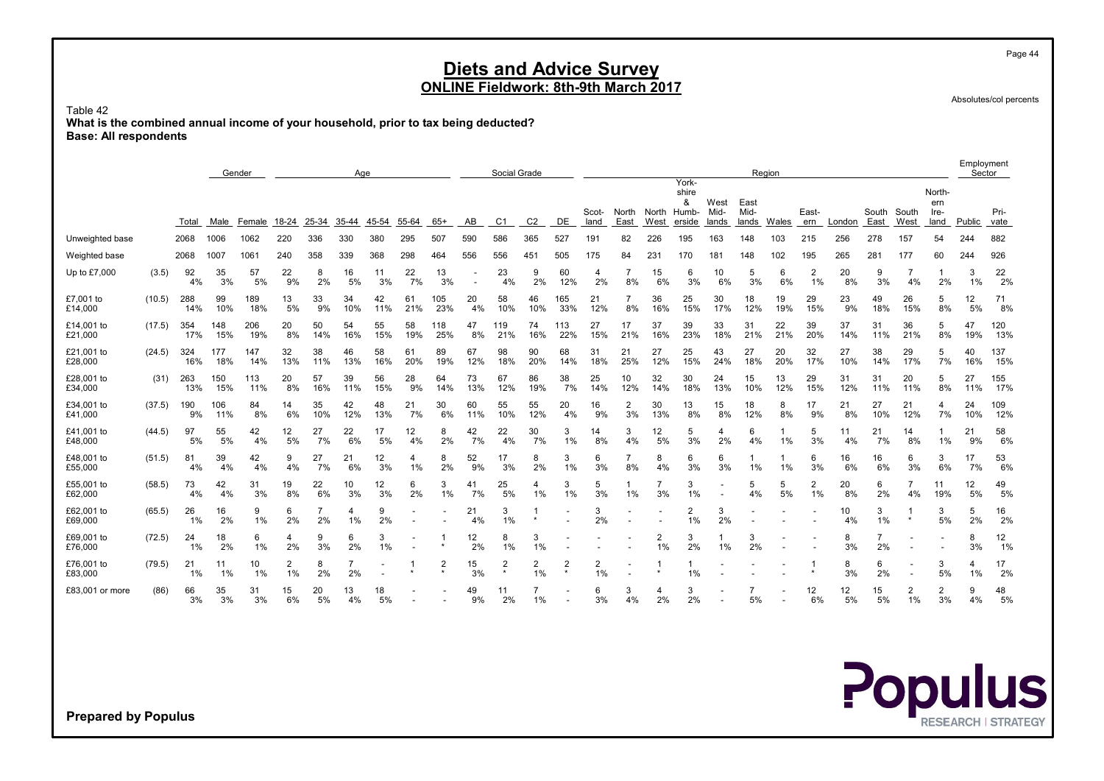Table 42 What is the combined annual income of your household, prior to tax being deducted? Base: All respondents

|                       |        |            |            | Gender     |           |                      | Age       |           |           |                |           | Social Grade   |                      |              |               |                      |           |                                              |                       |                       | Region    |                      |           |                      |               |                               | Sector    |              |
|-----------------------|--------|------------|------------|------------|-----------|----------------------|-----------|-----------|-----------|----------------|-----------|----------------|----------------------|--------------|---------------|----------------------|-----------|----------------------------------------------|-----------------------|-----------------------|-----------|----------------------|-----------|----------------------|---------------|-------------------------------|-----------|--------------|
|                       |        | Total      | Male       | Female     | 18-24     | 25-34                | 35-44     | 45-54     | 55-64     | $65+$          | AB        | C <sub>1</sub> | C <sub>2</sub>       | DE           | Scot-<br>land | North<br>East        | West      | York-<br>shire<br>&<br>North Humb-<br>erside | West<br>Mid-<br>lands | East<br>Mid-<br>lands | Wales     | East-<br>ern         | London    | South<br>East        | South<br>West | North-<br>ern<br>Ire-<br>land | Public    | Pri-<br>vate |
| Unweighted base       |        | 2068       | 1006       | 1062       | 220       | 336                  | 330       | 380       | 295       | 507            | 590       | 586            | 365                  | 527          | 191           | 82                   | 226       | 195                                          | 163                   | 148                   | 103       | 215                  | 256       | 278                  | 157           | 54                            | 244       | 882          |
| Weighted base         |        | 2068       | 1007       | 1061       | 240       | 358                  | 339       | 368       | 298       | 464            | 556       | 556            | 451                  | 505          | 175           | 84                   | 231       | 170                                          | 181                   | 148                   | 102       | 195                  | 265       | 281                  | 177           | 60                            | 244       | 926          |
| Up to £7,000          | (3.5)  | 92<br>4%   | 35<br>3%   | 57<br>5%   | 22<br>9%  | 8<br>2%              | 16<br>5%  | 11<br>3%  | 22<br>7%  | 13<br>3%       |           | 23<br>4%       | 9<br>2%              | 60<br>12%    | 4<br>2%       | 8%                   | 15<br>6%  | 6<br>3%                                      | 10<br>6%              | 5<br>3%               | 6<br>6%   | $\overline{2}$<br>1% | 20<br>8%  | 9<br>3%              | 4%            | 2%                            | 3<br>1%   | 22<br>2%     |
| £7,001 to<br>£14,000  | (10.5) | 288<br>14% | 99<br>10%  | 189<br>18% | 13<br>5%  | 33<br>9%             | 34<br>10% | 42<br>11% | 61<br>21% | 105<br>23%     | 20<br>4%  | 58<br>10%      | 46<br>10%            | 165<br>33%   | 21<br>12%     | 8%                   | 36<br>16% | 25<br>15%                                    | 30<br>17%             | 18<br>12%             | 19<br>19% | 29<br>15%            | 23<br>9%  | 49<br>18%            | 26<br>15%     | 5<br>8%                       | 12<br>5%  | 71<br>8%     |
| £14,001 to<br>£21,000 | (17.5) | 354<br>17% | 148<br>15% | 206<br>19% | 20<br>8%  | 50<br>14%            | 54<br>16% | 55<br>15% | 58<br>19% | 118<br>25%     | 47<br>8%  | 119<br>21%     | 74<br>16%            | 113<br>22%   | 27<br>15%     | 17<br>21%            | 37<br>16% | 39<br>23%                                    | 33<br>18%             | 31<br>21%             | 22<br>21% | 39<br>20%            | 37<br>14% | 31<br>11%            | 36<br>21%     | 5<br>8%                       | 47<br>19% | 120<br>13%   |
| £21,001 to<br>£28,000 | (24.5) | 324<br>16% | 177<br>18% | 147<br>14% | 32<br>13% | 38<br>11%            | 46<br>13% | 58<br>16% | 61<br>20% | 89<br>19%      | 67<br>12% | 98<br>18%      | 90<br>20%            | 68<br>14%    | 31<br>18%     | 21<br>25%            | 27<br>12% | 25<br>15%                                    | 43<br>24%             | 27<br>18%             | 20<br>20% | 32<br>17%            | 27<br>10% | 38<br>14%            | 29<br>17%     | 5<br>7%                       | 40<br>16% | 137<br>15%   |
| £28,001 to<br>£34,000 | (31)   | 263<br>13% | 150<br>15% | 113<br>11% | 20<br>8%  | 57<br>16%            | 39<br>11% | 56<br>15% | 28<br>9%  | 64<br>14%      | 73<br>13% | 67<br>12%      | 86<br>19%            | 38<br>7%     | 25<br>14%     | 10<br>12%            | 32<br>14% | 30<br>18%                                    | 24<br>13%             | 15<br>10%             | 13<br>12% | 29<br>15%            | 31<br>12% | 31<br>11%            | 20<br>11%     | 5<br>8%                       | 27<br>11% | 155<br>17%   |
| £34,001 to<br>£41,000 | (37.5) | 190<br>9%  | 106<br>11% | 84<br>8%   | 14<br>6%  | 35<br>10%            | 42<br>12% | 48<br>13% | 21<br>7%  | 30<br>6%       | 60<br>11% | 55<br>10%      | 55<br>12%            | 20<br>4%     | 16<br>9%      | $\overline{2}$<br>3% | 30<br>13% | 13<br>8%                                     | 15<br>8%              | 18<br>12%             | 8<br>8%   | 17<br>9%             | 21<br>8%  | 27<br>10%            | 21<br>12%     | 4<br>7%                       | 24<br>10% | 109<br>12%   |
| £41,001 to<br>£48,000 | (44.5) | 97<br>5%   | 55<br>5%   | 42<br>4%   | 12<br>5%  | 27<br>7%             | 22<br>6%  | 17<br>5%  | 12<br>4%  | 8<br>2%        | 42<br>7%  | 22<br>4%       | 30<br>7%             | 3<br>$1\%$   | 14<br>8%      | 3<br>4%              | 12<br>5%  | 5<br>3%                                      | 4<br>2%               | 6<br>4%               | $1\%$     | 5<br>3%              | 11<br>4%  | 21<br>7%             | 14<br>8%      | 1%                            | 21<br>9%  | 58<br>6%     |
| £48,001 to<br>£55,000 | (51.5) | 81<br>4%   | 39<br>4%   | 42<br>4%   | 9<br>4%   | 27<br>7%             | 21<br>6%  | 12<br>3%  | 4<br>1%   | 8<br>2%        | 52<br>9%  | 17<br>3%       | 8<br>2%              | 3<br>$1\%$   | 6<br>3%       | 8%                   | 8<br>4%   | 6<br>3%                                      | 6<br>3%               | 1%                    | $1\%$     | 6<br>3%              | 16<br>6%  | 16<br>6%             | 6<br>3%       | 3<br>6%                       | 17<br>7%  | 53<br>6%     |
| £55,001 to<br>£62,000 | (58.5) | 73<br>4%   | 42<br>4%   | 31<br>3%   | 19<br>8%  | 22<br>6%             | 10<br>3%  | 12<br>3%  | 6<br>2%   | 3<br>1%        | 41<br>7%  | 25<br>5%       | 4<br>1%              | 3<br>1%      | 5<br>3%       | 1%                   | 3%        | 3<br>1%                                      |                       | 5<br>4%               | 5<br>5%   | 2<br>1%              | 20<br>8%  | 6<br>2%              | 4%            | 11<br>19%                     | 12<br>5%  | 49<br>5%     |
| £62,001 to<br>£69,000 | (65.5) | 26<br>1%   | 16<br>2%   | 9<br>1%    | 6<br>2%   | $\overline{7}$<br>2% | 4<br>1%   | 9<br>2%   |           |                | 21<br>4%  | 3<br>1%        | $\star$              |              | 3<br>2%       |                      |           | $\overline{2}$<br>1%                         | 3<br>2%               |                       |           |                      | 10<br>4%  | 3<br>1%              |               | 3<br>5%                       | 5<br>2%   | 16<br>2%     |
| £69,001 to<br>£76,000 | (72.5) | 24<br>1%   | 18<br>2%   | 6<br>1%    | 4<br>2%   | 9<br>3%              | 6<br>2%   | 3<br>1%   |           |                | 12<br>2%  | 8<br>1%        | 3<br>1%              |              |               |                      | 2<br>1%   | 3<br>2%                                      | 1%                    | 3<br>2%               |           |                      | 8<br>3%   | $\overline{7}$<br>2% |               |                               | 8<br>3%   | 12<br>1%     |
| £76,001 to<br>£83,000 | (79.5) | 21<br>1%   | 11<br>1%   | 10<br>1%   | 2<br>1%   | 8<br>2%              | 7<br>2%   |           |           | $\overline{2}$ | 15<br>3%  | $\overline{2}$ | $\overline{2}$<br>1% | 2<br>$\star$ | 2<br>1%       |                      |           | 1%                                           |                       |                       |           |                      | 8<br>3%   | 6<br>2%              |               | 3<br>5%                       | 4<br>1%   | 17<br>2%     |
| £83,001 or more       | (86)   | 66<br>3%   | 35<br>3%   | 31<br>3%   | 15<br>6%  | 20<br>5%             | 13<br>4%  | 18<br>5%  |           |                | 49<br>9%  | 11<br>2%       | 1%                   |              | 6<br>3%       | 4%                   | 4<br>2%   | 3<br>2%                                      |                       | 5%                    |           | 12<br>6%             | 12<br>5%  | 15<br>5%             | 2<br>1%       | 2<br>3%                       | g<br>4%   | 48<br>5%     |



Prepared by Populus

Page 44

Employment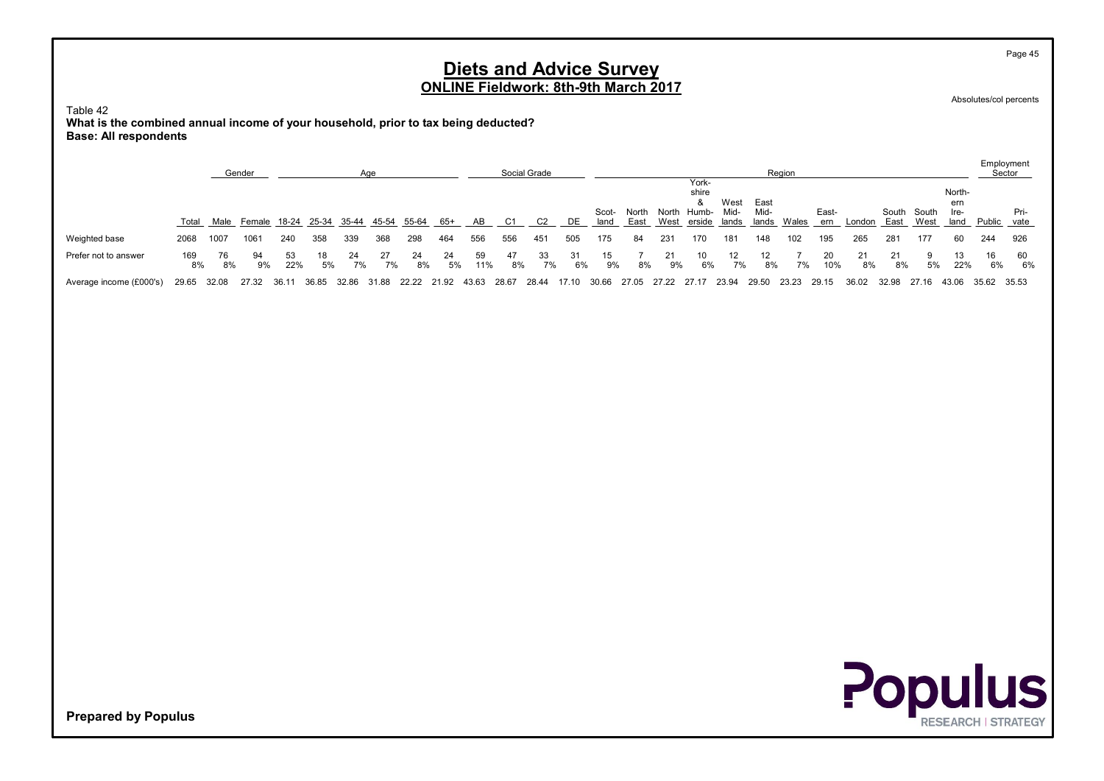Table 42 What is the combined annual income of your household, prior to tax being deducted? Base: All respondents

|                         |           |          | Gender   |           |          |          | Aae      |          |                   |           |          | Social Grade   |          |          |       |          |                         |              |              | Region |           |          |          |       |                       |          | Employment<br>Sector |
|-------------------------|-----------|----------|----------|-----------|----------|----------|----------|----------|-------------------|-----------|----------|----------------|----------|----------|-------|----------|-------------------------|--------------|--------------|--------|-----------|----------|----------|-------|-----------------------|----------|----------------------|
|                         |           |          |          |           |          |          |          |          |                   |           |          |                |          | Scot-    | North | North    | York-<br>shire<br>Humb- | West<br>Mid- | East<br>Mid- |        | East-     |          | South    | South | North-<br>ern<br>-lre |          | Pri-                 |
|                         | Total     | Male     | Female   | 18-24     | 25-34    | 35-44    | 45-54    | 55-64    | $65+$             | AB        |          | C <sub>2</sub> | DE       | land     | East  | West     | erside                  | lands        | lands        | Wales  | ern       | London   | East     | West  | land                  | Public   | vate                 |
| Weighted base           | 2068      | 1007     | 1061     | 240       | 358      | 339      | 368      | 298      | 464               | 556       | 556      | 451            | 505      | 175      | 84    | 231      | 170                     | 181          | 148          | 102    | 195       | 265      | 281      | 177   | 60                    | 244      | 926                  |
| Prefer not to answer    | 169<br>8% | 76<br>8% | 94<br>9% | 53<br>22% | 18<br>5% | 24<br>7% | 27<br>7% | 24<br>8% | 24<br>5%          | 59<br>11% | 47<br>8% | 33<br>7%       | 31<br>6% | 15<br>9% | 8%    | 21<br>9% | 10<br>6%                | 12<br>7%     | 12<br>8%     | 7%     | 20<br>10% | 21<br>8% | 21<br>8% | 5%    | 13<br>22%             | 16<br>6% | 60<br>6%             |
| Average income (£000's) | 29.65     | 32.08    | 27.32    | 36.11     | 36.85    | 32.86    | 31.88    |          | 22.22 21.92 43.63 |           | 28.67    | 28.44          | 17.10    | 30.66    | 27.05 | 27.22    | 27.17                   | 23.94        | 29.50        | 23.23  | 29.15     | 36.02    | 32.98    | 27.16 | 43.06 35.62 35.53     |          |                      |



Prepared by Populus

Page 45